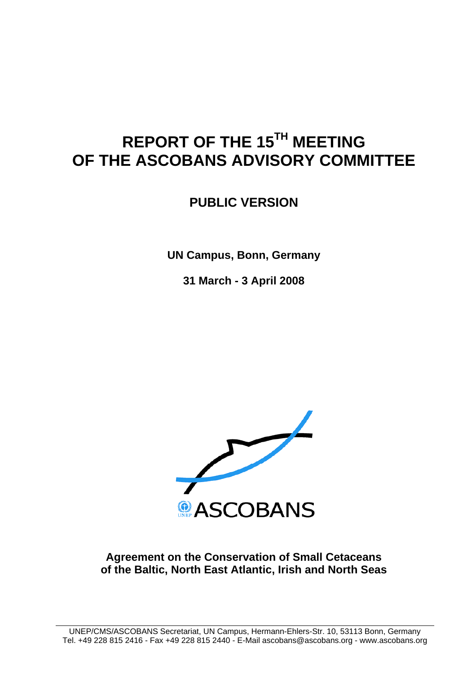# **REPORT OF THE 15TH MEETING OF THE ASCOBANS ADVISORY COMMITTEE**

**PUBLIC VERSION** 

**UN Campus, Bonn, Germany** 

**31 March - 3 April 2008** 



## **Agreement on the Conservation of Small Cetaceans of the Baltic, North East Atlantic, Irish and North Seas**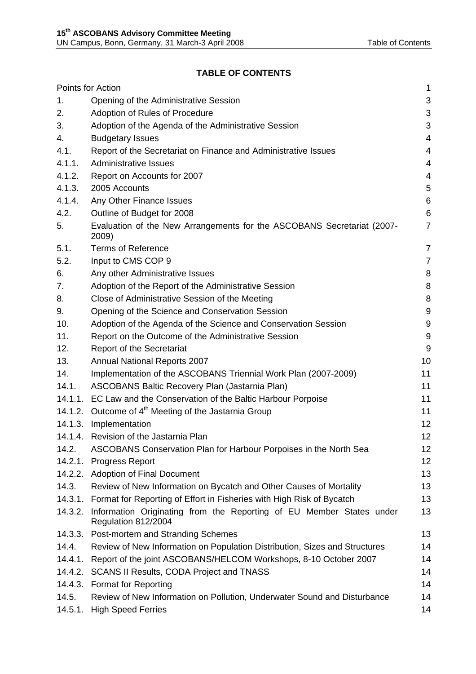## **TABLE OF CONTENTS**

|         | Points for Action                                                                           | 1              |
|---------|---------------------------------------------------------------------------------------------|----------------|
| 1.      | Opening of the Administrative Session                                                       | 3              |
| 2.      | Adoption of Rules of Procedure                                                              | 3              |
| 3.      | Adoption of the Agenda of the Administrative Session                                        | 3              |
| 4.      | <b>Budgetary Issues</b>                                                                     | $\overline{4}$ |
| 4.1.    | Report of the Secretariat on Finance and Administrative Issues                              | 4              |
| 4.1.1.  | <b>Administrative Issues</b>                                                                | 4              |
| 4.1.2.  | Report on Accounts for 2007                                                                 | 4              |
| 4.1.3.  | 2005 Accounts                                                                               | $\mathbf 5$    |
| 4.1.4.  | Any Other Finance Issues                                                                    | $\,6$          |
| 4.2.    | Outline of Budget for 2008                                                                  | $\,6$          |
| 5.      | Evaluation of the New Arrangements for the ASCOBANS Secretariat (2007-<br>2009)             | $\overline{7}$ |
| 5.1.    | <b>Terms of Reference</b>                                                                   | 7              |
| 5.2.    | Input to CMS COP 9                                                                          | $\overline{7}$ |
| 6.      | Any other Administrative Issues                                                             | 8              |
| 7.      | Adoption of the Report of the Administrative Session                                        | 8              |
| 8.      | Close of Administrative Session of the Meeting                                              | 8              |
| 9.      | Opening of the Science and Conservation Session                                             | $9\,$          |
| 10.     | Adoption of the Agenda of the Science and Conservation Session                              | 9              |
| 11.     | Report on the Outcome of the Administrative Session                                         | 9              |
| 12.     | <b>Report of the Secretariat</b>                                                            | $9\,$          |
| 13.     | Annual National Reports 2007                                                                | 10             |
| 14.     | Implementation of the ASCOBANS Triennial Work Plan (2007-2009)                              | 11             |
| 14.1.   | ASCOBANS Baltic Recovery Plan (Jastarnia Plan)                                              | 11             |
|         | 14.1.1. EC Law and the Conservation of the Baltic Harbour Porpoise                          | 11             |
|         | 14.1.2. Outcome of 4 <sup>th</sup> Meeting of the Jastarnia Group                           | 11             |
|         | 14.1.3. Implementation                                                                      | 12             |
|         | 14.1.4. Revision of the Jastarnia Plan                                                      | 12             |
| 14.2.   | ASCOBANS Conservation Plan for Harbour Porpoises in the North Sea                           | 12             |
| 14.2.1. | <b>Progress Report</b>                                                                      | 12             |
| 14.2.2. | <b>Adoption of Final Document</b>                                                           | 13             |
| 14.3.   | Review of New Information on Bycatch and Other Causes of Mortality                          | 13             |
| 14.3.1. | Format for Reporting of Effort in Fisheries with High Risk of Bycatch                       | 13             |
| 14.3.2. | Information Originating from the Reporting of EU Member States under<br>Regulation 812/2004 | 13             |
| 14.3.3. | Post-mortem and Stranding Schemes                                                           | 13             |
| 14.4.   | Review of New Information on Population Distribution, Sizes and Structures                  | 14             |
| 14.4.1. | Report of the joint ASCOBANS/HELCOM Workshops, 8-10 October 2007                            | 14             |
| 14.4.2. | <b>SCANS II Results, CODA Project and TNASS</b>                                             | 14             |
| 14.4.3. | <b>Format for Reporting</b>                                                                 | 14             |
| 14.5.   | Review of New Information on Pollution, Underwater Sound and Disturbance                    | 14             |
| 14.5.1. | <b>High Speed Ferries</b>                                                                   | 14             |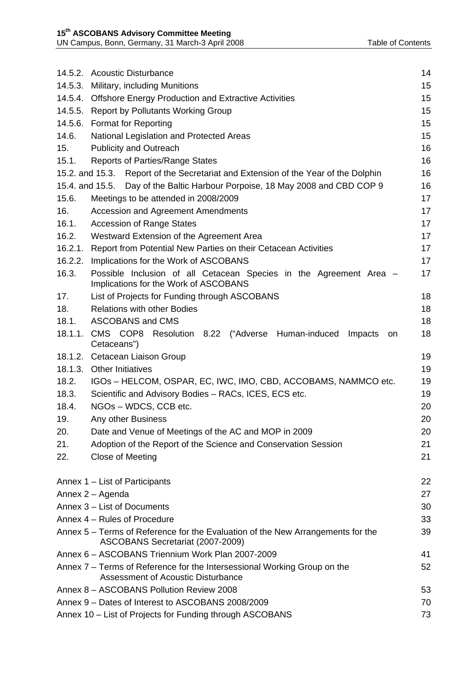|         | 14.5.2. Acoustic Disturbance                                                                                        | 14 |  |  |
|---------|---------------------------------------------------------------------------------------------------------------------|----|--|--|
|         | 14.5.3. Military, including Munitions                                                                               | 15 |  |  |
|         | 14.5.4. Offshore Energy Production and Extractive Activities                                                        |    |  |  |
|         | 14.5.5. Report by Pollutants Working Group                                                                          | 15 |  |  |
|         | 14.5.6. Format for Reporting                                                                                        | 15 |  |  |
| 14.6.   | National Legislation and Protected Areas                                                                            | 15 |  |  |
| 15.     | <b>Publicity and Outreach</b>                                                                                       | 16 |  |  |
| 15.1.   | <b>Reports of Parties/Range States</b>                                                                              | 16 |  |  |
|         | 15.2. and 15.3. Report of the Secretariat and Extension of the Year of the Dolphin                                  | 16 |  |  |
|         | 15.4. and 15.5. Day of the Baltic Harbour Porpoise, 18 May 2008 and CBD COP 9                                       | 16 |  |  |
| 15.6.   | Meetings to be attended in 2008/2009                                                                                | 17 |  |  |
| 16.     | Accession and Agreement Amendments                                                                                  | 17 |  |  |
| 16.1.   | <b>Accession of Range States</b>                                                                                    | 17 |  |  |
| 16.2.   | Westward Extension of the Agreement Area                                                                            | 17 |  |  |
|         | 16.2.1. Report from Potential New Parties on their Cetacean Activities                                              | 17 |  |  |
|         | 16.2.2. Implications for the Work of ASCOBANS                                                                       | 17 |  |  |
| 16.3.   | Possible Inclusion of all Cetacean Species in the Agreement Area -<br>Implications for the Work of ASCOBANS         | 17 |  |  |
| 17.     | List of Projects for Funding through ASCOBANS                                                                       | 18 |  |  |
| 18.     | <b>Relations with other Bodies</b>                                                                                  | 18 |  |  |
| 18.1.   | <b>ASCOBANS and CMS</b>                                                                                             | 18 |  |  |
| 18.1.1. | CMS COP8<br>Resolution 8.22 ("Adverse Human-induced<br>Impacts<br>on<br>Cetaceans")                                 | 18 |  |  |
|         | 18.1.2. Cetacean Liaison Group                                                                                      | 19 |  |  |
|         | 18.1.3. Other Initiatives                                                                                           | 19 |  |  |
| 18.2.   | IGOs - HELCOM, OSPAR, EC, IWC, IMO, CBD, ACCOBAMS, NAMMCO etc.                                                      | 19 |  |  |
| 18.3.   | Scientific and Advisory Bodies - RACs, ICES, ECS etc.                                                               | 19 |  |  |
| 18.4.   | NGOs - WDCS, CCB etc.                                                                                               | 20 |  |  |
| 19.     | Any other Business                                                                                                  | 20 |  |  |
| 20.     | Date and Venue of Meetings of the AC and MOP in 2009                                                                | 20 |  |  |
| 21.     | Adoption of the Report of the Science and Conservation Session                                                      | 21 |  |  |
| 22.     | Close of Meeting                                                                                                    | 21 |  |  |
|         | Annex 1 - List of Participants                                                                                      | 22 |  |  |
|         | Annex 2 - Agenda                                                                                                    | 27 |  |  |
|         | Annex 3 - List of Documents                                                                                         | 30 |  |  |
|         | Annex 4 - Rules of Procedure                                                                                        | 33 |  |  |
|         | Annex 5 – Terms of Reference for the Evaluation of the New Arrangements for the<br>ASCOBANS Secretariat (2007-2009) | 39 |  |  |
|         | Annex 6 - ASCOBANS Triennium Work Plan 2007-2009                                                                    | 41 |  |  |
|         | Annex 7 – Terms of Reference for the Intersessional Working Group on the<br>Assessment of Acoustic Disturbance      | 52 |  |  |
|         | Annex 8 - ASCOBANS Pollution Review 2008                                                                            | 53 |  |  |
|         | Annex 9 - Dates of Interest to ASCOBANS 2008/2009                                                                   | 70 |  |  |
|         | Annex 10 - List of Projects for Funding through ASCOBANS                                                            | 73 |  |  |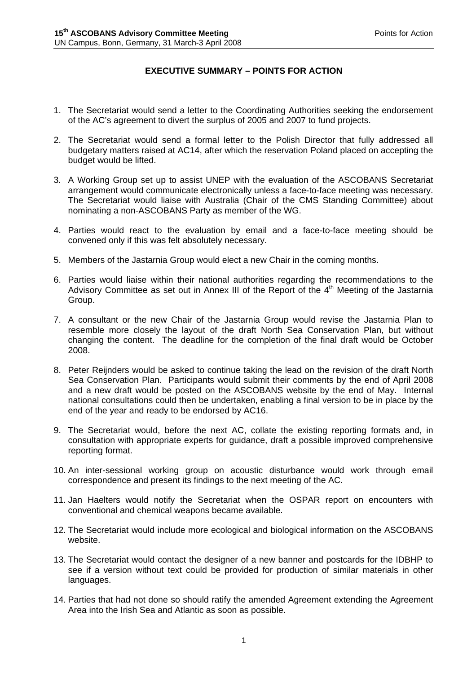#### **EXECUTIVE SUMMARY – POINTS FOR ACTION**

- 1. The Secretariat would send a letter to the Coordinating Authorities seeking the endorsement of the AC's agreement to divert the surplus of 2005 and 2007 to fund projects.
- 2. The Secretariat would send a formal letter to the Polish Director that fully addressed all budgetary matters raised at AC14, after which the reservation Poland placed on accepting the budget would be lifted.
- 3. A Working Group set up to assist UNEP with the evaluation of the ASCOBANS Secretariat arrangement would communicate electronically unless a face-to-face meeting was necessary. The Secretariat would liaise with Australia (Chair of the CMS Standing Committee) about nominating a non-ASCOBANS Party as member of the WG.
- 4. Parties would react to the evaluation by email and a face-to-face meeting should be convened only if this was felt absolutely necessary.
- 5. Members of the Jastarnia Group would elect a new Chair in the coming months.
- 6. Parties would liaise within their national authorities regarding the recommendations to the Advisory Committee as set out in Annex III of the Report of the  $4<sup>th</sup>$  Meeting of the Jastarnia Group.
- 7. A consultant or the new Chair of the Jastarnia Group would revise the Jastarnia Plan to resemble more closely the layout of the draft North Sea Conservation Plan, but without changing the content. The deadline for the completion of the final draft would be October 2008.
- 8. Peter Reijnders would be asked to continue taking the lead on the revision of the draft North Sea Conservation Plan. Participants would submit their comments by the end of April 2008 and a new draft would be posted on the ASCOBANS website by the end of May. Internal national consultations could then be undertaken, enabling a final version to be in place by the end of the year and ready to be endorsed by AC16.
- 9. The Secretariat would, before the next AC, collate the existing reporting formats and, in consultation with appropriate experts for guidance, draft a possible improved comprehensive reporting format.
- 10. An inter-sessional working group on acoustic disturbance would work through email correspondence and present its findings to the next meeting of the AC.
- 11. Jan Haelters would notify the Secretariat when the OSPAR report on encounters with conventional and chemical weapons became available.
- 12. The Secretariat would include more ecological and biological information on the ASCOBANS website.
- 13. The Secretariat would contact the designer of a new banner and postcards for the IDBHP to see if a version without text could be provided for production of similar materials in other languages.
- 14. Parties that had not done so should ratify the amended Agreement extending the Agreement Area into the Irish Sea and Atlantic as soon as possible.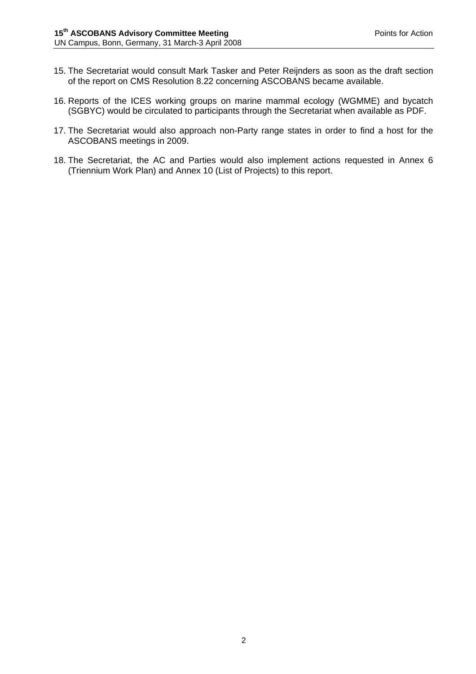- 15. The Secretariat would consult Mark Tasker and Peter Reijnders as soon as the draft section of the report on CMS Resolution 8.22 concerning ASCOBANS became available.
- 16. Reports of the ICES working groups on marine mammal ecology (WGMME) and bycatch (SGBYC) would be circulated to participants through the Secretariat when available as PDF.
- 17. The Secretariat would also approach non-Party range states in order to find a host for the ASCOBANS meetings in 2009.
- 18. The Secretariat, the AC and Parties would also implement actions requested in Annex 6 (Triennium Work Plan) and Annex 10 (List of Projects) to this report.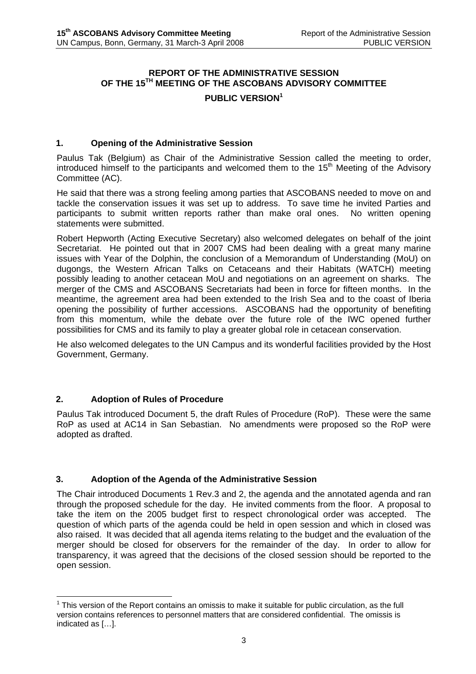## **REPORT OF THE ADMINISTRATIVE SESSION OF THE 15TH MEETING OF THE ASCOBANS ADVISORY COMMITTEE**

#### **PUBLIC VERSION<sup>1</sup>**

#### **1. Opening of the Administrative Session**

Paulus Tak (Belgium) as Chair of the Administrative Session called the meeting to order, introduced himself to the participants and welcomed them to the  $15<sup>th</sup>$  Meeting of the Advisory Committee (AC).

He said that there was a strong feeling among parties that ASCOBANS needed to move on and tackle the conservation issues it was set up to address. To save time he invited Parties and participants to submit written reports rather than make oral ones. No written opening statements were submitted.

Robert Hepworth (Acting Executive Secretary) also welcomed delegates on behalf of the joint Secretariat. He pointed out that in 2007 CMS had been dealing with a great many marine issues with Year of the Dolphin, the conclusion of a Memorandum of Understanding (MoU) on dugongs, the Western African Talks on Cetaceans and their Habitats (WATCH) meeting possibly leading to another cetacean MoU and negotiations on an agreement on sharks. The merger of the CMS and ASCOBANS Secretariats had been in force for fifteen months. In the meantime, the agreement area had been extended to the Irish Sea and to the coast of Iberia opening the possibility of further accessions. ASCOBANS had the opportunity of benefiting from this momentum, while the debate over the future role of the IWC opened further possibilities for CMS and its family to play a greater global role in cetacean conservation.

He also welcomed delegates to the UN Campus and its wonderful facilities provided by the Host Government, Germany.

#### **2. Adoption of Rules of Procedure**

 $\overline{a}$ 

Paulus Tak introduced Document 5, the draft Rules of Procedure (RoP). These were the same RoP as used at AC14 in San Sebastian. No amendments were proposed so the RoP were adopted as drafted.

#### **3. Adoption of the Agenda of the Administrative Session**

The Chair introduced Documents 1 Rev.3 and 2, the agenda and the annotated agenda and ran through the proposed schedule for the day. He invited comments from the floor. A proposal to take the item on the 2005 budget first to respect chronological order was accepted. The question of which parts of the agenda could be held in open session and which in closed was also raised. It was decided that all agenda items relating to the budget and the evaluation of the merger should be closed for observers for the remainder of the day. In order to allow for transparency, it was agreed that the decisions of the closed session should be reported to the open session.

 $1$  This version of the Report contains an omissis to make it suitable for public circulation, as the full version contains references to personnel matters that are considered confidential. The omissis is indicated as […].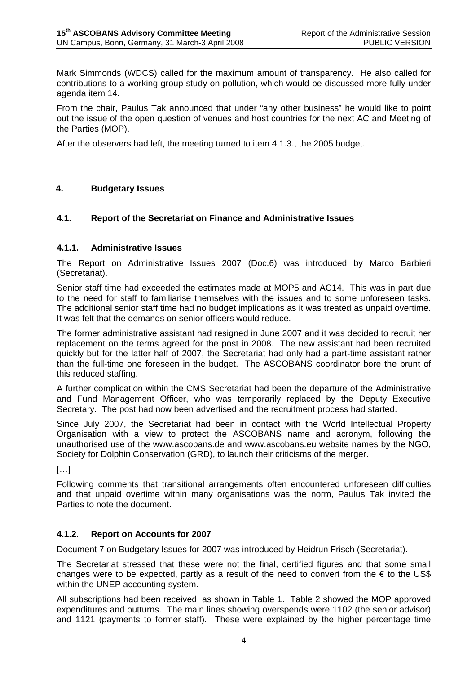Mark Simmonds (WDCS) called for the maximum amount of transparency. He also called for contributions to a working group study on pollution, which would be discussed more fully under agenda item 14.

From the chair, Paulus Tak announced that under "any other business" he would like to point out the issue of the open question of venues and host countries for the next AC and Meeting of the Parties (MOP).

After the observers had left, the meeting turned to item 4.1.3., the 2005 budget.

#### **4. Budgetary Issues**

#### **4.1. Report of the Secretariat on Finance and Administrative Issues**

#### **4.1.1. Administrative Issues**

The Report on Administrative Issues 2007 (Doc.6) was introduced by Marco Barbieri (Secretariat).

Senior staff time had exceeded the estimates made at MOP5 and AC14. This was in part due to the need for staff to familiarise themselves with the issues and to some unforeseen tasks. The additional senior staff time had no budget implications as it was treated as unpaid overtime. It was felt that the demands on senior officers would reduce.

The former administrative assistant had resigned in June 2007 and it was decided to recruit her replacement on the terms agreed for the post in 2008. The new assistant had been recruited quickly but for the latter half of 2007, the Secretariat had only had a part-time assistant rather than the full-time one foreseen in the budget. The ASCOBANS coordinator bore the brunt of this reduced staffing.

A further complication within the CMS Secretariat had been the departure of the Administrative and Fund Management Officer, who was temporarily replaced by the Deputy Executive Secretary. The post had now been advertised and the recruitment process had started.

Since July 2007, the Secretariat had been in contact with the World Intellectual Property Organisation with a view to protect the ASCOBANS name and acronym, following the unauthorised use of the www.ascobans.de and www.ascobans.eu website names by the NGO, Society for Dolphin Conservation (GRD), to launch their criticisms of the merger.

 $\left[\ldots\right]$ 

Following comments that transitional arrangements often encountered unforeseen difficulties and that unpaid overtime within many organisations was the norm, Paulus Tak invited the Parties to note the document.

#### **4.1.2. Report on Accounts for 2007**

Document 7 on Budgetary Issues for 2007 was introduced by Heidrun Frisch (Secretariat).

The Secretariat stressed that these were not the final, certified figures and that some small changes were to be expected, partly as a result of the need to convert from the  $\epsilon$  to the US\$ within the UNEP accounting system.

All subscriptions had been received, as shown in Table 1. Table 2 showed the MOP approved expenditures and outturns. The main lines showing overspends were 1102 (the senior advisor) and 1121 (payments to former staff). These were explained by the higher percentage time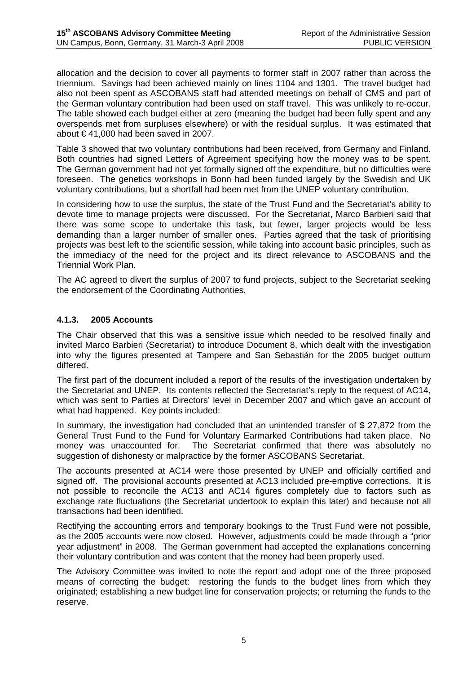allocation and the decision to cover all payments to former staff in 2007 rather than across the triennium. Savings had been achieved mainly on lines 1104 and 1301. The travel budget had also not been spent as ASCOBANS staff had attended meetings on behalf of CMS and part of the German voluntary contribution had been used on staff travel. This was unlikely to re-occur. The table showed each budget either at zero (meaning the budget had been fully spent and any overspends met from surpluses elsewhere) or with the residual surplus. It was estimated that about € 41,000 had been saved in 2007.

Table 3 showed that two voluntary contributions had been received, from Germany and Finland. Both countries had signed Letters of Agreement specifying how the money was to be spent. The German government had not yet formally signed off the expenditure, but no difficulties were foreseen. The genetics workshops in Bonn had been funded largely by the Swedish and UK voluntary contributions, but a shortfall had been met from the UNEP voluntary contribution.

In considering how to use the surplus, the state of the Trust Fund and the Secretariat's ability to devote time to manage projects were discussed. For the Secretariat, Marco Barbieri said that there was some scope to undertake this task, but fewer, larger projects would be less demanding than a larger number of smaller ones. Parties agreed that the task of prioritising projects was best left to the scientific session, while taking into account basic principles, such as the immediacy of the need for the project and its direct relevance to ASCOBANS and the Triennial Work Plan.

The AC agreed to divert the surplus of 2007 to fund projects, subject to the Secretariat seeking the endorsement of the Coordinating Authorities.

#### **4.1.3. 2005 Accounts**

The Chair observed that this was a sensitive issue which needed to be resolved finally and invited Marco Barbieri (Secretariat) to introduce Document 8, which dealt with the investigation into why the figures presented at Tampere and San Sebastián for the 2005 budget outturn differed.

The first part of the document included a report of the results of the investigation undertaken by the Secretariat and UNEP. Its contents reflected the Secretariat's reply to the request of AC14, which was sent to Parties at Directors' level in December 2007 and which gave an account of what had happened. Key points included:

In summary, the investigation had concluded that an unintended transfer of \$ 27,872 from the General Trust Fund to the Fund for Voluntary Earmarked Contributions had taken place. No money was unaccounted for. The Secretariat confirmed that there was absolutely no suggestion of dishonesty or malpractice by the former ASCOBANS Secretariat.

The accounts presented at AC14 were those presented by UNEP and officially certified and signed off. The provisional accounts presented at AC13 included pre-emptive corrections. It is not possible to reconcile the AC13 and AC14 figures completely due to factors such as exchange rate fluctuations (the Secretariat undertook to explain this later) and because not all transactions had been identified.

Rectifying the accounting errors and temporary bookings to the Trust Fund were not possible, as the 2005 accounts were now closed. However, adjustments could be made through a "prior year adjustment" in 2008. The German government had accepted the explanations concerning their voluntary contribution and was content that the money had been properly used.

The Advisory Committee was invited to note the report and adopt one of the three proposed means of correcting the budget: restoring the funds to the budget lines from which they originated; establishing a new budget line for conservation projects; or returning the funds to the reserve.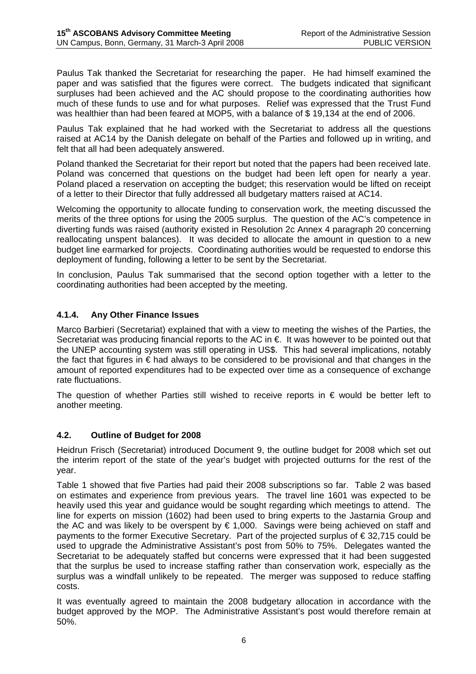Paulus Tak thanked the Secretariat for researching the paper. He had himself examined the paper and was satisfied that the figures were correct. The budgets indicated that significant surpluses had been achieved and the AC should propose to the coordinating authorities how much of these funds to use and for what purposes. Relief was expressed that the Trust Fund was healthier than had been feared at MOP5, with a balance of \$ 19,134 at the end of 2006.

Paulus Tak explained that he had worked with the Secretariat to address all the questions raised at AC14 by the Danish delegate on behalf of the Parties and followed up in writing, and felt that all had been adequately answered.

Poland thanked the Secretariat for their report but noted that the papers had been received late. Poland was concerned that questions on the budget had been left open for nearly a year. Poland placed a reservation on accepting the budget; this reservation would be lifted on receipt of a letter to their Director that fully addressed all budgetary matters raised at AC14.

Welcoming the opportunity to allocate funding to conservation work, the meeting discussed the merits of the three options for using the 2005 surplus. The question of the AC's competence in diverting funds was raised (authority existed in Resolution 2c Annex 4 paragraph 20 concerning reallocating unspent balances). It was decided to allocate the amount in question to a new budget line earmarked for projects. Coordinating authorities would be requested to endorse this deployment of funding, following a letter to be sent by the Secretariat.

In conclusion, Paulus Tak summarised that the second option together with a letter to the coordinating authorities had been accepted by the meeting.

## **4.1.4. Any Other Finance Issues**

Marco Barbieri (Secretariat) explained that with a view to meeting the wishes of the Parties, the Secretariat was producing financial reports to the AC in €. It was however to be pointed out that the UNEP accounting system was still operating in US\$. This had several implications, notably the fact that figures in  $\epsilon$  had always to be considered to be provisional and that changes in the amount of reported expenditures had to be expected over time as a consequence of exchange rate fluctuations.

The question of whether Parties still wished to receive reports in  $\epsilon$  would be better left to another meeting.

#### **4.2. Outline of Budget for 2008**

Heidrun Frisch (Secretariat) introduced Document 9, the outline budget for 2008 which set out the interim report of the state of the year's budget with projected outturns for the rest of the year.

Table 1 showed that five Parties had paid their 2008 subscriptions so far. Table 2 was based on estimates and experience from previous years. The travel line 1601 was expected to be heavily used this year and guidance would be sought regarding which meetings to attend. The line for experts on mission (1602) had been used to bring experts to the Jastarnia Group and the AC and was likely to be overspent by € 1,000. Savings were being achieved on staff and payments to the former Executive Secretary. Part of the projected surplus of € 32,715 could be used to upgrade the Administrative Assistant's post from 50% to 75%. Delegates wanted the Secretariat to be adequately staffed but concerns were expressed that it had been suggested that the surplus be used to increase staffing rather than conservation work, especially as the surplus was a windfall unlikely to be repeated. The merger was supposed to reduce staffing costs.

It was eventually agreed to maintain the 2008 budgetary allocation in accordance with the budget approved by the MOP. The Administrative Assistant's post would therefore remain at 50%.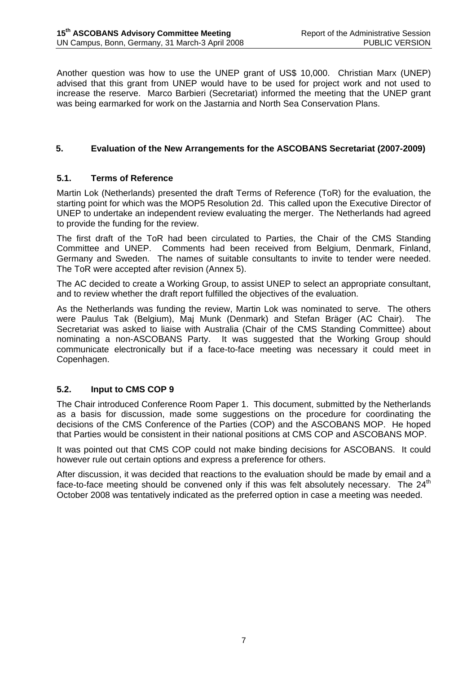Another question was how to use the UNEP grant of US\$ 10,000. Christian Marx (UNEP) advised that this grant from UNEP would have to be used for project work and not used to increase the reserve. Marco Barbieri (Secretariat) informed the meeting that the UNEP grant was being earmarked for work on the Jastarnia and North Sea Conservation Plans.

#### **5. Evaluation of the New Arrangements for the ASCOBANS Secretariat (2007-2009)**

#### **5.1. Terms of Reference**

Martin Lok (Netherlands) presented the draft Terms of Reference (ToR) for the evaluation, the starting point for which was the MOP5 Resolution 2d. This called upon the Executive Director of UNEP to undertake an independent review evaluating the merger. The Netherlands had agreed to provide the funding for the review.

The first draft of the ToR had been circulated to Parties, the Chair of the CMS Standing Committee and UNEP. Comments had been received from Belgium, Denmark, Finland, Germany and Sweden. The names of suitable consultants to invite to tender were needed. The ToR were accepted after revision (Annex 5).

The AC decided to create a Working Group, to assist UNEP to select an appropriate consultant, and to review whether the draft report fulfilled the objectives of the evaluation.

As the Netherlands was funding the review, Martin Lok was nominated to serve. The others were Paulus Tak (Belgium), Maj Munk (Denmark) and Stefan Bräger (AC Chair). The Secretariat was asked to liaise with Australia (Chair of the CMS Standing Committee) about nominating a non-ASCOBANS Party. It was suggested that the Working Group should communicate electronically but if a face-to-face meeting was necessary it could meet in Copenhagen.

#### **5.2. Input to CMS COP 9**

The Chair introduced Conference Room Paper 1. This document, submitted by the Netherlands as a basis for discussion, made some suggestions on the procedure for coordinating the decisions of the CMS Conference of the Parties (COP) and the ASCOBANS MOP. He hoped that Parties would be consistent in their national positions at CMS COP and ASCOBANS MOP.

It was pointed out that CMS COP could not make binding decisions for ASCOBANS. It could however rule out certain options and express a preference for others.

After discussion, it was decided that reactions to the evaluation should be made by email and a face-to-face meeting should be convened only if this was felt absolutely necessary. The  $24<sup>th</sup>$ October 2008 was tentatively indicated as the preferred option in case a meeting was needed.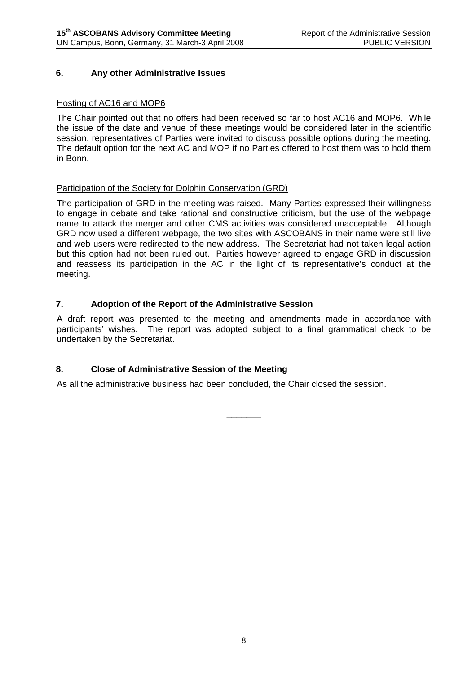#### **6. Any other Administrative Issues**

#### Hosting of AC16 and MOP6

The Chair pointed out that no offers had been received so far to host AC16 and MOP6. While the issue of the date and venue of these meetings would be considered later in the scientific session, representatives of Parties were invited to discuss possible options during the meeting. The default option for the next AC and MOP if no Parties offered to host them was to hold them in Bonn.

#### Participation of the Society for Dolphin Conservation (GRD)

The participation of GRD in the meeting was raised. Many Parties expressed their willingness to engage in debate and take rational and constructive criticism, but the use of the webpage name to attack the merger and other CMS activities was considered unacceptable. Although GRD now used a different webpage, the two sites with ASCOBANS in their name were still live and web users were redirected to the new address. The Secretariat had not taken legal action but this option had not been ruled out. Parties however agreed to engage GRD in discussion and reassess its participation in the AC in the light of its representative's conduct at the meeting.

#### **7. Adoption of the Report of the Administrative Session**

A draft report was presented to the meeting and amendments made in accordance with participants' wishes. The report was adopted subject to a final grammatical check to be undertaken by the Secretariat.

\_\_\_\_\_\_\_

#### **8. Close of Administrative Session of the Meeting**

As all the administrative business had been concluded, the Chair closed the session.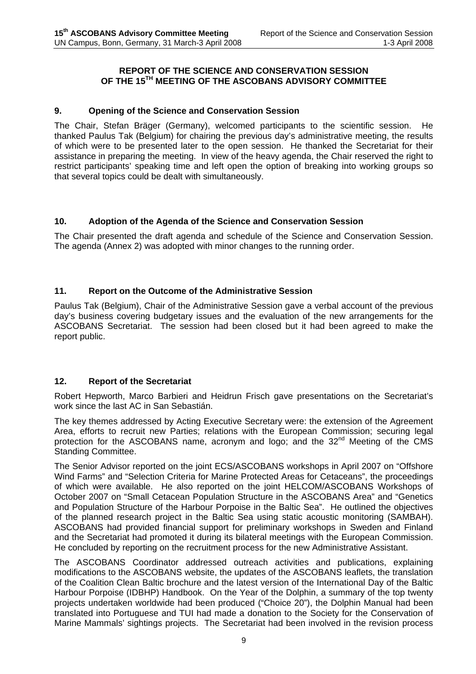#### **REPORT OF THE SCIENCE AND CONSERVATION SESSION OF THE 15TH MEETING OF THE ASCOBANS ADVISORY COMMITTEE**

#### **9. Opening of the Science and Conservation Session**

The Chair, Stefan Bräger (Germany), welcomed participants to the scientific session. He thanked Paulus Tak (Belgium) for chairing the previous day's administrative meeting, the results of which were to be presented later to the open session. He thanked the Secretariat for their assistance in preparing the meeting. In view of the heavy agenda, the Chair reserved the right to restrict participants' speaking time and left open the option of breaking into working groups so that several topics could be dealt with simultaneously.

#### **10. Adoption of the Agenda of the Science and Conservation Session**

The Chair presented the draft agenda and schedule of the Science and Conservation Session. The agenda (Annex 2) was adopted with minor changes to the running order.

#### **11. Report on the Outcome of the Administrative Session**

Paulus Tak (Belgium), Chair of the Administrative Session gave a verbal account of the previous day's business covering budgetary issues and the evaluation of the new arrangements for the ASCOBANS Secretariat. The session had been closed but it had been agreed to make the report public.

#### **12. Report of the Secretariat**

Robert Hepworth, Marco Barbieri and Heidrun Frisch gave presentations on the Secretariat's work since the last AC in San Sebastián.

The key themes addressed by Acting Executive Secretary were: the extension of the Agreement Area, efforts to recruit new Parties; relations with the European Commission; securing legal protection for the ASCOBANS name, acronym and logo; and the 32<sup>nd</sup> Meeting of the CMS Standing Committee.

The Senior Advisor reported on the joint ECS/ASCOBANS workshops in April 2007 on "Offshore Wind Farms" and "Selection Criteria for Marine Protected Areas for Cetaceans", the proceedings of which were available. He also reported on the joint HELCOM/ASCOBANS Workshops of October 2007 on "Small Cetacean Population Structure in the ASCOBANS Area" and "Genetics and Population Structure of the Harbour Porpoise in the Baltic Sea". He outlined the objectives of the planned research project in the Baltic Sea using static acoustic monitoring (SAMBAH). ASCOBANS had provided financial support for preliminary workshops in Sweden and Finland and the Secretariat had promoted it during its bilateral meetings with the European Commission. He concluded by reporting on the recruitment process for the new Administrative Assistant.

The ASCOBANS Coordinator addressed outreach activities and publications, explaining modifications to the ASCOBANS website, the updates of the ASCOBANS leaflets, the translation of the Coalition Clean Baltic brochure and the latest version of the International Day of the Baltic Harbour Porpoise (IDBHP) Handbook. On the Year of the Dolphin, a summary of the top twenty projects undertaken worldwide had been produced ("Choice 20"), the Dolphin Manual had been translated into Portuguese and TUI had made a donation to the Society for the Conservation of Marine Mammals' sightings projects. The Secretariat had been involved in the revision process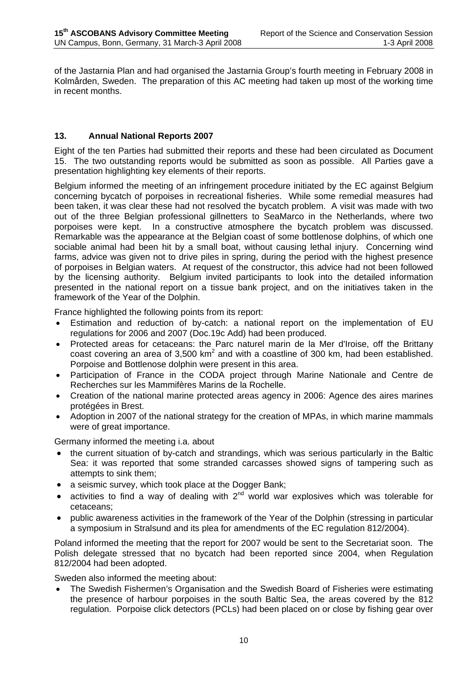of the Jastarnia Plan and had organised the Jastarnia Group's fourth meeting in February 2008 in Kolmården, Sweden. The preparation of this AC meeting had taken up most of the working time in recent months.

#### **13. Annual National Reports 2007**

Eight of the ten Parties had submitted their reports and these had been circulated as Document 15. The two outstanding reports would be submitted as soon as possible. All Parties gave a presentation highlighting key elements of their reports.

Belgium informed the meeting of an infringement procedure initiated by the EC against Belgium concerning bycatch of porpoises in recreational fisheries. While some remedial measures had been taken, it was clear these had not resolved the bycatch problem. A visit was made with two out of the three Belgian professional gillnetters to SeaMarco in the Netherlands, where two porpoises were kept. In a constructive atmosphere the bycatch problem was discussed. Remarkable was the appearance at the Belgian coast of some bottlenose dolphins, of which one sociable animal had been hit by a small boat, without causing lethal injury. Concerning wind farms, advice was given not to drive piles in spring, during the period with the highest presence of porpoises in Belgian waters. At request of the constructor, this advice had not been followed by the licensing authority. Belgium invited participants to look into the detailed information presented in the national report on a tissue bank project, and on the initiatives taken in the framework of the Year of the Dolphin.

France highlighted the following points from its report:

- Estimation and reduction of by-catch: a national report on the implementation of EU regulations for 2006 and 2007 (Doc.19c Add) had been produced.
- Protected areas for cetaceans: the Parc naturel marin de la Mer d'Iroise, off the Brittany coast covering an area of 3,500 km<sup>2</sup> and with a coastline of 300 km, had been established. Porpoise and Bottlenose dolphin were present in this area.
- Participation of France in the CODA project through Marine Nationale and Centre de Recherches sur les Mammifères Marins de la Rochelle.
- Creation of the national marine protected areas agency in 2006: Agence des aires marines protégées in Brest.
- Adoption in 2007 of the national strategy for the creation of MPAs, in which marine mammals were of great importance.

Germany informed the meeting i.a. about

- the current situation of by-catch and strandings, which was serious particularly in the Baltic Sea: it was reported that some stranded carcasses showed signs of tampering such as attempts to sink them;
- a seismic survey, which took place at the Dogger Bank;
- activities to find a way of dealing with  $2<sup>nd</sup>$  world war explosives which was tolerable for cetaceans;
- public awareness activities in the framework of the Year of the Dolphin (stressing in particular a symposium in Stralsund and its plea for amendments of the EC regulation 812/2004).

Poland informed the meeting that the report for 2007 would be sent to the Secretariat soon. The Polish delegate stressed that no bycatch had been reported since 2004, when Regulation 812/2004 had been adopted.

Sweden also informed the meeting about:

• The Swedish Fishermen's Organisation and the Swedish Board of Fisheries were estimating the presence of harbour porpoises in the south Baltic Sea, the areas covered by the 812 regulation. Porpoise click detectors (PCLs) had been placed on or close by fishing gear over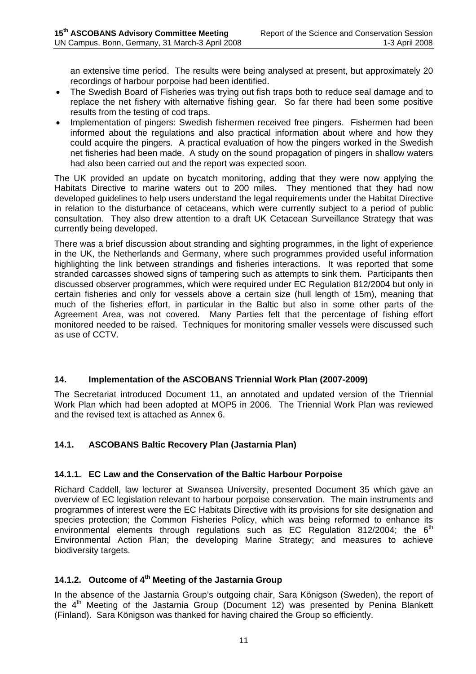an extensive time period. The results were being analysed at present, but approximately 20 recordings of harbour porpoise had been identified.

- The Swedish Board of Fisheries was trying out fish traps both to reduce seal damage and to replace the net fishery with alternative fishing gear. So far there had been some positive results from the testing of cod traps.
- Implementation of pingers: Swedish fishermen received free pingers. Fishermen had been informed about the regulations and also practical information about where and how they could acquire the pingers. A practical evaluation of how the pingers worked in the Swedish net fisheries had been made. A study on the sound propagation of pingers in shallow waters had also been carried out and the report was expected soon.

The UK provided an update on bycatch monitoring, adding that they were now applying the Habitats Directive to marine waters out to 200 miles. They mentioned that they had now developed guidelines to help users understand the legal requirements under the Habitat Directive in relation to the disturbance of cetaceans, which were currently subject to a period of public consultation. They also drew attention to a draft UK Cetacean Surveillance Strategy that was currently being developed.

There was a brief discussion about stranding and sighting programmes, in the light of experience in the UK, the Netherlands and Germany, where such programmes provided useful information highlighting the link between strandings and fisheries interactions. It was reported that some stranded carcasses showed signs of tampering such as attempts to sink them. Participants then discussed observer programmes, which were required under EC Regulation 812/2004 but only in certain fisheries and only for vessels above a certain size (hull length of 15m), meaning that much of the fisheries effort, in particular in the Baltic but also in some other parts of the Agreement Area, was not covered. Many Parties felt that the percentage of fishing effort monitored needed to be raised. Techniques for monitoring smaller vessels were discussed such as use of CCTV.

#### **14. Implementation of the ASCOBANS Triennial Work Plan (2007-2009)**

The Secretariat introduced Document 11, an annotated and updated version of the Triennial Work Plan which had been adopted at MOP5 in 2006. The Triennial Work Plan was reviewed and the revised text is attached as Annex 6.

#### **14.1. ASCOBANS Baltic Recovery Plan (Jastarnia Plan)**

#### **14.1.1. EC Law and the Conservation of the Baltic Harbour Porpoise**

Richard Caddell, law lecturer at Swansea University, presented Document 35 which gave an overview of EC legislation relevant to harbour porpoise conservation. The main instruments and programmes of interest were the EC Habitats Directive with its provisions for site designation and species protection; the Common Fisheries Policy, which was being reformed to enhance its environmental elements through regulations such as EC Regulation 812/2004; the  $6<sup>th</sup>$ Environmental Action Plan; the developing Marine Strategy; and measures to achieve biodiversity targets.

## **14.1.2. Outcome of 4th Meeting of the Jastarnia Group**

In the absence of the Jastarnia Group's outgoing chair, Sara Königson (Sweden), the report of the  $4<sup>th</sup>$  Meeting of the Jastarnia Group (Document 12) was presented by Penina Blankett (Finland). Sara Königson was thanked for having chaired the Group so efficiently.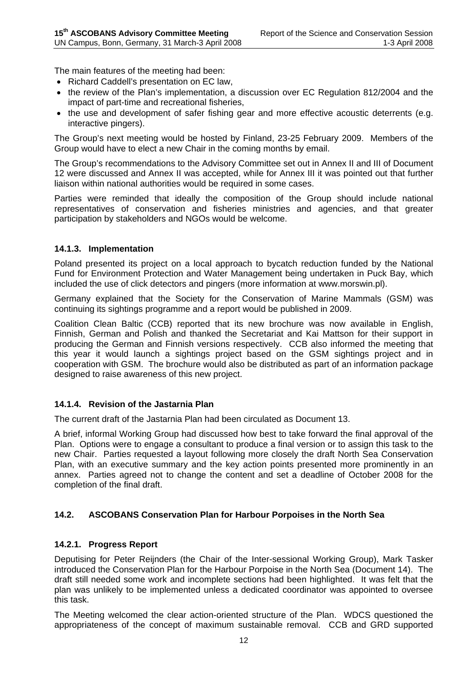The main features of the meeting had been:

- Richard Caddell's presentation on EC law,
- the review of the Plan's implementation, a discussion over EC Regulation 812/2004 and the impact of part-time and recreational fisheries,
- the use and development of safer fishing gear and more effective acoustic deterrents (e.g. interactive pingers).

The Group's next meeting would be hosted by Finland, 23-25 February 2009. Members of the Group would have to elect a new Chair in the coming months by email.

The Group's recommendations to the Advisory Committee set out in Annex II and III of Document 12 were discussed and Annex II was accepted, while for Annex III it was pointed out that further liaison within national authorities would be required in some cases.

Parties were reminded that ideally the composition of the Group should include national representatives of conservation and fisheries ministries and agencies, and that greater participation by stakeholders and NGOs would be welcome.

#### **14.1.3. Implementation**

Poland presented its project on a local approach to bycatch reduction funded by the National Fund for Environment Protection and Water Management being undertaken in Puck Bay, which included the use of click detectors and pingers (more information at www.morswin.pl).

Germany explained that the Society for the Conservation of Marine Mammals (GSM) was continuing its sightings programme and a report would be published in 2009.

Coalition Clean Baltic (CCB) reported that its new brochure was now available in English, Finnish, German and Polish and thanked the Secretariat and Kai Mattson for their support in producing the German and Finnish versions respectively. CCB also informed the meeting that this year it would launch a sightings project based on the GSM sightings project and in cooperation with GSM. The brochure would also be distributed as part of an information package designed to raise awareness of this new project.

#### **14.1.4. Revision of the Jastarnia Plan**

The current draft of the Jastarnia Plan had been circulated as Document 13.

A brief, informal Working Group had discussed how best to take forward the final approval of the Plan. Options were to engage a consultant to produce a final version or to assign this task to the new Chair. Parties requested a layout following more closely the draft North Sea Conservation Plan, with an executive summary and the key action points presented more prominently in an annex. Parties agreed not to change the content and set a deadline of October 2008 for the completion of the final draft.

#### **14.2. ASCOBANS Conservation Plan for Harbour Porpoises in the North Sea**

#### **14.2.1. Progress Report**

Deputising for Peter Reijnders (the Chair of the Inter-sessional Working Group), Mark Tasker introduced the Conservation Plan for the Harbour Porpoise in the North Sea (Document 14). The draft still needed some work and incomplete sections had been highlighted. It was felt that the plan was unlikely to be implemented unless a dedicated coordinator was appointed to oversee this task.

The Meeting welcomed the clear action-oriented structure of the Plan. WDCS questioned the appropriateness of the concept of maximum sustainable removal. CCB and GRD supported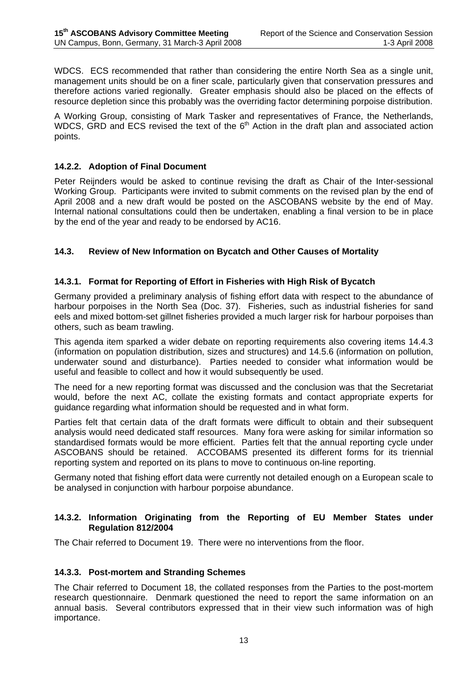WDCS. ECS recommended that rather than considering the entire North Sea as a single unit, management units should be on a finer scale, particularly given that conservation pressures and therefore actions varied regionally. Greater emphasis should also be placed on the effects of resource depletion since this probably was the overriding factor determining porpoise distribution.

A Working Group, consisting of Mark Tasker and representatives of France, the Netherlands, WDCS, GRD and ECS revised the text of the 6<sup>th</sup> Action in the draft plan and associated action points.

#### **14.2.2. Adoption of Final Document**

Peter Reijnders would be asked to continue revising the draft as Chair of the Inter-sessional Working Group. Participants were invited to submit comments on the revised plan by the end of April 2008 and a new draft would be posted on the ASCOBANS website by the end of May. Internal national consultations could then be undertaken, enabling a final version to be in place by the end of the year and ready to be endorsed by AC16.

#### **14.3. Review of New Information on Bycatch and Other Causes of Mortality**

#### **14.3.1. Format for Reporting of Effort in Fisheries with High Risk of Bycatch**

Germany provided a preliminary analysis of fishing effort data with respect to the abundance of harbour porpoises in the North Sea (Doc. 37). Fisheries, such as industrial fisheries for sand eels and mixed bottom-set gillnet fisheries provided a much larger risk for harbour porpoises than others, such as beam trawling.

This agenda item sparked a wider debate on reporting requirements also covering items 14.4.3 (information on population distribution, sizes and structures) and 14.5.6 (information on pollution, underwater sound and disturbance). Parties needed to consider what information would be useful and feasible to collect and how it would subsequently be used.

The need for a new reporting format was discussed and the conclusion was that the Secretariat would, before the next AC, collate the existing formats and contact appropriate experts for guidance regarding what information should be requested and in what form.

Parties felt that certain data of the draft formats were difficult to obtain and their subsequent analysis would need dedicated staff resources. Many fora were asking for similar information so standardised formats would be more efficient. Parties felt that the annual reporting cycle under ASCOBANS should be retained. ACCOBAMS presented its different forms for its triennial reporting system and reported on its plans to move to continuous on-line reporting.

Germany noted that fishing effort data were currently not detailed enough on a European scale to be analysed in conjunction with harbour porpoise abundance.

#### **14.3.2. Information Originating from the Reporting of EU Member States under Regulation 812/2004**

The Chair referred to Document 19. There were no interventions from the floor.

#### **14.3.3. Post-mortem and Stranding Schemes**

The Chair referred to Document 18, the collated responses from the Parties to the post-mortem research questionnaire. Denmark questioned the need to report the same information on an annual basis. Several contributors expressed that in their view such information was of high importance.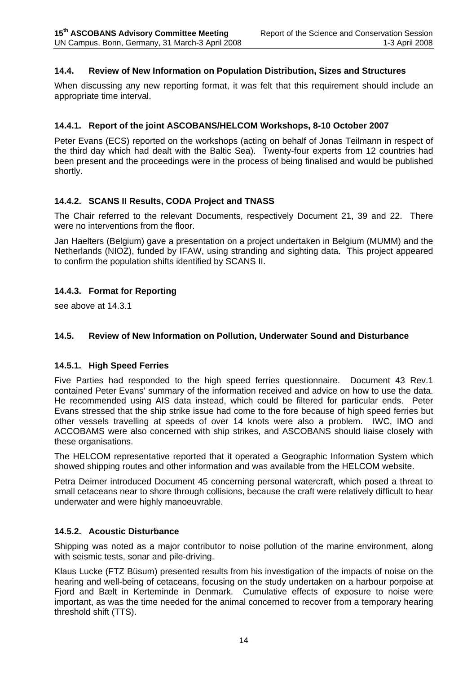#### **14.4. Review of New Information on Population Distribution, Sizes and Structures**

When discussing any new reporting format, it was felt that this requirement should include an appropriate time interval.

#### **14.4.1. Report of the joint ASCOBANS/HELCOM Workshops, 8-10 October 2007**

Peter Evans (ECS) reported on the workshops (acting on behalf of Jonas Teilmann in respect of the third day which had dealt with the Baltic Sea). Twenty-four experts from 12 countries had been present and the proceedings were in the process of being finalised and would be published shortly.

#### **14.4.2. SCANS II Results, CODA Project and TNASS**

The Chair referred to the relevant Documents, respectively Document 21, 39 and 22. There were no interventions from the floor.

Jan Haelters (Belgium) gave a presentation on a project undertaken in Belgium (MUMM) and the Netherlands (NIOZ), funded by IFAW, using stranding and sighting data. This project appeared to confirm the population shifts identified by SCANS II.

#### **14.4.3. Format for Reporting**

see above at 14.3.1

#### **14.5. Review of New Information on Pollution, Underwater Sound and Disturbance**

#### **14.5.1. High Speed Ferries**

Five Parties had responded to the high speed ferries questionnaire. Document 43 Rev.1 contained Peter Evans' summary of the information received and advice on how to use the data. He recommended using AIS data instead, which could be filtered for particular ends. Peter Evans stressed that the ship strike issue had come to the fore because of high speed ferries but other vessels travelling at speeds of over 14 knots were also a problem. IWC, IMO and ACCOBAMS were also concerned with ship strikes, and ASCOBANS should liaise closely with these organisations.

The HELCOM representative reported that it operated a Geographic Information System which showed shipping routes and other information and was available from the HELCOM website.

Petra Deimer introduced Document 45 concerning personal watercraft, which posed a threat to small cetaceans near to shore through collisions, because the craft were relatively difficult to hear underwater and were highly manoeuvrable.

#### **14.5.2. Acoustic Disturbance**

Shipping was noted as a major contributor to noise pollution of the marine environment, along with seismic tests, sonar and pile-driving.

Klaus Lucke (FTZ Büsum) presented results from his investigation of the impacts of noise on the hearing and well-being of cetaceans, focusing on the study undertaken on a harbour porpoise at Fjord and Bælt in Kerteminde in Denmark. Cumulative effects of exposure to noise were important, as was the time needed for the animal concerned to recover from a temporary hearing threshold shift (TTS).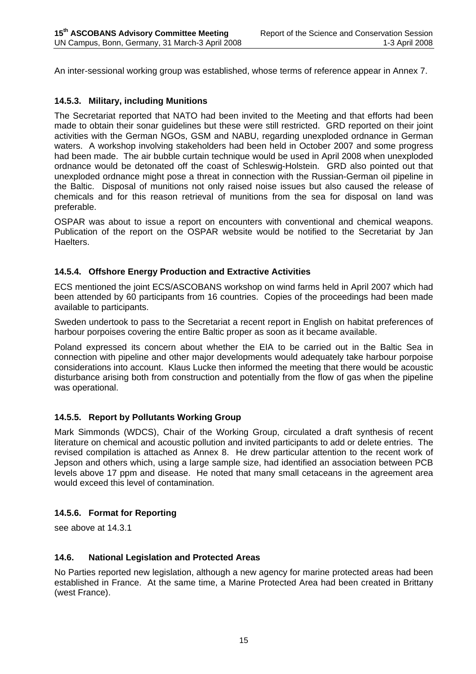An inter-sessional working group was established, whose terms of reference appear in Annex 7.

#### **14.5.3. Military, including Munitions**

The Secretariat reported that NATO had been invited to the Meeting and that efforts had been made to obtain their sonar guidelines but these were still restricted. GRD reported on their joint activities with the German NGOs, GSM and NABU, regarding unexploded ordnance in German waters. A workshop involving stakeholders had been held in October 2007 and some progress had been made. The air bubble curtain technique would be used in April 2008 when unexploded ordnance would be detonated off the coast of Schleswig-Holstein. GRD also pointed out that unexploded ordnance might pose a threat in connection with the Russian-German oil pipeline in the Baltic. Disposal of munitions not only raised noise issues but also caused the release of chemicals and for this reason retrieval of munitions from the sea for disposal on land was preferable.

OSPAR was about to issue a report on encounters with conventional and chemical weapons. Publication of the report on the OSPAR website would be notified to the Secretariat by Jan Haelters.

#### **14.5.4. Offshore Energy Production and Extractive Activities**

ECS mentioned the joint ECS/ASCOBANS workshop on wind farms held in April 2007 which had been attended by 60 participants from 16 countries. Copies of the proceedings had been made available to participants.

Sweden undertook to pass to the Secretariat a recent report in English on habitat preferences of harbour porpoises covering the entire Baltic proper as soon as it became available.

Poland expressed its concern about whether the EIA to be carried out in the Baltic Sea in connection with pipeline and other major developments would adequately take harbour porpoise considerations into account. Klaus Lucke then informed the meeting that there would be acoustic disturbance arising both from construction and potentially from the flow of gas when the pipeline was operational.

#### **14.5.5. Report by Pollutants Working Group**

Mark Simmonds (WDCS), Chair of the Working Group, circulated a draft synthesis of recent literature on chemical and acoustic pollution and invited participants to add or delete entries. The revised compilation is attached as Annex 8. He drew particular attention to the recent work of Jepson and others which, using a large sample size, had identified an association between PCB levels above 17 ppm and disease. He noted that many small cetaceans in the agreement area would exceed this level of contamination.

#### **14.5.6. Format for Reporting**

see above at 14.3.1

#### **14.6. National Legislation and Protected Areas**

No Parties reported new legislation, although a new agency for marine protected areas had been established in France. At the same time, a Marine Protected Area had been created in Brittany (west France).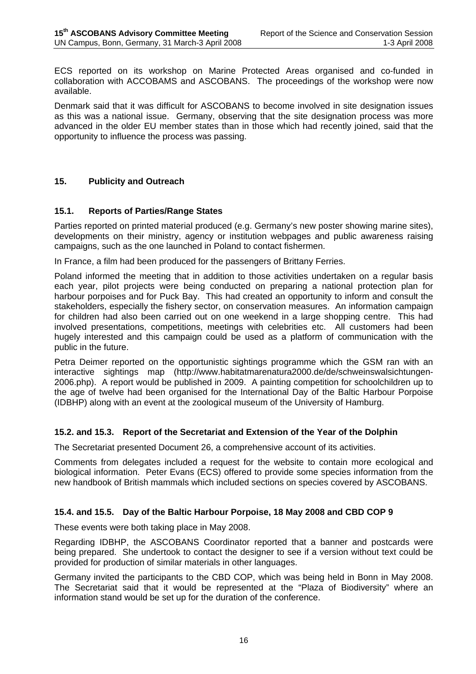ECS reported on its workshop on Marine Protected Areas organised and co-funded in collaboration with ACCOBAMS and ASCOBANS. The proceedings of the workshop were now available.

Denmark said that it was difficult for ASCOBANS to become involved in site designation issues as this was a national issue. Germany, observing that the site designation process was more advanced in the older EU member states than in those which had recently joined, said that the opportunity to influence the process was passing.

#### **15. Publicity and Outreach**

#### **15.1. Reports of Parties/Range States**

Parties reported on printed material produced (e.g. Germany's new poster showing marine sites), developments on their ministry, agency or institution webpages and public awareness raising campaigns, such as the one launched in Poland to contact fishermen.

In France, a film had been produced for the passengers of Brittany Ferries.

Poland informed the meeting that in addition to those activities undertaken on a regular basis each year, pilot projects were being conducted on preparing a national protection plan for harbour porpoises and for Puck Bay. This had created an opportunity to inform and consult the stakeholders, especially the fishery sector, on conservation measures. An information campaign for children had also been carried out on one weekend in a large shopping centre. This had involved presentations, competitions, meetings with celebrities etc. All customers had been hugely interested and this campaign could be used as a platform of communication with the public in the future.

Petra Deimer reported on the opportunistic sightings programme which the GSM ran with an interactive sightings map (http://www.habitatmarenatura2000.de/de/schweinswalsichtungen-2006.php). A report would be published in 2009. A painting competition for schoolchildren up to the age of twelve had been organised for the International Day of the Baltic Harbour Porpoise (IDBHP) along with an event at the zoological museum of the University of Hamburg.

#### **15.2. and 15.3. Report of the Secretariat and Extension of the Year of the Dolphin**

The Secretariat presented Document 26, a comprehensive account of its activities.

Comments from delegates included a request for the website to contain more ecological and biological information. Peter Evans (ECS) offered to provide some species information from the new handbook of British mammals which included sections on species covered by ASCOBANS.

#### **15.4. and 15.5. Day of the Baltic Harbour Porpoise, 18 May 2008 and CBD COP 9**

These events were both taking place in May 2008.

Regarding IDBHP, the ASCOBANS Coordinator reported that a banner and postcards were being prepared. She undertook to contact the designer to see if a version without text could be provided for production of similar materials in other languages.

Germany invited the participants to the CBD COP, which was being held in Bonn in May 2008. The Secretariat said that it would be represented at the "Plaza of Biodiversity" where an information stand would be set up for the duration of the conference.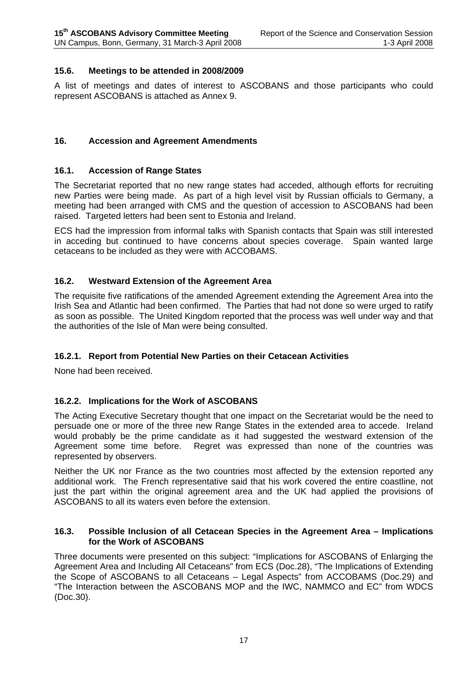#### **15.6. Meetings to be attended in 2008/2009**

A list of meetings and dates of interest to ASCOBANS and those participants who could represent ASCOBANS is attached as Annex 9.

#### **16. Accession and Agreement Amendments**

#### **16.1. Accession of Range States**

The Secretariat reported that no new range states had acceded, although efforts for recruiting new Parties were being made. As part of a high level visit by Russian officials to Germany, a meeting had been arranged with CMS and the question of accession to ASCOBANS had been raised. Targeted letters had been sent to Estonia and Ireland.

ECS had the impression from informal talks with Spanish contacts that Spain was still interested in acceding but continued to have concerns about species coverage. Spain wanted large cetaceans to be included as they were with ACCOBAMS.

#### **16.2. Westward Extension of the Agreement Area**

The requisite five ratifications of the amended Agreement extending the Agreement Area into the Irish Sea and Atlantic had been confirmed. The Parties that had not done so were urged to ratify as soon as possible. The United Kingdom reported that the process was well under way and that the authorities of the Isle of Man were being consulted.

#### **16.2.1. Report from Potential New Parties on their Cetacean Activities**

None had been received.

#### **16.2.2. Implications for the Work of ASCOBANS**

The Acting Executive Secretary thought that one impact on the Secretariat would be the need to persuade one or more of the three new Range States in the extended area to accede. Ireland would probably be the prime candidate as it had suggested the westward extension of the Agreement some time before. Regret was expressed than none of the countries was represented by observers.

Neither the UK nor France as the two countries most affected by the extension reported any additional work. The French representative said that his work covered the entire coastline, not just the part within the original agreement area and the UK had applied the provisions of ASCOBANS to all its waters even before the extension.

#### **16.3. Possible Inclusion of all Cetacean Species in the Agreement Area – Implications for the Work of ASCOBANS**

Three documents were presented on this subject: "Implications for ASCOBANS of Enlarging the Agreement Area and Including All Cetaceans" from ECS (Doc.28), "The Implications of Extending the Scope of ASCOBANS to all Cetaceans – Legal Aspects" from ACCOBAMS (Doc.29) and "The Interaction between the ASCOBANS MOP and the IWC, NAMMCO and EC" from WDCS (Doc.30).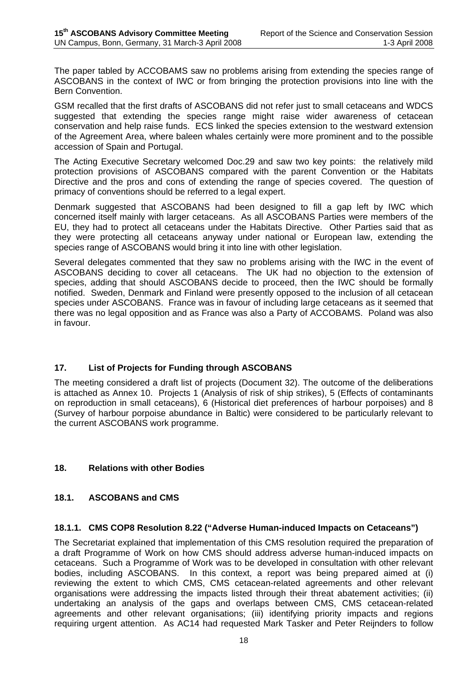The paper tabled by ACCOBAMS saw no problems arising from extending the species range of ASCOBANS in the context of IWC or from bringing the protection provisions into line with the Bern Convention.

GSM recalled that the first drafts of ASCOBANS did not refer just to small cetaceans and WDCS suggested that extending the species range might raise wider awareness of cetacean conservation and help raise funds. ECS linked the species extension to the westward extension of the Agreement Area, where baleen whales certainly were more prominent and to the possible accession of Spain and Portugal.

The Acting Executive Secretary welcomed Doc.29 and saw two key points: the relatively mild protection provisions of ASCOBANS compared with the parent Convention or the Habitats Directive and the pros and cons of extending the range of species covered. The question of primacy of conventions should be referred to a legal expert.

Denmark suggested that ASCOBANS had been designed to fill a gap left by IWC which concerned itself mainly with larger cetaceans. As all ASCOBANS Parties were members of the EU, they had to protect all cetaceans under the Habitats Directive. Other Parties said that as they were protecting all cetaceans anyway under national or European law, extending the species range of ASCOBANS would bring it into line with other legislation.

Several delegates commented that they saw no problems arising with the IWC in the event of ASCOBANS deciding to cover all cetaceans. The UK had no objection to the extension of species, adding that should ASCOBANS decide to proceed, then the IWC should be formally notified. Sweden, Denmark and Finland were presently opposed to the inclusion of all cetacean species under ASCOBANS. France was in favour of including large cetaceans as it seemed that there was no legal opposition and as France was also a Party of ACCOBAMS. Poland was also in favour.

#### **17. List of Projects for Funding through ASCOBANS**

The meeting considered a draft list of projects (Document 32). The outcome of the deliberations is attached as Annex 10. Projects 1 (Analysis of risk of ship strikes), 5 (Effects of contaminants on reproduction in small cetaceans), 6 (Historical diet preferences of harbour porpoises) and 8 (Survey of harbour porpoise abundance in Baltic) were considered to be particularly relevant to the current ASCOBANS work programme.

#### **18. Relations with other Bodies**

#### **18.1. ASCOBANS and CMS**

#### **18.1.1. CMS COP8 Resolution 8.22 ("Adverse Human-induced Impacts on Cetaceans")**

The Secretariat explained that implementation of this CMS resolution required the preparation of a draft Programme of Work on how CMS should address adverse human-induced impacts on cetaceans. Such a Programme of Work was to be developed in consultation with other relevant bodies, including ASCOBANS. In this context, a report was being prepared aimed at (i) reviewing the extent to which CMS, CMS cetacean-related agreements and other relevant organisations were addressing the impacts listed through their threat abatement activities; (ii) undertaking an analysis of the gaps and overlaps between CMS, CMS cetacean-related agreements and other relevant organisations; (iii) identifying priority impacts and regions requiring urgent attention. As AC14 had requested Mark Tasker and Peter Reijnders to follow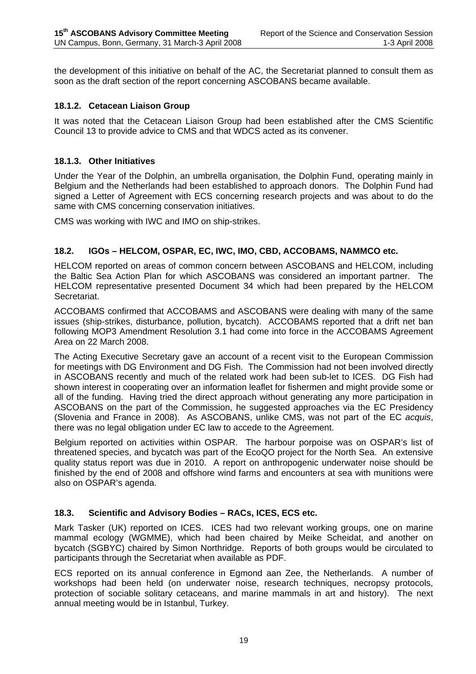the development of this initiative on behalf of the AC, the Secretariat planned to consult them as soon as the draft section of the report concerning ASCOBANS became available.

#### **18.1.2. Cetacean Liaison Group**

It was noted that the Cetacean Liaison Group had been established after the CMS Scientific Council 13 to provide advice to CMS and that WDCS acted as its convener.

#### **18.1.3. Other Initiatives**

Under the Year of the Dolphin, an umbrella organisation, the Dolphin Fund, operating mainly in Belgium and the Netherlands had been established to approach donors. The Dolphin Fund had signed a Letter of Agreement with ECS concerning research projects and was about to do the same with CMS concerning conservation initiatives.

CMS was working with IWC and IMO on ship-strikes.

#### **18.2. IGOs – HELCOM, OSPAR, EC, IWC, IMO, CBD, ACCOBAMS, NAMMCO etc.**

HELCOM reported on areas of common concern between ASCOBANS and HELCOM, including the Baltic Sea Action Plan for which ASCOBANS was considered an important partner. The HELCOM representative presented Document 34 which had been prepared by the HELCOM Secretariat.

ACCOBAMS confirmed that ACCOBAMS and ASCOBANS were dealing with many of the same issues (ship-strikes, disturbance, pollution, bycatch). ACCOBAMS reported that a drift net ban following MOP3 Amendment Resolution 3.1 had come into force in the ACCOBAMS Agreement Area on 22 March 2008.

The Acting Executive Secretary gave an account of a recent visit to the European Commission for meetings with DG Environment and DG Fish. The Commission had not been involved directly in ASCOBANS recently and much of the related work had been sub-let to ICES. DG Fish had shown interest in cooperating over an information leaflet for fishermen and might provide some or all of the funding. Having tried the direct approach without generating any more participation in ASCOBANS on the part of the Commission, he suggested approaches via the EC Presidency (Slovenia and France in 2008). As ASCOBANS, unlike CMS, was not part of the EC *acquis*, there was no legal obligation under EC law to accede to the Agreement.

Belgium reported on activities within OSPAR. The harbour porpoise was on OSPAR's list of threatened species, and bycatch was part of the EcoQO project for the North Sea. An extensive quality status report was due in 2010. A report on anthropogenic underwater noise should be finished by the end of 2008 and offshore wind farms and encounters at sea with munitions were also on OSPAR's agenda.

#### **18.3. Scientific and Advisory Bodies – RACs, ICES, ECS etc.**

Mark Tasker (UK) reported on ICES. ICES had two relevant working groups, one on marine mammal ecology (WGMME), which had been chaired by Meike Scheidat, and another on bycatch (SGBYC) chaired by Simon Northridge. Reports of both groups would be circulated to participants through the Secretariat when available as PDF.

ECS reported on its annual conference in Egmond aan Zee, the Netherlands. A number of workshops had been held (on underwater noise, research techniques, necropsy protocols, protection of sociable solitary cetaceans, and marine mammals in art and history). The next annual meeting would be in Istanbul, Turkey.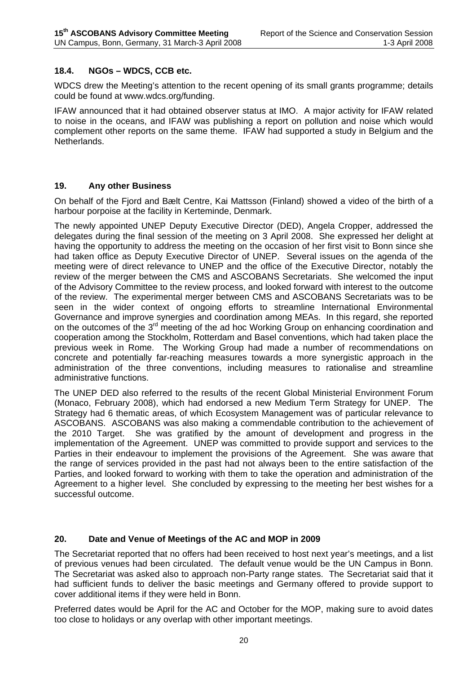#### **18.4. NGOs – WDCS, CCB etc.**

WDCS drew the Meeting's attention to the recent opening of its small grants programme; details could be found at www.wdcs.org/funding.

IFAW announced that it had obtained observer status at IMO. A major activity for IFAW related to noise in the oceans, and IFAW was publishing a report on pollution and noise which would complement other reports on the same theme. IFAW had supported a study in Belgium and the Netherlands.

#### **19. Any other Business**

On behalf of the Fjord and Bælt Centre, Kai Mattsson (Finland) showed a video of the birth of a harbour porpoise at the facility in Kerteminde, Denmark.

The newly appointed UNEP Deputy Executive Director (DED), Angela Cropper, addressed the delegates during the final session of the meeting on 3 April 2008. She expressed her delight at having the opportunity to address the meeting on the occasion of her first visit to Bonn since she had taken office as Deputy Executive Director of UNEP. Several issues on the agenda of the meeting were of direct relevance to UNEP and the office of the Executive Director, notably the review of the merger between the CMS and ASCOBANS Secretariats. She welcomed the input of the Advisory Committee to the review process, and looked forward with interest to the outcome of the review. The experimental merger between CMS and ASCOBANS Secretariats was to be seen in the wider context of ongoing efforts to streamline International Environmental Governance and improve synergies and coordination among MEAs. In this regard, she reported on the outcomes of the 3<sup>rd</sup> meeting of the ad hoc Working Group on enhancing coordination and cooperation among the Stockholm, Rotterdam and Basel conventions, which had taken place the previous week in Rome. The Working Group had made a number of recommendations on concrete and potentially far-reaching measures towards a more synergistic approach in the administration of the three conventions, including measures to rationalise and streamline administrative functions.

The UNEP DED also referred to the results of the recent Global Ministerial Environment Forum (Monaco, February 2008), which had endorsed a new Medium Term Strategy for UNEP. The Strategy had 6 thematic areas, of which Ecosystem Management was of particular relevance to ASCOBANS. ASCOBANS was also making a commendable contribution to the achievement of the 2010 Target. She was gratified by the amount of development and progress in the implementation of the Agreement. UNEP was committed to provide support and services to the Parties in their endeavour to implement the provisions of the Agreement. She was aware that the range of services provided in the past had not always been to the entire satisfaction of the Parties, and looked forward to working with them to take the operation and administration of the Agreement to a higher level. She concluded by expressing to the meeting her best wishes for a successful outcome.

#### **20. Date and Venue of Meetings of the AC and MOP in 2009**

The Secretariat reported that no offers had been received to host next year's meetings, and a list of previous venues had been circulated. The default venue would be the UN Campus in Bonn. The Secretariat was asked also to approach non-Party range states. The Secretariat said that it had sufficient funds to deliver the basic meetings and Germany offered to provide support to cover additional items if they were held in Bonn.

Preferred dates would be April for the AC and October for the MOP, making sure to avoid dates too close to holidays or any overlap with other important meetings.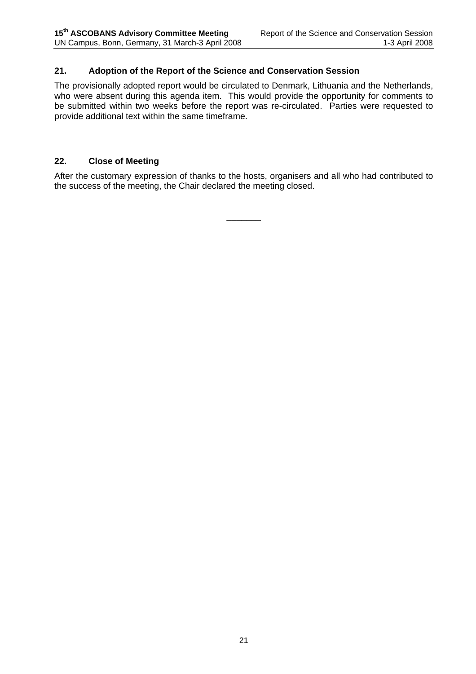#### **21. Adoption of the Report of the Science and Conservation Session**

The provisionally adopted report would be circulated to Denmark, Lithuania and the Netherlands, who were absent during this agenda item. This would provide the opportunity for comments to be submitted within two weeks before the report was re-circulated. Parties were requested to provide additional text within the same timeframe.

#### **22. Close of Meeting**

After the customary expression of thanks to the hosts, organisers and all who had contributed to the success of the meeting, the Chair declared the meeting closed.

\_\_\_\_\_\_\_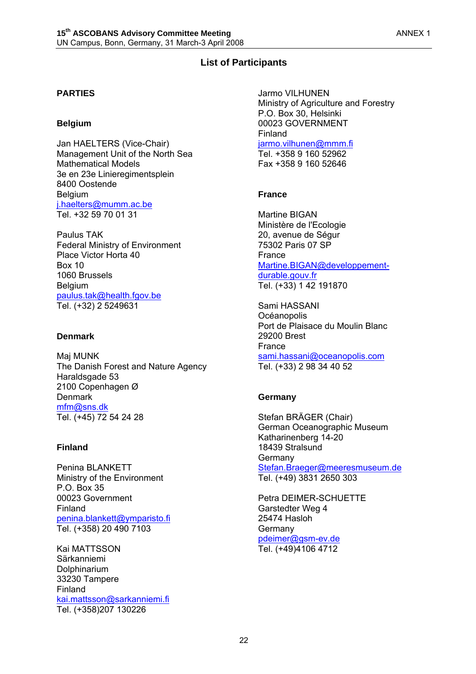## **List of Participants**

#### **PARTIES**

#### **Belgium**

Jan HAELTERS (Vice-Chair) Management Unit of the North Sea Mathematical Models 3e en 23e Linieregimentsplein 8400 Oostende Belgium j.haelters@mumm.ac.be Tel. +32 59 70 01 31

Paulus TAK Federal Ministry of Environment Place Victor Horta 40 Box 10 1060 Brussels Belgium paulus.tak@health.fgov.be Tel. (+32) 2 5249631

#### **Denmark**

Maj MUNK The Danish Forest and Nature Agency Haraldsgade 53 2100 Copenhagen Ø **Denmark** mfm@sns.dk Tel. (+45) 72 54 24 28

#### **Finland**

Penina BLANKETT Ministry of the Environment  $P$   $O$  Box 35 00023 Government Finland penina.blankett@ymparisto.fi Tel. (+358) 20 490 7103

Kai MATTSSON Särkanniemi Dolphinarium 33230 Tampere Finland kai.mattsson@sarkanniemi.fi Tel. (+358)207 130226

Jarmo VILHUNEN Ministry of Agriculture and Forestry P.O. Box 30, Helsinki 00023 GOVERNMENT Finland jarmo.vilhunen@mmm.fi Tel. +358 9 160 52962 Fax +358 9 160 52646

#### **France**

Martine BIGAN Ministère de l'Ecologie 20, avenue de Ségur 75302 Paris 07 SP France Martine.BIGAN@developpementdurable.gouv.fr Tel. (+33) 1 42 191870

Sami HASSANI **Océanopolis** Port de Plaisace du Moulin Blanc 29200 Brest France sami.hassani@oceanopolis.com Tel. (+33) 2 98 34 40 52

#### **Germany**

Stefan BRÄGER (Chair) German Oceanographic Museum Katharinenberg 14-20 18439 Stralsund Germany Stefan.Braeger@meeresmuseum.de Tel. (+49) 3831 2650 303

Petra DEIMER-SCHUETTE Garstedter Weg 4 25474 Hasloh **Germany** pdeimer@gsm-ev.de Tel. (+49)4106 4712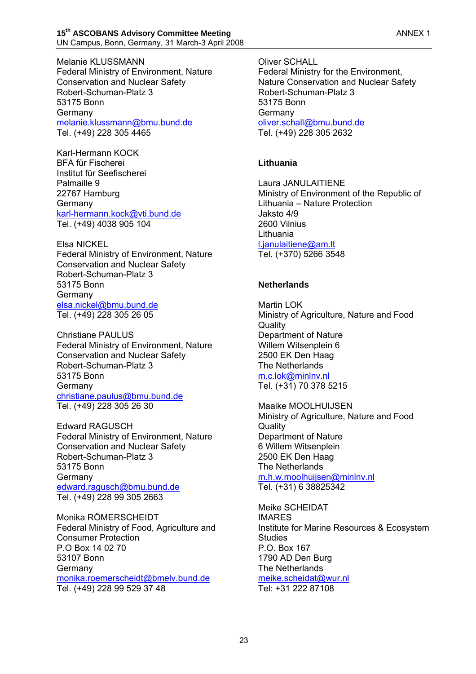Melanie KLUSSMANN Federal Ministry of Environment, Nature Conservation and Nuclear Safety Robert-Schuman-Platz 3 53175 Bonn Germany melanie.klussmann@bmu.bund.de Tel. (+49) 228 305 4465

Karl-Hermann KOCK BFA für Fischerei Institut für Seefischerei Palmaille 9 22767 Hamburg Germany karl-hermann.kock@vti.bund.de Tel. (+49) 4038 905 104

Elsa NICKEL Federal Ministry of Environment, Nature Conservation and Nuclear Safety Robert-Schuman-Platz 3 53175 Bonn Germany elsa.nickel@bmu.bund.de Tel. (+49) 228 305 26 05

Christiane PAULUS Federal Ministry of Environment, Nature Conservation and Nuclear Safety Robert-Schuman-Platz 3 53175 Bonn Germany christiane.paulus@bmu.bund.de Tel. (+49) 228 305 26 30

Edward RAGUSCH Federal Ministry of Environment, Nature Conservation and Nuclear Safety Robert-Schuman-Platz 3 53175 Bonn **Germany** edward.ragusch@bmu.bund.de Tel. (+49) 228 99 305 2663

Monika RÖMERSCHEIDT Federal Ministry of Food, Agriculture and Consumer Protection P.O Box 14 02 70 53107 Bonn Germany monika.roemerscheidt@bmelv.bund.de Tel. (+49) 228 99 529 37 48

Oliver SCHALL Federal Ministry for the Environment, Nature Conservation and Nuclear Safety Robert-Schuman-Platz 3 53175 Bonn **Germany** oliver.schall@bmu.bund.de Tel. (+49) 228 305 2632

#### **Lithuania**

Laura JANULAITIENE Ministry of Environment of the Republic of Lithuania – Nature Protection Jaksto 4/9 2600 Vilnius Lithuania l.janulaitiene@am.lt Tel. (+370) 5266 3548

#### **Netherlands**

Martin LOK Ministry of Agriculture, Nature and Food **Quality** Department of Nature Willem Witsenplein 6 2500 EK Den Haag The Netherlands m.c.lok@minlnv.nl Tel. (+31) 70 378 5215

Maaike MOOLHUIJSEN Ministry of Agriculture, Nature and Food **Quality** Department of Nature 6 Willem Witsenplein 2500 EK Den Haag The Netherlands m.h.w.moolhuijsen@minlnv.nl Tel. (+31) 6 38825342

Meike SCHEIDAT IMARES Institute for Marine Resources & Ecosystem **Studies** P.O. Box 167 1790 AD Den Burg The Netherlands meike.scheidat@wur.nl

Tel: +31 222 87108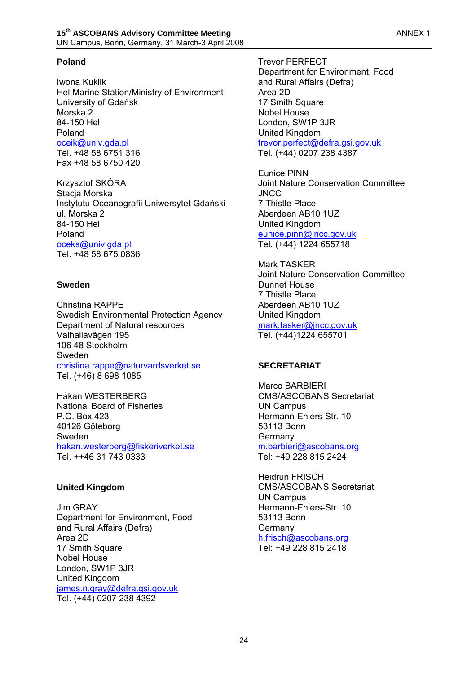#### **Poland**

Iwona Kuklik Hel Marine Station/Ministry of Environment University of Gdańsk Morska 2 84-150 Hel Poland oceik@univ.gda.pl Tel. +48 58 6751 316 Fax +48 58 6750 420

Krzysztof SKÓRA Stacja Morska Instytutu Oceanografii Uniwersytet Gdański ul. Morska 2 84-150 Hel Poland oceks@univ.gda.pl Tel. +48 58 675 0836

#### **Sweden**

Christina RAPPE Swedish Environmental Protection Agency Department of Natural resources Valhallavägen 195 106 48 Stockholm Sweden christina.rappe@naturvardsverket.se Tel. (+46) 8 698 1085

Håkan WESTERBERG National Board of Fisheries P.O. Box 423 40126 Göteborg Sweden hakan.westerberg@fiskeriverket.se Tel. ++46 31 743 0333

#### **United Kingdom**

Jim GRAY Department for Environment, Food and Rural Affairs (Defra) Area 2D 17 Smith Square Nobel House London, SW1P 3JR United Kingdom james.n.gray@defra.gsi.gov.uk Tel. (+44) 0207 238 4392

Trevor PERFECT Department for Environment, Food and Rural Affairs (Defra) Area 2D 17 Smith Square Nobel House London, SW1P 3JR United Kingdom trevor.perfect@defra.gsi.gov.uk Tel. (+44) 0207 238 4387

Eunice PINN Joint Nature Conservation Committee JNCC 7 Thistle Place Aberdeen AB10 1UZ United Kingdom eunice.pinn@jncc.gov.uk Tel. (+44) 1224 655718

Mark TASKER Joint Nature Conservation Committee Dunnet House 7 Thistle Place Aberdeen AB10 1UZ United Kingdom mark.tasker@jncc.gov.uk Tel. (+44)1224 655701

#### **SECRETARIAT**

Marco BARBIERI CMS/ASCOBANS Secretariat UN Campus Hermann-Ehlers-Str. 10 53113 Bonn Germany m.barbieri@ascobans.org Tel: +49 228 815 2424

Heidrun FRISCH CMS/ASCOBANS Secretariat UN Campus Hermann-Ehlers-Str. 10 53113 Bonn **Germany** h.frisch@ascobans.org Tel: +49 228 815 2418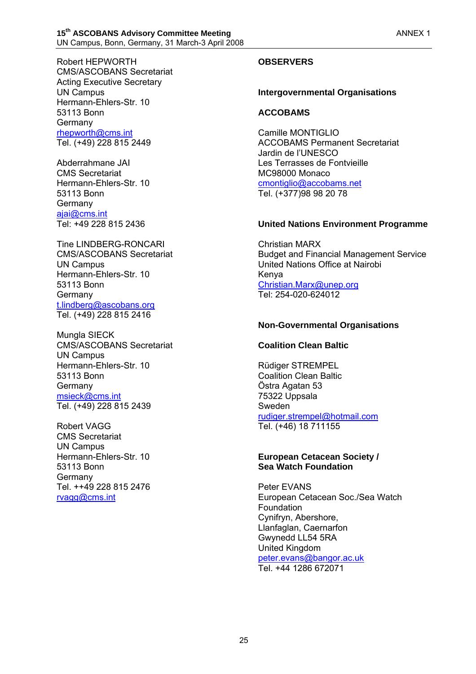Robert HEPWORTH CMS/ASCOBANS Secretariat Acting Executive Secretary UN Campus Hermann-Ehlers-Str. 10 53113 Bonn Germany rhepworth@cms.int Tel. (+49) 228 815 2449

Abderrahmane JAI CMS Secretariat Hermann-Ehlers-Str. 10 53113 Bonn Germany ajai@cms.int Tel: +49 228 815 2436

Tine LINDBERG-RONCARI CMS/ASCOBANS Secretariat UN Campus Hermann-Ehlers-Str. 10 53113 Bonn Germany t.lindberg@ascobans.org Tel. (+49) 228 815 2416

Mungla SIECK CMS/ASCOBANS Secretariat UN Campus Hermann-Ehlers-Str. 10 53113 Bonn Germany msieck@cms.int Tel. (+49) 228 815 2439

Robert VAGG CMS Secretariat UN Campus Hermann-Ehlers-Str. 10 53113 Bonn **Germany** Tel. ++49 228 815 2476 rvagg@cms.int

## **OBSERVERS**

#### **Intergovernmental Organisations**

#### **ACCOBAMS**

Camille MONTIGLIO ACCOBAMS Permanent Secretariat Jardin de l'UNESCO Les Terrasses de Fontvieille MC98000 Monaco cmontiglio@accobams.net Tel. (+377)98 98 20 78

#### **United Nations Environment Programme**

Christian MARX Budget and Financial Management Service United Nations Office at Nairobi Kenya Christian.Marx@unep.org Tel: 254-020-624012

#### **Non-Governmental Organisations**

#### **Coalition Clean Baltic**

Rüdiger STREMPEL Coalition Clean Baltic Östra Agatan 53 75322 Uppsala Sweden rudiger.strempel@hotmail.com Tel. (+46) 18 711155

#### **European Cetacean Society / Sea Watch Foundation**

Peter EVANS European Cetacean Soc./Sea Watch Foundation Cynifryn, Abershore, Llanfaglan, Caernarfon Gwynedd LL54 5RA United Kingdom peter.evans@bangor.ac.uk Tel. +44 1286 672071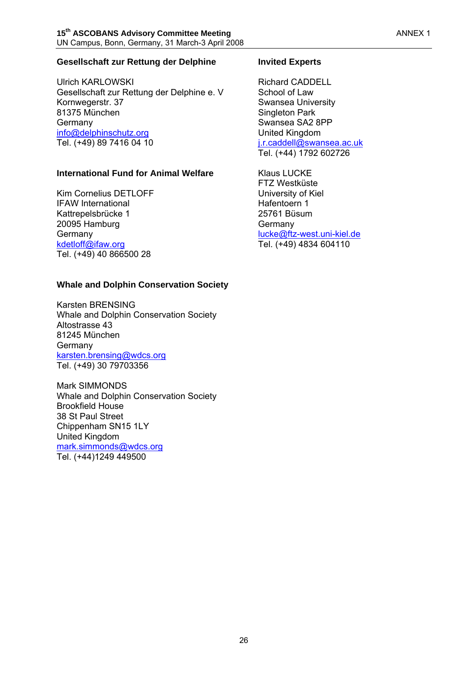#### **Gesellschaft zur Rettung der Delphine**

Ulrich KARLOWSKI Gesellschaft zur Rettung der Delphine e. V Kornwegerstr. 37 81375 München Germany info@delphinschutz.org Tel. (+49) 89 7416 04 10

#### **International Fund for Animal Welfare**

Kim Cornelius DETLOFF IFAW International Kattrepelsbrücke 1 20095 Hamburg Germany kdetloff@ifaw.org Tel. (+49) 40 866500 28

#### **Whale and Dolphin Conservation Society**

Karsten BRENSING Whale and Dolphin Conservation Society Altostrasse 43 81245 München Germany karsten.brensing@wdcs.org Tel. (+49) 30 79703356

Mark SIMMONDS Whale and Dolphin Conservation Society Brookfield House 38 St Paul Street Chippenham SN15 1LY United Kingdom mark.simmonds@wdcs.org Tel. (+44)1249 449500

#### **Invited Experts**

Richard CADDELL School of Law Swansea University Singleton Park Swansea SA2 8PP United Kingdom j.r.caddell@swansea.ac.uk Tel. (+44) 1792 602726

Klaus LUCKE FTZ Westküste University of Kiel Hafentoern 1 25761 Büsum **Germany** lucke@ftz-west.uni-kiel.de Tel. (+49) 4834 604110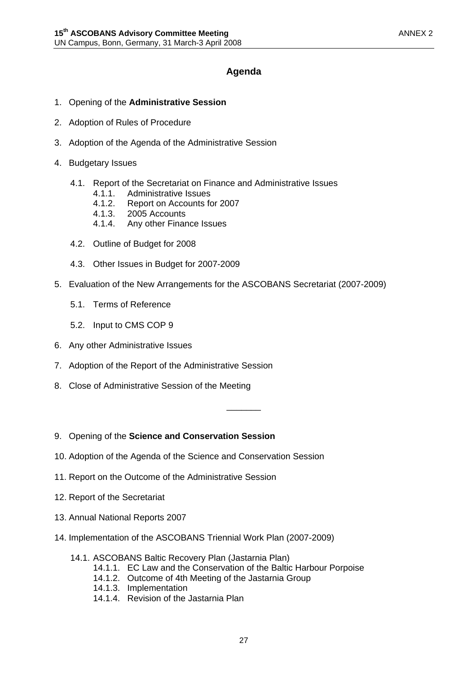## **Agenda**

- 1. Opening of the **Administrative Session**
- 2. Adoption of Rules of Procedure
- 3. Adoption of the Agenda of the Administrative Session
- 4. Budgetary Issues
	- 4.1. Report of the Secretariat on Finance and Administrative Issues
		- 4.1.1. Administrative Issues
		- 4.1.2. Report on Accounts for 2007
		- 4.1.3. 2005 Accounts
		- 4.1.4. Any other Finance Issues
	- 4.2. Outline of Budget for 2008
	- 4.3. Other Issues in Budget for 2007-2009
- 5. Evaluation of the New Arrangements for the ASCOBANS Secretariat (2007-2009)
	- 5.1. Terms of Reference
	- 5.2. Input to CMS COP 9
- 6. Any other Administrative Issues
- 7. Adoption of the Report of the Administrative Session
- 8. Close of Administrative Session of the Meeting
- 9. Opening of the **Science and Conservation Session**
- 10. Adoption of the Agenda of the Science and Conservation Session
- 11. Report on the Outcome of the Administrative Session
- 12. Report of the Secretariat
- 13. Annual National Reports 2007
- 14. Implementation of the ASCOBANS Triennial Work Plan (2007-2009)
	- 14.1. ASCOBANS Baltic Recovery Plan (Jastarnia Plan)
		- 14.1.1. EC Law and the Conservation of the Baltic Harbour Porpoise
		- 14.1.2. Outcome of 4th Meeting of the Jastarnia Group
		- 14.1.3. Implementation
		- 14.1.4. Revision of the Jastarnia Plan

\_\_\_\_\_\_\_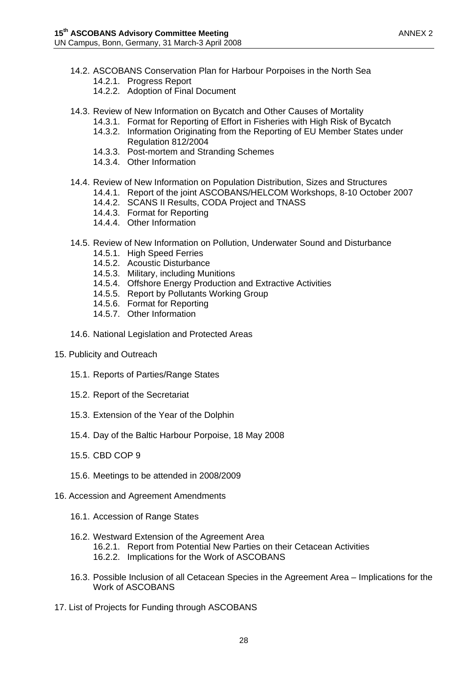- 14.2. ASCOBANS Conservation Plan for Harbour Porpoises in the North Sea 14.2.1. Progress Report
	- 14.2.2. Adoption of Final Document
- 14.3. Review of New Information on Bycatch and Other Causes of Mortality
	- 14.3.1. Format for Reporting of Effort in Fisheries with High Risk of Bycatch
	- 14.3.2. Information Originating from the Reporting of EU Member States under
	- Regulation 812/2004
	- 14.3.3. Post-mortem and Stranding Schemes
	- 14.3.4. Other Information
- 14.4. Review of New Information on Population Distribution, Sizes and Structures
	- 14.4.1. Report of the joint ASCOBANS/HELCOM Workshops, 8-10 October 2007
		- 14.4.2. SCANS II Results, CODA Project and TNASS
		- 14.4.3. Format for Reporting
		- 14.4.4. Other Information
- 14.5. Review of New Information on Pollution, Underwater Sound and Disturbance
	- 14.5.1. High Speed Ferries
	- 14.5.2. Acoustic Disturbance
	- 14.5.3. Military, including Munitions
	- 14.5.4. Offshore Energy Production and Extractive Activities
	- 14.5.5. Report by Pollutants Working Group
	- 14.5.6. Format for Reporting
	- 14.5.7. Other Information
- 14.6. National Legislation and Protected Areas
- 15. Publicity and Outreach
	- 15.1. Reports of Parties/Range States
	- 15.2. Report of the Secretariat
	- 15.3. Extension of the Year of the Dolphin
	- 15.4. Day of the Baltic Harbour Porpoise, 18 May 2008
	- 15.5. CBD COP 9
	- 15.6. Meetings to be attended in 2008/2009
- 16. Accession and Agreement Amendments
	- 16.1. Accession of Range States
	- 16.2. Westward Extension of the Agreement Area 16.2.1. Report from Potential New Parties on their Cetacean Activities 16.2.2. Implications for the Work of ASCOBANS
	- 16.3. Possible Inclusion of all Cetacean Species in the Agreement Area Implications for the Work of ASCOBANS
- 17. List of Projects for Funding through ASCOBANS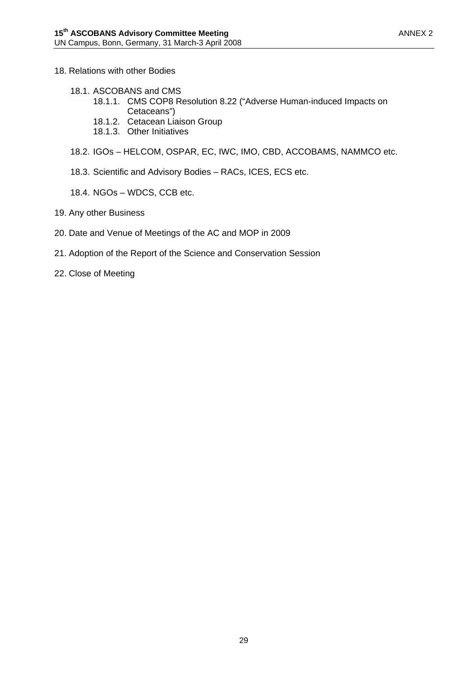- 18. Relations with other Bodies
	- 18.1. ASCOBANS and CMS
		- 18.1.1. CMS COP8 Resolution 8.22 ("Adverse Human-induced Impacts on Cetaceans")
		- 18.1.2. Cetacean Liaison Group
		- 18.1.3. Other Initiatives
	- 18.2. IGOs HELCOM, OSPAR, EC, IWC, IMO, CBD, ACCOBAMS, NAMMCO etc.
	- 18.3. Scientific and Advisory Bodies RACs, ICES, ECS etc.
	- 18.4. NGOs WDCS, CCB etc.
- 19. Any other Business
- 20. Date and Venue of Meetings of the AC and MOP in 2009
- 21. Adoption of the Report of the Science and Conservation Session
- 22. Close of Meeting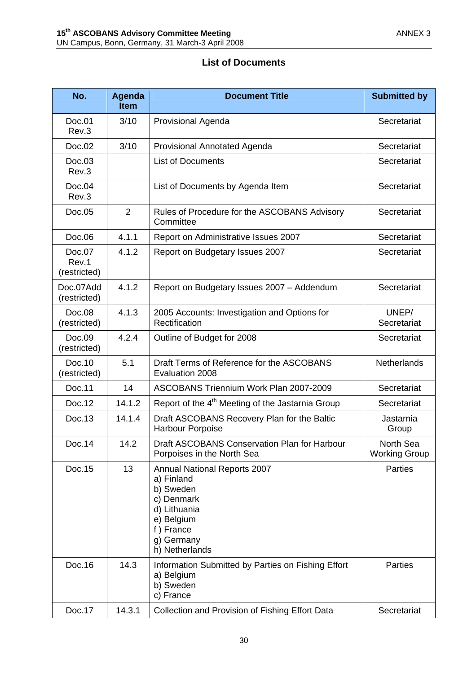| No.                             | <b>Agenda</b><br><b>Item</b> | <b>Document Title</b>                                                                                                                                   | <b>Submitted by</b>               |
|---------------------------------|------------------------------|---------------------------------------------------------------------------------------------------------------------------------------------------------|-----------------------------------|
| Doc.01<br>Rev.3                 | 3/10                         | <b>Provisional Agenda</b>                                                                                                                               | Secretariat                       |
| Doc.02                          | 3/10                         | <b>Provisional Annotated Agenda</b>                                                                                                                     | Secretariat                       |
| Doc.03<br>Rev.3                 |                              | <b>List of Documents</b>                                                                                                                                | Secretariat                       |
| Doc.04<br>Rev.3                 |                              | List of Documents by Agenda Item                                                                                                                        | Secretariat                       |
| Doc.05                          | $\overline{2}$               | Rules of Procedure for the ASCOBANS Advisory<br>Committee                                                                                               | Secretariat                       |
| Doc.06                          | 4.1.1                        | Report on Administrative Issues 2007                                                                                                                    | Secretariat                       |
| Doc.07<br>Rev.1<br>(restricted) | 4.1.2                        | Report on Budgetary Issues 2007                                                                                                                         | Secretariat                       |
| Doc.07Add<br>(restricted)       | 4.1.2                        | Report on Budgetary Issues 2007 - Addendum                                                                                                              | Secretariat                       |
| Doc.08<br>(restricted)          | 4.1.3                        | 2005 Accounts: Investigation and Options for<br>Rectification                                                                                           | UNEP/<br>Secretariat              |
| Doc.09<br>(restricted)          | 4.2.4                        | Outline of Budget for 2008                                                                                                                              | Secretariat                       |
| Doc.10<br>(restricted)          | 5.1                          | Draft Terms of Reference for the ASCOBANS<br>Evaluation 2008                                                                                            | <b>Netherlands</b>                |
| Doc.11                          | 14                           | ASCOBANS Triennium Work Plan 2007-2009                                                                                                                  | Secretariat                       |
| Doc.12                          | 14.1.2                       | Report of the 4 <sup>th</sup> Meeting of the Jastarnia Group                                                                                            | Secretariat                       |
| Doc.13                          | 14.1.4                       | Draft ASCOBANS Recovery Plan for the Baltic<br><b>Harbour Porpoise</b>                                                                                  | Jastarnia<br>Group                |
| Doc.14                          | 14.2                         | Draft ASCOBANS Conservation Plan for Harbour<br>Porpoises in the North Sea                                                                              | North Sea<br><b>Working Group</b> |
| Doc.15                          | 13                           | <b>Annual National Reports 2007</b><br>a) Finland<br>b) Sweden<br>c) Denmark<br>d) Lithuania<br>e) Belgium<br>f) France<br>g) Germany<br>h) Netherlands | Parties                           |
| Doc.16                          | 14.3                         | Information Submitted by Parties on Fishing Effort<br>a) Belgium<br>b) Sweden<br>c) France                                                              | Parties                           |
| Doc.17                          | 14.3.1                       | Collection and Provision of Fishing Effort Data                                                                                                         | Secretariat                       |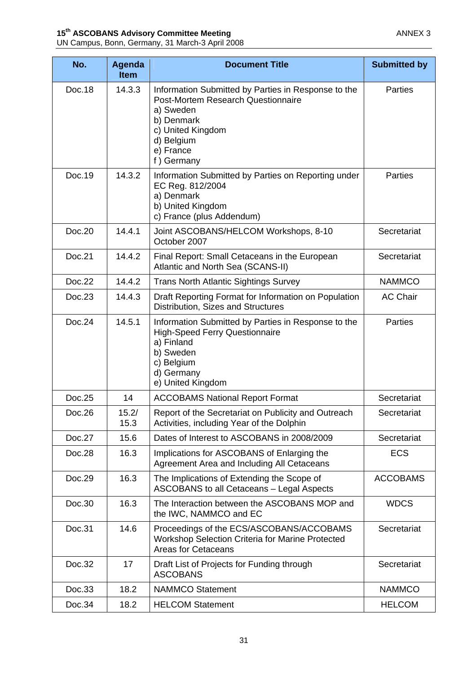|--|

| No.    | Agenda<br><b>Item</b> | <b>Document Title</b>                                                                                                                                                              | <b>Submitted by</b> |
|--------|-----------------------|------------------------------------------------------------------------------------------------------------------------------------------------------------------------------------|---------------------|
| Doc.18 | 14.3.3                | Information Submitted by Parties in Response to the<br>Post-Mortem Research Questionnaire<br>a) Sweden<br>b) Denmark<br>c) United Kingdom<br>d) Belgium<br>e) France<br>f) Germany | Parties             |
| Doc.19 | 14.3.2                | Information Submitted by Parties on Reporting under<br>EC Reg. 812/2004<br>a) Denmark<br>b) United Kingdom<br>c) France (plus Addendum)                                            | <b>Parties</b>      |
| Doc.20 | 14.4.1                | Joint ASCOBANS/HELCOM Workshops, 8-10<br>October 2007                                                                                                                              | Secretariat         |
| Doc.21 | 14.4.2                | Final Report: Small Cetaceans in the European<br>Atlantic and North Sea (SCANS-II)                                                                                                 | Secretariat         |
| Doc.22 | 14.4.2                | <b>Trans North Atlantic Sightings Survey</b>                                                                                                                                       | <b>NAMMCO</b>       |
| Doc.23 | 14.4.3                | Draft Reporting Format for Information on Population<br>Distribution, Sizes and Structures                                                                                         | <b>AC Chair</b>     |
| Doc.24 | 14.5.1                | Information Submitted by Parties in Response to the<br><b>High-Speed Ferry Questionnaire</b><br>a) Finland<br>b) Sweden<br>c) Belgium<br>d) Germany<br>e) United Kingdom           | Parties             |
| Doc.25 | 14                    | <b>ACCOBAMS National Report Format</b>                                                                                                                                             | Secretariat         |
| Doc.26 | 15.2/<br>15.3         | Report of the Secretariat on Publicity and Outreach<br>Activities, including Year of the Dolphin                                                                                   | Secretariat         |
| Doc.27 | 15.6                  | Dates of Interest to ASCOBANS in 2008/2009                                                                                                                                         | Secretariat         |
| Doc.28 | 16.3                  | Implications for ASCOBANS of Enlarging the<br>Agreement Area and Including All Cetaceans                                                                                           | <b>ECS</b>          |
| Doc.29 | 16.3                  | The Implications of Extending the Scope of<br>ASCOBANS to all Cetaceans - Legal Aspects                                                                                            | <b>ACCOBAMS</b>     |
| Doc.30 | 16.3                  | The Interaction between the ASCOBANS MOP and<br>the IWC, NAMMCO and EC                                                                                                             | <b>WDCS</b>         |
| Doc.31 | 14.6                  | Proceedings of the ECS/ASCOBANS/ACCOBAMS<br>Workshop Selection Criteria for Marine Protected<br><b>Areas for Cetaceans</b>                                                         | Secretariat         |
| Doc.32 | 17                    | Draft List of Projects for Funding through<br><b>ASCOBANS</b>                                                                                                                      | Secretariat         |
| Doc.33 | 18.2                  | <b>NAMMCO Statement</b>                                                                                                                                                            | <b>NAMMCO</b>       |
| Doc.34 | 18.2                  | <b>HELCOM Statement</b>                                                                                                                                                            | <b>HELCOM</b>       |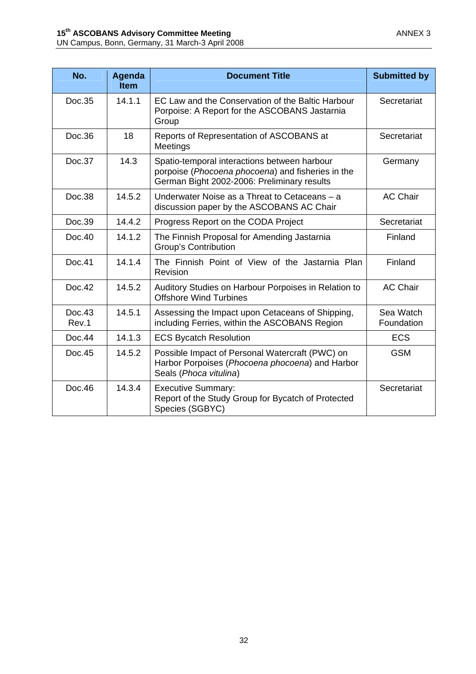| No.             | Agenda<br><b>Item</b> | <b>Document Title</b>                                                                                                                            | <b>Submitted by</b>     |
|-----------------|-----------------------|--------------------------------------------------------------------------------------------------------------------------------------------------|-------------------------|
| Doc.35          | 14.1.1                | EC Law and the Conservation of the Baltic Harbour<br>Porpoise: A Report for the ASCOBANS Jastarnia<br>Group                                      | Secretariat             |
| Doc.36          | 18                    | Reports of Representation of ASCOBANS at<br>Meetings                                                                                             | Secretariat             |
| Doc.37          | 14.3                  | Spatio-temporal interactions between harbour<br>porpoise (Phocoena phocoena) and fisheries in the<br>German Bight 2002-2006: Preliminary results | Germany                 |
| Doc.38          | 14.5.2                | Underwater Noise as a Threat to Cetaceans - a<br>discussion paper by the ASCOBANS AC Chair                                                       | <b>AC Chair</b>         |
| Doc.39          | 14.4.2                | Progress Report on the CODA Project                                                                                                              | Secretariat             |
| Doc.40          | 14.1.2                | The Finnish Proposal for Amending Jastarnia<br><b>Group's Contribution</b>                                                                       | Finland                 |
| Doc.41          | 14.1.4                | The Finnish Point of View of the Jastarnia Plan<br>Revision                                                                                      | Finland                 |
| Doc.42          | 14.5.2                | Auditory Studies on Harbour Porpoises in Relation to<br><b>Offshore Wind Turbines</b>                                                            | <b>AC Chair</b>         |
| Doc.43<br>Rev.1 | 14.5.1                | Assessing the Impact upon Cetaceans of Shipping,<br>including Ferries, within the ASCOBANS Region                                                | Sea Watch<br>Foundation |
| Doc.44          | 14.1.3                | <b>ECS Bycatch Resolution</b>                                                                                                                    | <b>ECS</b>              |
| Doc.45          | 14.5.2                | Possible Impact of Personal Watercraft (PWC) on<br>Harbor Porpoises (Phocoena phocoena) and Harbor<br>Seals (Phoca vitulina)                     | <b>GSM</b>              |
| Doc.46          | 14.3.4                | <b>Executive Summary:</b><br>Report of the Study Group for Bycatch of Protected<br>Species (SGBYC)                                               | Secretariat             |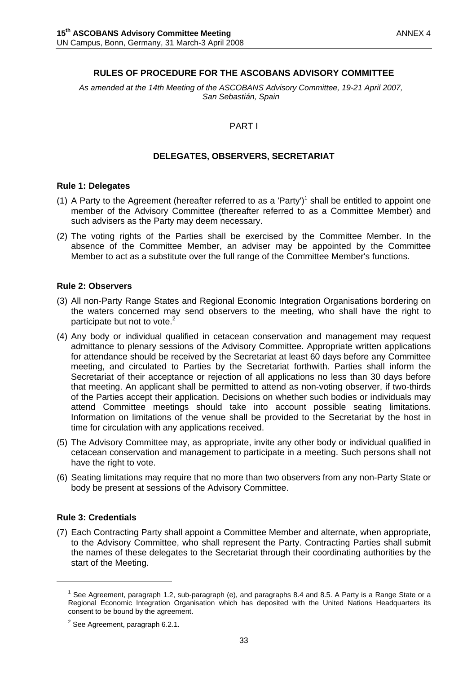#### **RULES OF PROCEDURE FOR THE ASCOBANS ADVISORY COMMITTEE**

*As amended at the 14th Meeting of the ASCOBANS Advisory Committee, 19-21 April 2007, San Sebastián, Spain* 

#### PART I

#### **DELEGATES, OBSERVERS, SECRETARIAT**

#### **Rule 1: Delegates**

- (1) A Party to the Agreement (hereafter referred to as a 'Party')<sup>1</sup> shall be entitled to appoint one member of the Advisory Committee (thereafter referred to as a Committee Member) and such advisers as the Party may deem necessary.
- (2) The voting rights of the Parties shall be exercised by the Committee Member. In the absence of the Committee Member, an adviser may be appointed by the Committee Member to act as a substitute over the full range of the Committee Member's functions.

#### **Rule 2: Observers**

- (3) All non-Party Range States and Regional Economic Integration Organisations bordering on the waters concerned may send observers to the meeting, who shall have the right to participate but not to vote.<sup>2</sup>
- (4) Any body or individual qualified in cetacean conservation and management may request admittance to plenary sessions of the Advisory Committee. Appropriate written applications for attendance should be received by the Secretariat at least 60 days before any Committee meeting, and circulated to Parties by the Secretariat forthwith. Parties shall inform the Secretariat of their acceptance or rejection of all applications no less than 30 days before that meeting. An applicant shall be permitted to attend as non-voting observer, if two-thirds of the Parties accept their application. Decisions on whether such bodies or individuals may attend Committee meetings should take into account possible seating limitations. Information on limitations of the venue shall be provided to the Secretariat by the host in time for circulation with any applications received.
- (5) The Advisory Committee may, as appropriate, invite any other body or individual qualified in cetacean conservation and management to participate in a meeting. Such persons shall not have the right to vote.
- (6) Seating limitations may require that no more than two observers from any non-Party State or body be present at sessions of the Advisory Committee.

#### **Rule 3: Credentials**

 $\overline{a}$ 

(7) Each Contracting Party shall appoint a Committee Member and alternate, when appropriate, to the Advisory Committee, who shall represent the Party. Contracting Parties shall submit the names of these delegates to the Secretariat through their coordinating authorities by the start of the Meeting.

<sup>&</sup>lt;sup>1</sup> See Agreement, paragraph 1.2, sub-paragraph (e), and paragraphs 8.4 and 8.5. A Party is a Range State or a Regional Economic Integration Organisation which has deposited with the United Nations Headquarters its consent to be bound by the agreement.

 $2$  See Agreement, paragraph 6.2.1.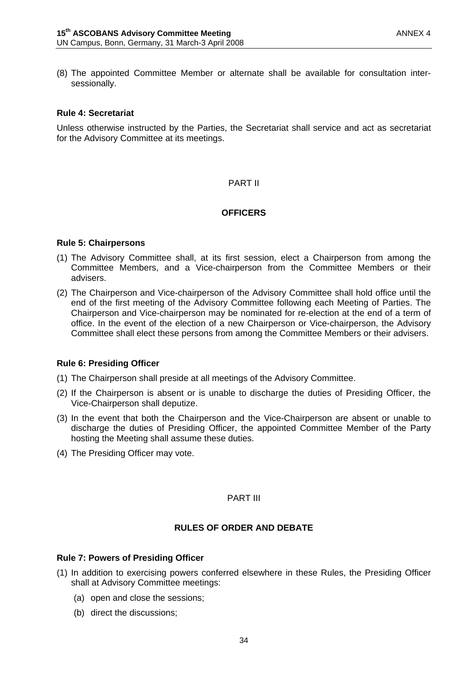(8) The appointed Committee Member or alternate shall be available for consultation intersessionally.

#### **Rule 4: Secretariat**

Unless otherwise instructed by the Parties, the Secretariat shall service and act as secretariat for the Advisory Committee at its meetings.

#### PART II

#### **OFFICERS**

#### **Rule 5: Chairpersons**

- (1) The Advisory Committee shall, at its first session, elect a Chairperson from among the Committee Members, and a Vice-chairperson from the Committee Members or their advisers.
- (2) The Chairperson and Vice-chairperson of the Advisory Committee shall hold office until the end of the first meeting of the Advisory Committee following each Meeting of Parties. The Chairperson and Vice-chairperson may be nominated for re-election at the end of a term of office. In the event of the election of a new Chairperson or Vice-chairperson, the Advisory Committee shall elect these persons from among the Committee Members or their advisers.

#### **Rule 6: Presiding Officer**

- (1) The Chairperson shall preside at all meetings of the Advisory Committee.
- (2) If the Chairperson is absent or is unable to discharge the duties of Presiding Officer, the Vice-Chairperson shall deputize.
- (3) In the event that both the Chairperson and the Vice-Chairperson are absent or unable to discharge the duties of Presiding Officer, the appointed Committee Member of the Party hosting the Meeting shall assume these duties.
- (4) The Presiding Officer may vote.

#### PART III

#### **RULES OF ORDER AND DEBATE**

#### **Rule 7: Powers of Presiding Officer**

- (1) In addition to exercising powers conferred elsewhere in these Rules, the Presiding Officer shall at Advisory Committee meetings:
	- (a) open and close the sessions;
	- (b) direct the discussions;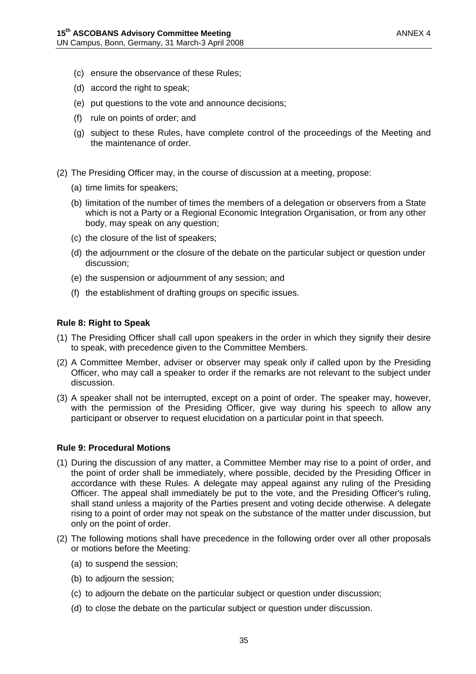- (c) ensure the observance of these Rules;
- (d) accord the right to speak;
- (e) put questions to the vote and announce decisions;
- (f) rule on points of order; and
- (g) subject to these Rules, have complete control of the proceedings of the Meeting and the maintenance of order.
- (2) The Presiding Officer may, in the course of discussion at a meeting, propose:
	- (a) time limits for speakers;
	- (b) limitation of the number of times the members of a delegation or observers from a State which is not a Party or a Regional Economic Integration Organisation, or from any other body, may speak on any question;
	- (c) the closure of the list of speakers;
	- (d) the adjournment or the closure of the debate on the particular subject or question under discussion;
	- (e) the suspension or adjournment of any session; and
	- (f) the establishment of drafting groups on specific issues.

#### **Rule 8: Right to Speak**

- (1) The Presiding Officer shall call upon speakers in the order in which they signify their desire to speak, with precedence given to the Committee Members.
- (2) A Committee Member, adviser or observer may speak only if called upon by the Presiding Officer, who may call a speaker to order if the remarks are not relevant to the subject under discussion.
- (3) A speaker shall not be interrupted, except on a point of order. The speaker may, however, with the permission of the Presiding Officer, give way during his speech to allow any participant or observer to request elucidation on a particular point in that speech.

#### **Rule 9: Procedural Motions**

- (1) During the discussion of any matter, a Committee Member may rise to a point of order, and the point of order shall be immediately, where possible, decided by the Presiding Officer in accordance with these Rules. A delegate may appeal against any ruling of the Presiding Officer. The appeal shall immediately be put to the vote, and the Presiding Officer's ruling, shall stand unless a majority of the Parties present and voting decide otherwise. A delegate rising to a point of order may not speak on the substance of the matter under discussion, but only on the point of order.
- (2) The following motions shall have precedence in the following order over all other proposals or motions before the Meeting:
	- (a) to suspend the session;
	- (b) to adjourn the session;
	- (c) to adjourn the debate on the particular subject or question under discussion;
	- (d) to close the debate on the particular subject or question under discussion.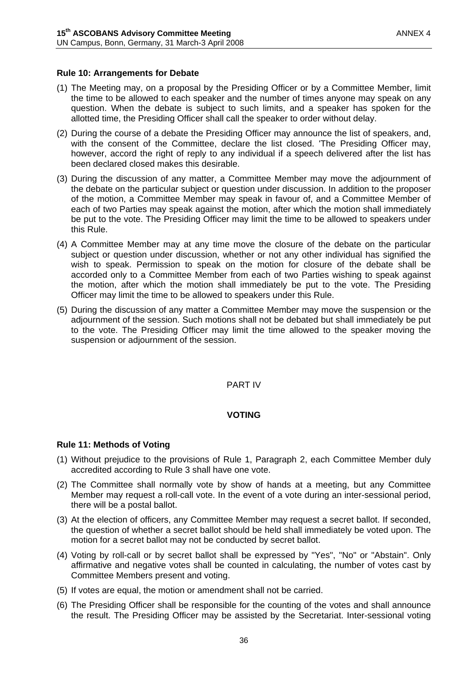#### **Rule 10: Arrangements for Debate**

- (1) The Meeting may, on a proposal by the Presiding Officer or by a Committee Member, limit the time to be allowed to each speaker and the number of times anyone may speak on any question. When the debate is subject to such limits, and a speaker has spoken for the allotted time, the Presiding Officer shall call the speaker to order without delay.
- (2) During the course of a debate the Presiding Officer may announce the list of speakers, and, with the consent of the Committee, declare the list closed. 'The Presiding Officer may, however, accord the right of reply to any individual if a speech delivered after the list has been declared closed makes this desirable.
- (3) During the discussion of any matter, a Committee Member may move the adjournment of the debate on the particular subject or question under discussion. In addition to the proposer of the motion, a Committee Member may speak in favour of, and a Committee Member of each of two Parties may speak against the motion, after which the motion shall immediately be put to the vote. The Presiding Officer may limit the time to be allowed to speakers under this Rule.
- (4) A Committee Member may at any time move the closure of the debate on the particular subject or question under discussion, whether or not any other individual has signified the wish to speak. Permission to speak on the motion for closure of the debate shall be accorded only to a Committee Member from each of two Parties wishing to speak against the motion, after which the motion shall immediately be put to the vote. The Presiding Officer may limit the time to be allowed to speakers under this Rule.
- (5) During the discussion of any matter a Committee Member may move the suspension or the adjournment of the session. Such motions shall not be debated but shall immediately be put to the vote. The Presiding Officer may limit the time allowed to the speaker moving the suspension or adjournment of the session.

#### PART IV

#### **VOTING**

#### **Rule 11: Methods of Voting**

- (1) Without prejudice to the provisions of Rule 1, Paragraph 2, each Committee Member duly accredited according to Rule 3 shall have one vote.
- (2) The Committee shall normally vote by show of hands at a meeting, but any Committee Member may request a roll-call vote. In the event of a vote during an inter-sessional period, there will be a postal ballot.
- (3) At the election of officers, any Committee Member may request a secret ballot. If seconded, the question of whether a secret ballot should be held shall immediately be voted upon. The motion for a secret ballot may not be conducted by secret ballot.
- (4) Voting by roll-call or by secret ballot shall be expressed by "Yes", "No" or "Abstain". Only affirmative and negative votes shall be counted in calculating, the number of votes cast by Committee Members present and voting.
- (5) If votes are equal, the motion or amendment shall not be carried.
- (6) The Presiding Officer shall be responsible for the counting of the votes and shall announce the result. The Presiding Officer may be assisted by the Secretariat. Inter-sessional voting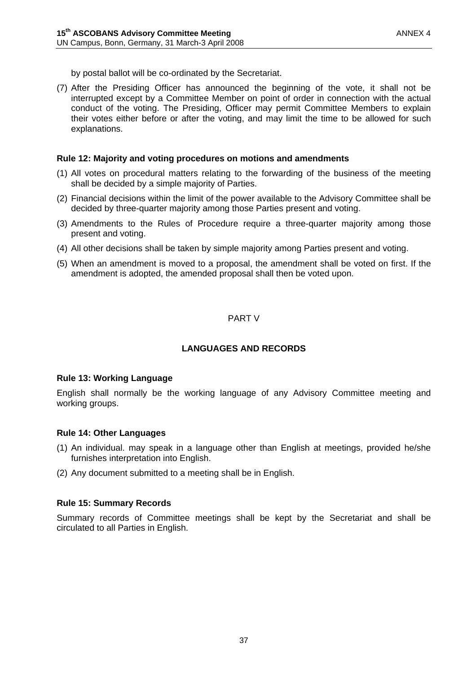by postal ballot will be co-ordinated by the Secretariat.

(7) After the Presiding Officer has announced the beginning of the vote, it shall not be interrupted except by a Committee Member on point of order in connection with the actual conduct of the voting. The Presiding, Officer may permit Committee Members to explain their votes either before or after the voting, and may limit the time to be allowed for such explanations.

#### **Rule 12: Majority and voting procedures on motions and amendments**

- (1) All votes on procedural matters relating to the forwarding of the business of the meeting shall be decided by a simple majority of Parties.
- (2) Financial decisions within the limit of the power available to the Advisory Committee shall be decided by three-quarter majority among those Parties present and voting.
- (3) Amendments to the Rules of Procedure require a three-quarter majority among those present and voting.
- (4) All other decisions shall be taken by simple majority among Parties present and voting.
- (5) When an amendment is moved to a proposal, the amendment shall be voted on first. If the amendment is adopted, the amended proposal shall then be voted upon.

## PART V

#### **LANGUAGES AND RECORDS**

#### **Rule 13: Working Language**

English shall normally be the working language of any Advisory Committee meeting and working groups.

#### **Rule 14: Other Languages**

- (1) An individual. may speak in a language other than English at meetings, provided he/she furnishes interpretation into English.
- (2) Any document submitted to a meeting shall be in English.

#### **Rule 15: Summary Records**

Summary records of Committee meetings shall be kept by the Secretariat and shall be circulated to all Parties in English.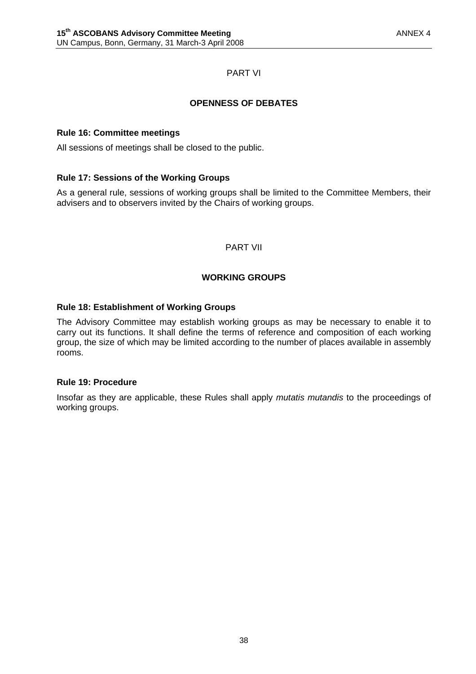## PART VI

## **OPENNESS OF DEBATES**

#### **Rule 16: Committee meetings**

All sessions of meetings shall be closed to the public.

## **Rule 17: Sessions of the Working Groups**

As a general rule, sessions of working groups shall be limited to the Committee Members, their advisers and to observers invited by the Chairs of working groups.

#### PART VII

## **WORKING GROUPS**

#### **Rule 18: Establishment of Working Groups**

The Advisory Committee may establish working groups as may be necessary to enable it to carry out its functions. It shall define the terms of reference and composition of each working group, the size of which may be limited according to the number of places available in assembly rooms.

#### **Rule 19: Procedure**

Insofar as they are applicable, these Rules shall apply *mutatis mutandis* to the proceedings of working groups.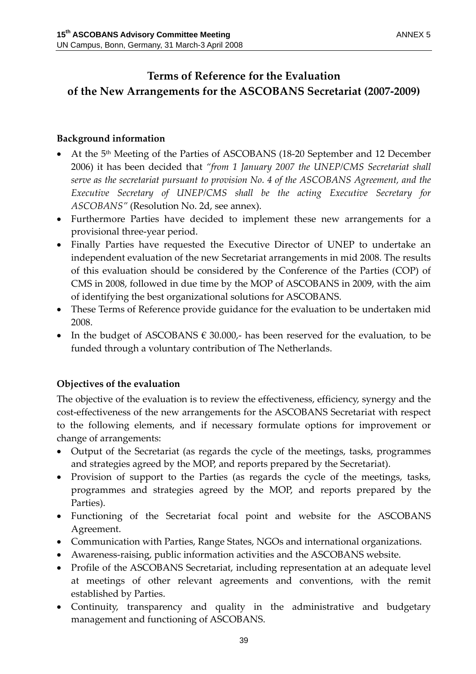# **Terms of Reference for the Evaluation of the New Arrangements for the ASCOBANS Secretariat (2007‐2009)**

## **Background information**

- At the 5<sup>th</sup> Meeting of the Parties of ASCOBANS (18-20 September and 12 December 2006) it has been decided that *"from 1 January 2007 the UNEP/CMS Secretariat shall serve as the secretariat pursuant to provision No. 4 of the ASCOBANS Agreement, and the Executive Secretary of UNEP/CMS shall be the acting Executive Secretary for ASCOBANS"* (Resolution No. 2d, see annex).
- Furthermore Parties have decided to implement these new arrangements for a provisional three‐year period.
- Finally Parties have requested the Executive Director of UNEP to undertake an independent evaluation of the new Secretariat arrangements in mid 2008. The results of this evaluation should be considered by the Conference of the Parties (COP) of CMS in 2008, followed in due time by the MOP of ASCOBANS in 2009, with the aim of identifying the best organizational solutions for ASCOBANS.
- These Terms of Reference provide guidance for the evaluation to be undertaken mid 2008.
- In the budget of ASCOBANS  $\epsilon$  30.000,- has been reserved for the evaluation, to be funded through a voluntary contribution of The Netherlands.

## **Objectives of the evaluation**

The objective of the evaluation is to review the effectiveness, efficiency, synergy and the cost-effectiveness of the new arrangements for the ASCOBANS Secretariat with respect to the following elements, and if necessary formulate options for improvement or change of arrangements:

- Output of the Secretariat (as regards the cycle of the meetings, tasks, programmes and strategies agreed by the MOP, and reports prepared by the Secretariat).
- Provision of support to the Parties (as regards the cycle of the meetings, tasks, programmes and strategies agreed by the MOP, and reports prepared by the Parties).
- Functioning of the Secretariat focal point and website for the ASCOBANS Agreement.
- Communication with Parties, Range States, NGOs and international organizations.
- Awareness-raising, public information activities and the ASCOBANS website.
- Profile of the ASCOBANS Secretariat, including representation at an adequate level at meetings of other relevant agreements and conventions, with the remit established by Parties.
- Continuity, transparency and quality in the administrative and budgetary management and functioning of ASCOBANS.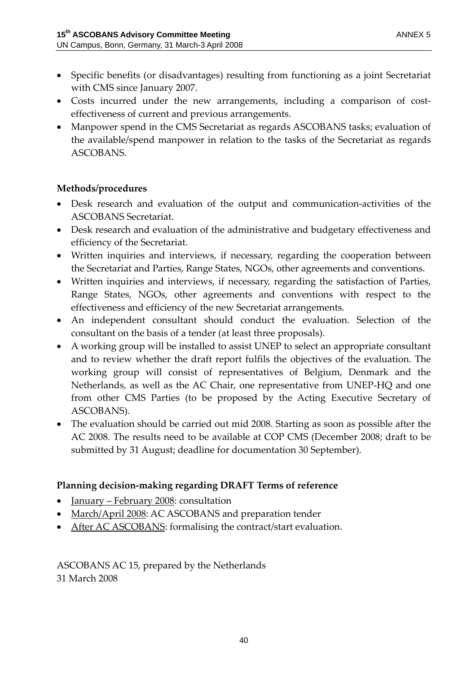- Specific benefits (or disadvantages) resulting from functioning as a joint Secretariat with CMS since January 2007.
- Costs incurred under the new arrangements, including a comparison of costeffectiveness of current and previous arrangements.
- Manpower spend in the CMS Secretariat as regards ASCOBANS tasks; evaluation of the available/spend manpower in relation to the tasks of the Secretariat as regards ASCOBANS.

## **Methods/procedures**

- Desk research and evaluation of the output and communication-activities of the ASCOBANS Secretariat.
- Desk research and evaluation of the administrative and budgetary effectiveness and efficiency of the Secretariat.
- Written inquiries and interviews, if necessary, regarding the cooperation between the Secretariat and Parties, Range States, NGOs, other agreements and conventions.
- Written inquiries and interviews, if necessary, regarding the satisfaction of Parties, Range States, NGOs, other agreements and conventions with respect to the effectiveness and efficiency of the new Secretariat arrangements.
- An independent consultant should conduct the evaluation. Selection of the consultant on the basis of a tender (at least three proposals).
- A working group will be installed to assist UNEP to select an appropriate consultant and to review whether the draft report fulfils the objectives of the evaluation. The working group will consist of representatives of Belgium, Denmark and the Netherlands, as well as the AC Chair, one representative from UNEP‐HQ and one from other CMS Parties (to be proposed by the Acting Executive Secretary of ASCOBANS).
- The evaluation should be carried out mid 2008. Starting as soon as possible after the AC 2008. The results need to be available at COP CMS (December 2008; draft to be submitted by 31 August; deadline for documentation 30 September).

## **Planning decision‐making regarding DRAFT Terms of reference**

- <u>January February 2008</u>: consultation
- March/April 2008: AC ASCOBANS and preparation tender
- After AC ASCOBANS: formalising the contract/start evaluation.

ASCOBANS AC 15, prepared by the Netherlands 31 March 2008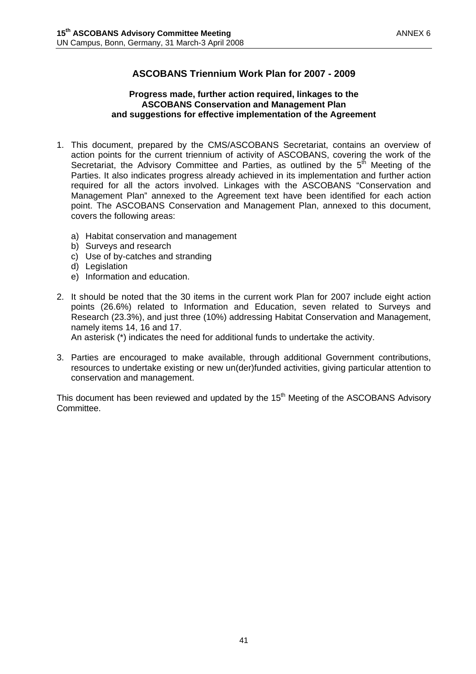## **ASCOBANS Triennium Work Plan for 2007 - 2009**

#### **Progress made, further action required, linkages to the ASCOBANS Conservation and Management Plan and suggestions for effective implementation of the Agreement**

- 1. This document, prepared by the CMS/ASCOBANS Secretariat, contains an overview of action points for the current triennium of activity of ASCOBANS, covering the work of the Secretariat, the Advisory Committee and Parties, as outlined by the  $5<sup>th</sup>$  Meeting of the Parties. It also indicates progress already achieved in its implementation and further action required for all the actors involved. Linkages with the ASCOBANS "Conservation and Management Plan" annexed to the Agreement text have been identified for each action point. The ASCOBANS Conservation and Management Plan, annexed to this document, covers the following areas:
	- a) Habitat conservation and management
	- b) Surveys and research
	- c) Use of by-catches and stranding
	- d) Legislation
	- e) Information and education.
- 2. It should be noted that the 30 items in the current work Plan for 2007 include eight action points (26.6%) related to Information and Education, seven related to Surveys and Research (23.3%), and just three (10%) addressing Habitat Conservation and Management, namely items 14, 16 and 17.

An asterisk (\*) indicates the need for additional funds to undertake the activity.

3. Parties are encouraged to make available, through additional Government contributions, resources to undertake existing or new un(der)funded activities, giving particular attention to conservation and management.

This document has been reviewed and updated by the  $15<sup>th</sup>$  Meeting of the ASCOBANS Advisory Committee.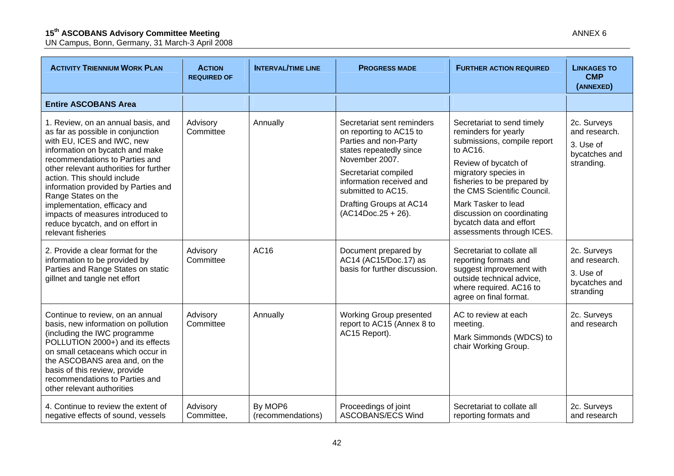| <b>ACTIVITY TRIENNIUM WORK PLAN</b>                                                                                                                                                                                                                                                                                                                                                                                                              | <b>ACTION</b><br><b>REQUIRED OF</b> | <b>INTERVAL/TIME LINE</b>    | <b>PROGRESS MADE</b>                                                                                                                                                                                                                                     | <b>FURTHER ACTION REQUIRED</b>                                                                                                                                                                                                                                                                                           | <b>LINKAGES TO</b><br><b>CMP</b><br>(ANNEXED)                            |
|--------------------------------------------------------------------------------------------------------------------------------------------------------------------------------------------------------------------------------------------------------------------------------------------------------------------------------------------------------------------------------------------------------------------------------------------------|-------------------------------------|------------------------------|----------------------------------------------------------------------------------------------------------------------------------------------------------------------------------------------------------------------------------------------------------|--------------------------------------------------------------------------------------------------------------------------------------------------------------------------------------------------------------------------------------------------------------------------------------------------------------------------|--------------------------------------------------------------------------|
| <b>Entire ASCOBANS Area</b>                                                                                                                                                                                                                                                                                                                                                                                                                      |                                     |                              |                                                                                                                                                                                                                                                          |                                                                                                                                                                                                                                                                                                                          |                                                                          |
| 1. Review, on an annual basis, and<br>as far as possible in conjunction<br>with EU, ICES and IWC, new<br>information on bycatch and make<br>recommendations to Parties and<br>other relevant authorities for further<br>action. This should include<br>information provided by Parties and<br>Range States on the<br>implementation, efficacy and<br>impacts of measures introduced to<br>reduce bycatch, and on effort in<br>relevant fisheries | Advisory<br>Committee               | Annually                     | Secretariat sent reminders<br>on reporting to AC15 to<br>Parties and non-Party<br>states repeatedly since<br>November 2007.<br>Secretariat compiled<br>information received and<br>submitted to AC15.<br>Drafting Groups at AC14<br>$(AC14Doc.25 + 26).$ | Secretariat to send timely<br>reminders for yearly<br>submissions, compile report<br>to AC16.<br>Review of bycatch of<br>migratory species in<br>fisheries to be prepared by<br>the CMS Scientific Council.<br>Mark Tasker to lead<br>discussion on coordinating<br>bycatch data and effort<br>assessments through ICES. | 2c. Surveys<br>and research.<br>3. Use of<br>bycatches and<br>stranding. |
| 2. Provide a clear format for the<br>information to be provided by<br>Parties and Range States on static<br>gillnet and tangle net effort                                                                                                                                                                                                                                                                                                        | Advisory<br>Committee               | AC16                         | Document prepared by<br>AC14 (AC15/Doc.17) as<br>basis for further discussion.                                                                                                                                                                           | Secretariat to collate all<br>reporting formats and<br>suggest improvement with<br>outside technical advice,<br>where required. AC16 to<br>agree on final format.                                                                                                                                                        | 2c. Surveys<br>and research.<br>3. Use of<br>bycatches and<br>stranding  |
| Continue to review, on an annual<br>basis, new information on pollution<br>(including the IWC programme<br>POLLUTION 2000+) and its effects<br>on small cetaceans which occur in<br>the ASCOBANS area and, on the<br>basis of this review, provide<br>recommendations to Parties and<br>other relevant authorities                                                                                                                               | Advisory<br>Committee               | Annually                     | Working Group presented<br>report to AC15 (Annex 8 to<br>AC15 Report).                                                                                                                                                                                   | AC to review at each<br>meeting.<br>Mark Simmonds (WDCS) to<br>chair Working Group.                                                                                                                                                                                                                                      | 2c. Surveys<br>and research                                              |
| 4. Continue to review the extent of<br>negative effects of sound, vessels                                                                                                                                                                                                                                                                                                                                                                        | Advisory<br>Committee,              | By MOP6<br>(recommendations) | Proceedings of joint<br><b>ASCOBANS/ECS Wind</b>                                                                                                                                                                                                         | Secretariat to collate all<br>reporting formats and                                                                                                                                                                                                                                                                      | 2c. Surveys<br>and research                                              |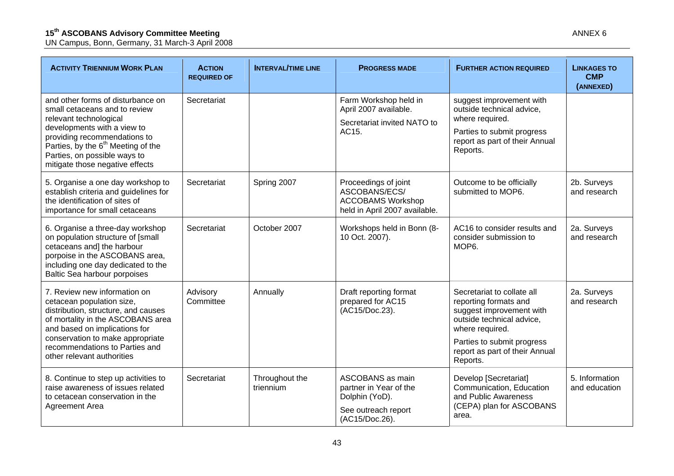| <b>ACTIVITY TRIENNIUM WORK PLAN</b>                                                                                                                                                                                                                                              | <b>ACTION</b><br><b>REQUIRED OF</b> | <b>INTERVAL/TIME LINE</b>   | <b>PROGRESS MADE</b>                                                                               | <b>FURTHER ACTION REQUIRED</b>                                                                                                                       | <b>LINKAGES TO</b><br><b>CMP</b><br>(ANNEXED) |
|----------------------------------------------------------------------------------------------------------------------------------------------------------------------------------------------------------------------------------------------------------------------------------|-------------------------------------|-----------------------------|----------------------------------------------------------------------------------------------------|------------------------------------------------------------------------------------------------------------------------------------------------------|-----------------------------------------------|
| and other forms of disturbance on<br>small cetaceans and to review<br>relevant technological<br>developments with a view to<br>providing recommendations to<br>Parties, by the 6 <sup>th</sup> Meeting of the<br>Parties, on possible ways to<br>mitigate those negative effects | Secretariat                         |                             | Farm Workshop held in<br>April 2007 available.<br>Secretariat invited NATO to<br>AC15.             | suggest improvement with<br>outside technical advice.<br>where required.<br>Parties to submit progress<br>report as part of their Annual<br>Reports. |                                               |
| 5. Organise a one day workshop to<br>establish criteria and guidelines for<br>the identification of sites of<br>importance for small cetaceans                                                                                                                                   | Secretariat                         | Spring 2007                 | Proceedings of joint<br>ASCOBANS/ECS/<br><b>ACCOBAMS Workshop</b><br>held in April 2007 available. | Outcome to be officially<br>submitted to MOP6.                                                                                                       | 2b. Surveys<br>and research                   |
| 6. Organise a three-day workshop<br>on population structure of [small<br>cetaceans and] the harbour<br>porpoise in the ASCOBANS area,<br>including one day dedicated to the<br>Baltic Sea harbour porpoises                                                                      | Secretariat                         | October 2007                | Workshops held in Bonn (8-<br>10 Oct. 2007).                                                       | AC16 to consider results and<br>consider submission to<br>MOP6.                                                                                      | 2a. Surveys<br>and research                   |
| 7. Review new information on<br>cetacean population size,<br>distribution, structure, and causes<br>of mortality in the ASCOBANS area<br>and based on implications for                                                                                                           | Advisory<br>Committee               | Annually                    | Draft reporting format<br>prepared for AC15<br>(AC15/Doc.23).                                      | Secretariat to collate all<br>reporting formats and<br>suggest improvement with<br>outside technical advice.<br>where required.                      | 2a. Surveys<br>and research                   |
| conservation to make appropriate<br>recommendations to Parties and<br>other relevant authorities                                                                                                                                                                                 |                                     |                             |                                                                                                    | Parties to submit progress<br>report as part of their Annual<br>Reports.                                                                             |                                               |
| 8. Continue to step up activities to<br>raise awareness of issues related<br>to cetacean conservation in the<br>Agreement Area                                                                                                                                                   | Secretariat                         | Throughout the<br>triennium | ASCOBANS as main<br>partner in Year of the<br>Dolphin (YoD).                                       | Develop [Secretariat]<br>Communication, Education<br>and Public Awareness                                                                            | 5. Information<br>and education               |
|                                                                                                                                                                                                                                                                                  |                                     |                             | See outreach report<br>(AC15/Doc.26).                                                              | (CEPA) plan for ASCOBANS<br>area.                                                                                                                    |                                               |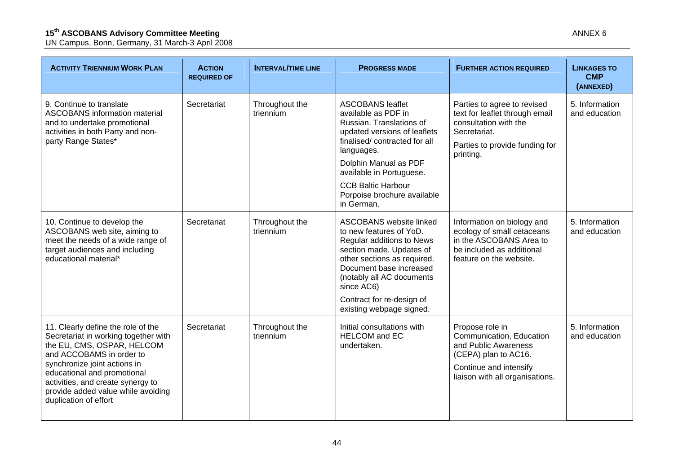| <b>ACTION</b><br><b>REQUIRED OF</b> | <b>INTERVAL/TIME LINE</b>   | <b>PROGRESS MADE</b>                                                                                                                                                                                                    | <b>FURTHER ACTION REQUIRED</b>                                                                                                                           | <b>LINKAGES TO</b><br><b>CMP</b><br>(ANNEXED) |
|-------------------------------------|-----------------------------|-------------------------------------------------------------------------------------------------------------------------------------------------------------------------------------------------------------------------|----------------------------------------------------------------------------------------------------------------------------------------------------------|-----------------------------------------------|
| Secretariat<br>triennium            | Throughout the              | <b>ASCOBANS leaflet</b><br>available as PDF in<br>Russian. Translations of<br>updated versions of leaflets<br>finalised/contracted for all                                                                              | Parties to agree to revised<br>text for leaflet through email<br>consultation with the<br>Secretariat.<br>Parties to provide funding for                 | 5. Information<br>and education               |
|                                     |                             | Dolphin Manual as PDF<br>available in Portuguese.                                                                                                                                                                       |                                                                                                                                                          |                                               |
|                                     |                             | <b>CCB Baltic Harbour</b><br>Porpoise brochure available<br>in German.                                                                                                                                                  |                                                                                                                                                          |                                               |
| Secretariat                         | Throughout the<br>triennium | <b>ASCOBANS</b> website linked<br>to new features of YoD.<br>Regular additions to News<br>section made. Updates of<br>other sections as required.<br>Document base increased<br>(notably all AC documents<br>since AC6) | Information on biology and<br>ecology of small cetaceans<br>in the ASCOBANS Area to<br>be included as additional<br>feature on the website.              | 5. Information<br>and education               |
|                                     |                             | Contract for re-design of<br>existing webpage signed.                                                                                                                                                                   |                                                                                                                                                          |                                               |
| Secretariat                         | Throughout the<br>triennium | Initial consultations with<br><b>HELCOM</b> and EC<br>undertaken.                                                                                                                                                       | Propose role in<br>Communication, Education<br>and Public Awareness<br>(CEPA) plan to AC16.<br>Continue and intensify<br>liaison with all organisations. | 5. Information<br>and education               |
|                                     |                             |                                                                                                                                                                                                                         | languages.                                                                                                                                               | printing.                                     |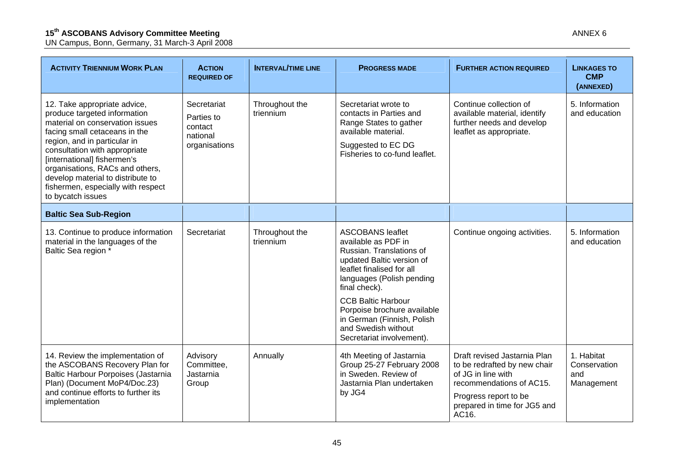UN Campus, Bonn, Germany, 31 March-3 April 2008

| <b>ACTIVITY TRIENNIUM WORK PLAN</b>                                                                                                                                                                                                                                                                                                                                 | <b>ACTION</b><br><b>REQUIRED OF</b>                               | <b>INTERVAL/TIME LINE</b>   | <b>PROGRESS MADE</b>                                                                                                                                                               | <b>FURTHER ACTION REQUIRED</b>                                                                                                                                          | <b>LINKAGES TO</b><br><b>CMP</b><br>(ANNEXED)   |
|---------------------------------------------------------------------------------------------------------------------------------------------------------------------------------------------------------------------------------------------------------------------------------------------------------------------------------------------------------------------|-------------------------------------------------------------------|-----------------------------|------------------------------------------------------------------------------------------------------------------------------------------------------------------------------------|-------------------------------------------------------------------------------------------------------------------------------------------------------------------------|-------------------------------------------------|
| 12. Take appropriate advice,<br>produce targeted information<br>material on conservation issues<br>facing small cetaceans in the<br>region, and in particular in<br>consultation with appropriate<br>[international] fishermen's<br>organisations, RACs and others,<br>develop material to distribute to<br>fishermen, especially with respect<br>to bycatch issues | Secretariat<br>Parties to<br>contact<br>national<br>organisations | Throughout the<br>triennium | Secretariat wrote to<br>contacts in Parties and<br>Range States to gather<br>available material.<br>Suggested to EC DG<br>Fisheries to co-fund leaflet.                            | Continue collection of<br>available material, identify<br>further needs and develop<br>leaflet as appropriate.                                                          | 5. Information<br>and education                 |
| <b>Baltic Sea Sub-Region</b>                                                                                                                                                                                                                                                                                                                                        |                                                                   |                             |                                                                                                                                                                                    |                                                                                                                                                                         |                                                 |
| 13. Continue to produce information<br>material in the languages of the<br>Baltic Sea region *                                                                                                                                                                                                                                                                      | Secretariat                                                       | Throughout the<br>triennium | <b>ASCOBANS leaflet</b><br>available as PDF in<br>Russian. Translations of<br>updated Baltic version of<br>leaflet finalised for all<br>languages (Polish pending<br>final check). | Continue ongoing activities.                                                                                                                                            | 5. Information<br>and education                 |
|                                                                                                                                                                                                                                                                                                                                                                     |                                                                   |                             | <b>CCB Baltic Harbour</b><br>Porpoise brochure available<br>in German (Finnish, Polish<br>and Swedish without<br>Secretariat involvement).                                         |                                                                                                                                                                         |                                                 |
| 14. Review the implementation of<br>the ASCOBANS Recovery Plan for<br>Baltic Harbour Porpoises (Jastarnia<br>Plan) (Document MoP4/Doc.23)<br>and continue efforts to further its<br>implementation                                                                                                                                                                  | Advisory<br>Committee,<br>Jastarnia<br>Group                      | Annually                    | 4th Meeting of Jastarnia<br>Group 25-27 February 2008<br>in Sweden, Review of<br>Jastarnia Plan undertaken<br>by JG4                                                               | Draft revised Jastarnia Plan<br>to be redrafted by new chair<br>of JG in line with<br>recommendations of AC15.<br>Progress report to be<br>prepared in time for IG5 and | 1. Habitat<br>Conservation<br>and<br>Management |

prepared in time for JG5 and

AC16.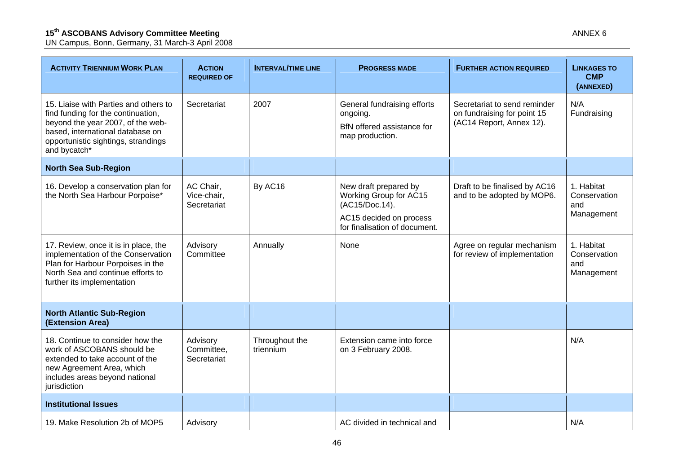| <b>ACTIVITY TRIENNIUM WORK PLAN</b>                                                                                                                                                                         | <b>ACTION</b><br><b>REQUIRED OF</b>     | <b>INTERVAL/TIME LINE</b>   | <b>PROGRESS MADE</b>                                                                                                          | <b>FURTHER ACTION REQUIRED</b>                                                          | <b>LINKAGES TO</b><br><b>CMP</b><br>(ANNEXED)   |
|-------------------------------------------------------------------------------------------------------------------------------------------------------------------------------------------------------------|-----------------------------------------|-----------------------------|-------------------------------------------------------------------------------------------------------------------------------|-----------------------------------------------------------------------------------------|-------------------------------------------------|
| 15. Liaise with Parties and others to<br>find funding for the continuation,<br>beyond the year 2007, of the web-<br>based, international database on<br>opportunistic sightings, strandings<br>and bycatch* | Secretariat                             | 2007                        | General fundraising efforts<br>ongoing.<br>BfN offered assistance for<br>map production.                                      | Secretariat to send reminder<br>on fundraising for point 15<br>(AC14 Report, Annex 12). | N/A<br>Fundraising                              |
| <b>North Sea Sub-Region</b>                                                                                                                                                                                 |                                         |                             |                                                                                                                               |                                                                                         |                                                 |
| 16. Develop a conservation plan for<br>the North Sea Harbour Porpoise*                                                                                                                                      | AC Chair,<br>Vice-chair,<br>Secretariat | By AC16                     | New draft prepared by<br>Working Group for AC15<br>(AC15/Doc.14).<br>AC15 decided on process<br>for finalisation of document. | Draft to be finalised by AC16<br>and to be adopted by MOP6.                             | 1. Habitat<br>Conservation<br>and<br>Management |
| 17. Review, once it is in place, the<br>implementation of the Conservation<br>Plan for Harbour Porpoises in the<br>North Sea and continue efforts to<br>further its implementation                          | Advisory<br>Committee                   | Annually                    | None                                                                                                                          | Agree on regular mechanism<br>for review of implementation                              | 1. Habitat<br>Conservation<br>and<br>Management |
| <b>North Atlantic Sub-Region</b><br>(Extension Area)                                                                                                                                                        |                                         |                             |                                                                                                                               |                                                                                         |                                                 |
| 18. Continue to consider how the<br>work of ASCOBANS should be<br>extended to take account of the<br>new Agreement Area, which<br>includes areas beyond national<br>jurisdiction                            | Advisory<br>Committee,<br>Secretariat   | Throughout the<br>triennium | Extension came into force<br>on 3 February 2008.                                                                              |                                                                                         | N/A                                             |
| <b>Institutional Issues</b>                                                                                                                                                                                 |                                         |                             |                                                                                                                               |                                                                                         |                                                 |
| 19. Make Resolution 2b of MOP5                                                                                                                                                                              | Advisory                                |                             | AC divided in technical and                                                                                                   |                                                                                         | N/A                                             |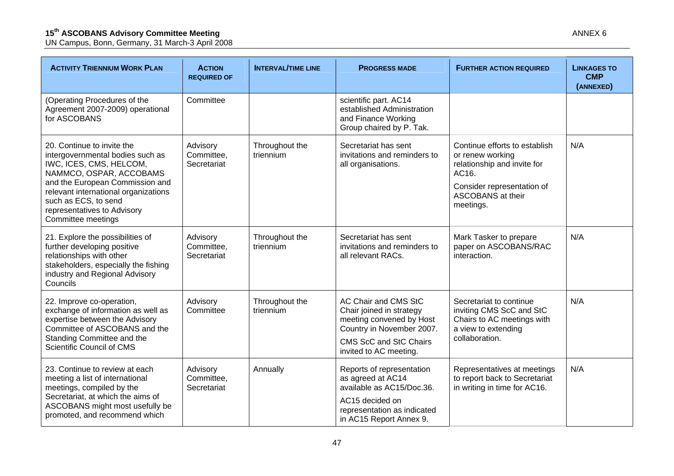| <b>ACTIVITY TRIENNIUM WORK PLAN</b>                                                                                                                                                                                                                                                                                   | <b>ACTION</b><br><b>REQUIRED OF</b>   | <b>INTERVAL/TIME LINE</b>   | <b>PROGRESS MADE</b>                                                                                                                   | <b>FURTHER ACTION REQUIRED</b>                                                                                             | <b>LINKAGES TO</b><br><b>CMP</b><br>(ANNEXED) |
|-----------------------------------------------------------------------------------------------------------------------------------------------------------------------------------------------------------------------------------------------------------------------------------------------------------------------|---------------------------------------|-----------------------------|----------------------------------------------------------------------------------------------------------------------------------------|----------------------------------------------------------------------------------------------------------------------------|-----------------------------------------------|
| (Operating Procedures of the<br>Agreement 2007-2009) operational<br>for ASCOBANS                                                                                                                                                                                                                                      | Committee                             |                             | scientific part. AC14<br>established Administration<br>and Finance Working<br>Group chaired by P. Tak.                                 |                                                                                                                            |                                               |
| 20. Continue to invite the<br>Advisory<br>Committee,<br>intergovernmental bodies such as<br>IWC, ICES, CMS, HELCOM,<br>Secretariat<br>NAMMCO, OSPAR, ACCOBAMS<br>and the European Commission and<br>relevant international organizations<br>such as ECS, to send<br>representatives to Advisory<br>Committee meetings |                                       | Throughout the<br>triennium | Secretariat has sent<br>invitations and reminders to<br>or renew working<br>relationship and invite for<br>all organisations.<br>AC16. | Continue efforts to establish<br>Consider representation of                                                                | N/A                                           |
|                                                                                                                                                                                                                                                                                                                       |                                       |                             | ASCOBANS at their<br>meetings.                                                                                                         |                                                                                                                            |                                               |
| 21. Explore the possibilities of<br>further developing positive<br>relationships with other<br>stakeholders, especially the fishing<br>industry and Regional Advisory<br>Councils                                                                                                                                     | Advisory<br>Committee,<br>Secretariat | Throughout the<br>triennium | Secretariat has sent<br>invitations and reminders to<br>all relevant RACs.                                                             | Mark Tasker to prepare<br>paper on ASCOBANS/RAC<br>interaction.                                                            | N/A                                           |
| 22. Improve co-operation,<br>exchange of information as well as<br>expertise between the Advisory<br>Committee of ASCOBANS and the                                                                                                                                                                                    | Advisory<br>Committee                 | Throughout the<br>triennium | AC Chair and CMS StC<br>Chair joined in strategy<br>meeting convened by Host<br>Country in November 2007.                              | Secretariat to continue<br>inviting CMS ScC and StC<br>Chairs to AC meetings with<br>a view to extending<br>collaboration. | N/A                                           |
| Standing Committee and the<br>Scientific Council of CMS                                                                                                                                                                                                                                                               |                                       |                             | CMS ScC and StC Chairs<br>invited to AC meeting.                                                                                       |                                                                                                                            |                                               |
| 23. Continue to review at each<br>meeting a list of international<br>meetings, compiled by the<br>Secretariat, at which the aims of<br>ASCOBANS might most usefully be<br>promoted, and recommend which                                                                                                               | Advisory<br>Committee,<br>Secretariat | Annually                    | Reports of representation<br>as agreed at AC14<br>available as AC15/Doc.36.                                                            | Representatives at meetings<br>to report back to Secretariat<br>in writing in time for AC16.                               | N/A                                           |
|                                                                                                                                                                                                                                                                                                                       |                                       |                             | AC15 decided on<br>representation as indicated<br>in AC15 Report Annex 9.                                                              |                                                                                                                            |                                               |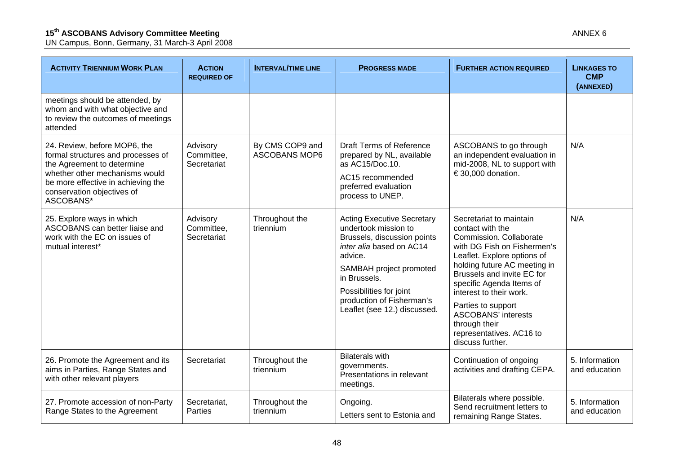| <b>ACTIVITY TRIENNIUM WORK PLAN</b>                                                                                                                                                                                 | <b>ACTION</b><br><b>REQUIRED OF</b>   | <b>INTERVAL/TIME LINE</b>               | <b>PROGRESS MADE</b>                                                                                                                                                                                                                                               | <b>FURTHER ACTION REQUIRED</b>                                                                                                                                                                                                                                                                                                                                                 | <b>LINKAGES TO</b><br><b>CMP</b><br>(ANNEXED) |
|---------------------------------------------------------------------------------------------------------------------------------------------------------------------------------------------------------------------|---------------------------------------|-----------------------------------------|--------------------------------------------------------------------------------------------------------------------------------------------------------------------------------------------------------------------------------------------------------------------|--------------------------------------------------------------------------------------------------------------------------------------------------------------------------------------------------------------------------------------------------------------------------------------------------------------------------------------------------------------------------------|-----------------------------------------------|
| meetings should be attended, by<br>whom and with what objective and<br>to review the outcomes of meetings<br>attended                                                                                               |                                       |                                         |                                                                                                                                                                                                                                                                    |                                                                                                                                                                                                                                                                                                                                                                                |                                               |
| 24. Review, before MOP6, the<br>formal structures and processes of<br>the Agreement to determine<br>whether other mechanisms would<br>be more effective in achieving the<br>conservation objectives of<br>ASCOBANS* | Advisory<br>Committee,<br>Secretariat | By CMS COP9 and<br><b>ASCOBANS MOP6</b> | <b>Draft Terms of Reference</b><br>prepared by NL, available<br>as AC15/Doc.10.<br>AC15 recommended<br>preferred evaluation<br>process to UNEP.                                                                                                                    | ASCOBANS to go through<br>an independent evaluation in<br>mid-2008, NL to support with<br>€ 30,000 donation.                                                                                                                                                                                                                                                                   | N/A                                           |
| 25. Explore ways in which<br>ASCOBANS can better liaise and<br>work with the EC on issues of<br>mutual interest*                                                                                                    | Advisory<br>Committee,<br>Secretariat | Throughout the<br>triennium             | <b>Acting Executive Secretary</b><br>undertook mission to<br>Brussels, discussion points<br>inter alia based on AC14<br>advice.<br>SAMBAH project promoted<br>in Brussels.<br>Possibilities for joint<br>production of Fisherman's<br>Leaflet (see 12.) discussed. | Secretariat to maintain<br>contact with the<br>Commission. Collaborate<br>with DG Fish on Fishermen's<br>Leaflet. Explore options of<br>holding future AC meeting in<br>Brussels and invite EC for<br>specific Agenda Items of<br>interest to their work.<br>Parties to support<br><b>ASCOBANS' interests</b><br>through their<br>representatives. AC16 to<br>discuss further. | N/A                                           |
| 26. Promote the Agreement and its<br>aims in Parties, Range States and<br>with other relevant players                                                                                                               | Secretariat                           | Throughout the<br>triennium             | <b>Bilaterals with</b><br>governments.<br>Presentations in relevant<br>meetings.                                                                                                                                                                                   | Continuation of ongoing<br>activities and drafting CEPA.                                                                                                                                                                                                                                                                                                                       | 5. Information<br>and education               |
| 27. Promote accession of non-Party<br>Range States to the Agreement                                                                                                                                                 | Secretariat,<br>Parties               | Throughout the<br>triennium             | Ongoing.<br>Letters sent to Estonia and                                                                                                                                                                                                                            | Bilaterals where possible.<br>Send recruitment letters to<br>remaining Range States.                                                                                                                                                                                                                                                                                           | 5. Information<br>and education               |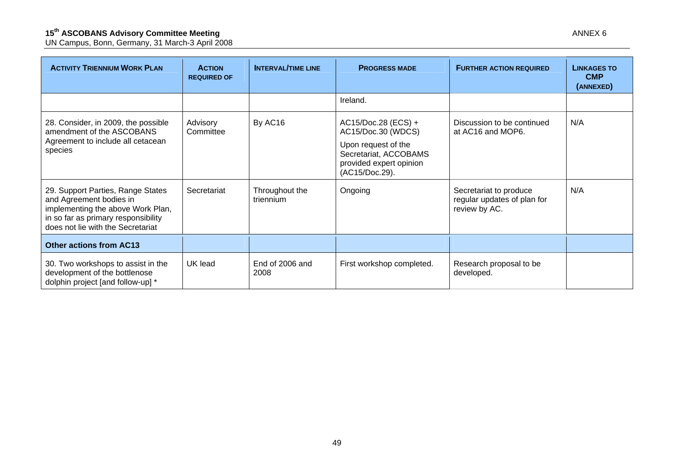| <b>ACTIVITY TRIENNIUM WORK PLAN</b>                                                                                                                                           | <b>ACTION</b><br><b>REQUIRED OF</b> | <b>INTERVAL/TIME LINE</b>   | <b>PROGRESS MADE</b>                                                                                                                   | <b>FURTHER ACTION REQUIRED</b>                                         | <b>LINKAGES TO</b><br><b>CMP</b><br>(ANNEXED) |
|-------------------------------------------------------------------------------------------------------------------------------------------------------------------------------|-------------------------------------|-----------------------------|----------------------------------------------------------------------------------------------------------------------------------------|------------------------------------------------------------------------|-----------------------------------------------|
|                                                                                                                                                                               |                                     |                             | Ireland.                                                                                                                               |                                                                        |                                               |
| 28. Consider, in 2009, the possible<br>amendment of the ASCOBANS<br>Agreement to include all cetacean<br>species                                                              | Advisory<br>Committee               | By AC16                     | AC15/Doc.28 (ECS) +<br>AC15/Doc.30 (WDCS)<br>Upon request of the<br>Secretariat, ACCOBAMS<br>provided expert opinion<br>(AC15/Doc.29). | Discussion to be continued<br>at AC16 and MOP6.                        | N/A                                           |
| 29. Support Parties, Range States<br>and Agreement bodies in<br>implementing the above Work Plan,<br>in so far as primary responsibility<br>does not lie with the Secretariat | Secretariat                         | Throughout the<br>triennium | Ongoing                                                                                                                                | Secretariat to produce<br>regular updates of plan for<br>review by AC. | N/A                                           |
| <b>Other actions from AC13</b>                                                                                                                                                |                                     |                             |                                                                                                                                        |                                                                        |                                               |
| 30. Two workshops to assist in the<br>development of the bottlenose<br>dolphin project [and follow-up] *                                                                      | UK lead                             | End of 2006 and<br>2008     | First workshop completed.                                                                                                              | Research proposal to be<br>developed.                                  |                                               |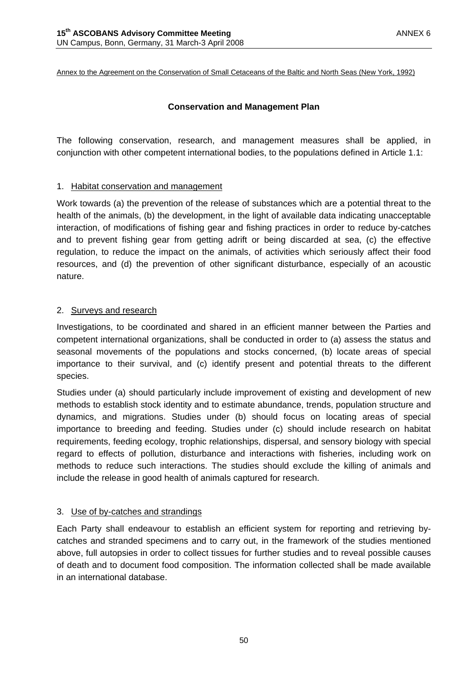Annex to the Agreement on the Conservation of Small Cetaceans of the Baltic and North Seas (New York, 1992)

## **Conservation and Management Plan**

The following conservation, research, and management measures shall be applied, in conjunction with other competent international bodies, to the populations defined in Article 1.1:

## 1. Habitat conservation and management

Work towards (a) the prevention of the release of substances which are a potential threat to the health of the animals, (b) the development, in the light of available data indicating unacceptable interaction, of modifications of fishing gear and fishing practices in order to reduce by-catches and to prevent fishing gear from getting adrift or being discarded at sea, (c) the effective regulation, to reduce the impact on the animals, of activities which seriously affect their food resources, and (d) the prevention of other significant disturbance, especially of an acoustic nature.

## 2. Surveys and research

Investigations, to be coordinated and shared in an efficient manner between the Parties and competent international organizations, shall be conducted in order to (a) assess the status and seasonal movements of the populations and stocks concerned, (b) locate areas of special importance to their survival, and (c) identify present and potential threats to the different species.

Studies under (a) should particularly include improvement of existing and development of new methods to establish stock identity and to estimate abundance, trends, population structure and dynamics, and migrations. Studies under (b) should focus on locating areas of special importance to breeding and feeding. Studies under (c) should include research on habitat requirements, feeding ecology, trophic relationships, dispersal, and sensory biology with special regard to effects of pollution, disturbance and interactions with fisheries, including work on methods to reduce such interactions. The studies should exclude the killing of animals and include the release in good health of animals captured for research.

## 3. Use of by-catches and strandings

Each Party shall endeavour to establish an efficient system for reporting and retrieving bycatches and stranded specimens and to carry out, in the framework of the studies mentioned above, full autopsies in order to collect tissues for further studies and to reveal possible causes of death and to document food composition. The information collected shall be made available in an international database.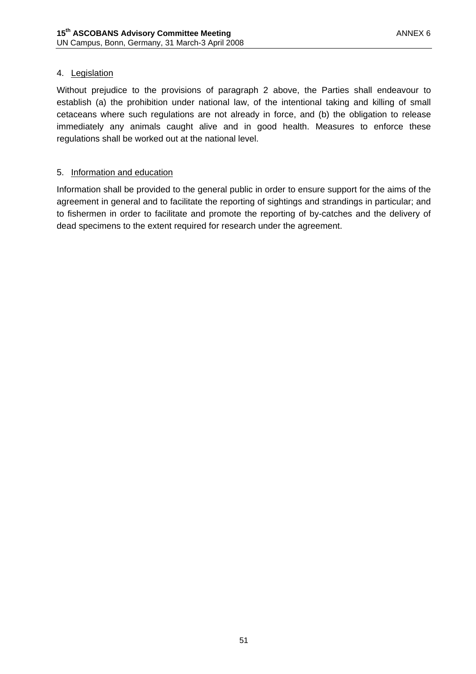## 4. Legislation

Without prejudice to the provisions of paragraph 2 above, the Parties shall endeavour to establish (a) the prohibition under national law, of the intentional taking and killing of small cetaceans where such regulations are not already in force, and (b) the obligation to release immediately any animals caught alive and in good health. Measures to enforce these regulations shall be worked out at the national level.

## 5. Information and education

Information shall be provided to the general public in order to ensure support for the aims of the agreement in general and to facilitate the reporting of sightings and strandings in particular; and to fishermen in order to facilitate and promote the reporting of by-catches and the delivery of dead specimens to the extent required for research under the agreement.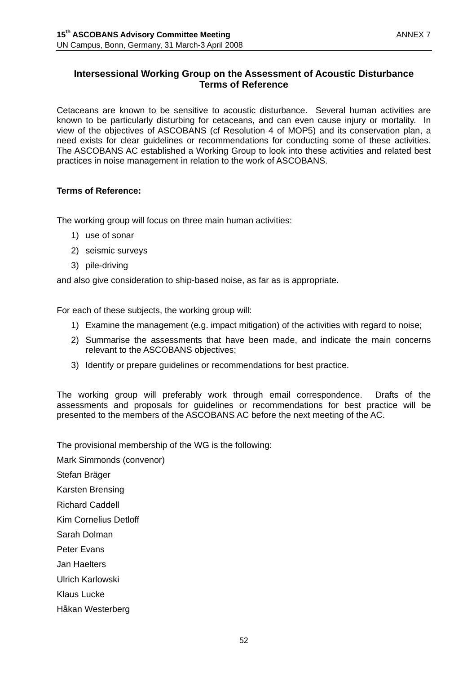## **Intersessional Working Group on the Assessment of Acoustic Disturbance Terms of Reference**

Cetaceans are known to be sensitive to acoustic disturbance. Several human activities are known to be particularly disturbing for cetaceans, and can even cause injury or mortality. In view of the objectives of ASCOBANS (cf Resolution 4 of MOP5) and its conservation plan, a need exists for clear guidelines or recommendations for conducting some of these activities. The ASCOBANS AC established a Working Group to look into these activities and related best practices in noise management in relation to the work of ASCOBANS.

## **Terms of Reference:**

The working group will focus on three main human activities:

- 1) use of sonar
- 2) seismic surveys
- 3) pile-driving

and also give consideration to ship-based noise, as far as is appropriate.

For each of these subjects, the working group will:

- 1) Examine the management (e.g. impact mitigation) of the activities with regard to noise;
- 2) Summarise the assessments that have been made, and indicate the main concerns relevant to the ASCOBANS objectives;
- 3) Identify or prepare guidelines or recommendations for best practice.

The working group will preferably work through email correspondence. Drafts of the assessments and proposals for guidelines or recommendations for best practice will be presented to the members of the ASCOBANS AC before the next meeting of the AC.

The provisional membership of the WG is the following:

Mark Simmonds (convenor)

Stefan Bräger

Karsten Brensing

Richard Caddell

Kim Cornelius Detloff

Sarah Dolman

Peter Evans

Jan Haelters

Ulrich Karlowski

Klaus Lucke

Håkan Westerberg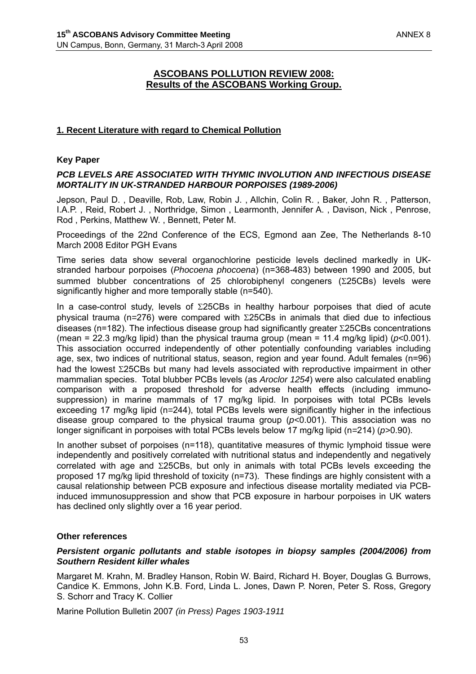## **ASCOBANS POLLUTION REVIEW 2008: Results of the ASCOBANS Working Group.**

## **1. Recent Literature with regard to Chemical Pollution**

#### **Key Paper**

#### *PCB LEVELS ARE ASSOCIATED WITH THYMIC INVOLUTION AND INFECTIOUS DISEASE MORTALITY IN UK-STRANDED HARBOUR PORPOISES (1989-2006)*

Jepson, Paul D. , Deaville, Rob, Law, Robin J. , Allchin, Colin R. , Baker, John R. , Patterson, I.A.P. , Reid, Robert J. , Northridge, Simon , Learmonth, Jennifer A. , Davison, Nick , Penrose, Rod , Perkins, Matthew W. , Bennett, Peter M.

Proceedings of the 22nd Conference of the ECS, Egmond aan Zee, The Netherlands 8-10 March 2008 Editor PGH Evans

Time series data show several organochlorine pesticide levels declined markedly in UKstranded harbour porpoises (*Phocoena phocoena*) (n=368-483) between 1990 and 2005, but summed blubber concentrations of 25 chlorobiphenyl congeners (Σ25CBs) levels were significantly higher and more temporally stable (n=540).

In a case-control study, levels of Σ25CBs in healthy harbour porpoises that died of acute physical trauma (n*=*276) were compared with Σ25CBs in animals that died due to infectious diseases (n=182). The infectious disease group had significantly greater Σ25CBs concentrations (mean = 22.3 mg/kg lipid) than the physical trauma group (mean = 11.4 mg/kg lipid) (*p<*0.001). This association occurred independently of other potentially confounding variables including age, sex, two indices of nutritional status, season, region and year found. Adult females (n=96) had the lowest Σ25CBs but many had levels associated with reproductive impairment in other mammalian species. Total blubber PCBs levels (as *Aroclor 1254*) were also calculated enabling comparison with a proposed threshold for adverse health effects (including immunosuppression) in marine mammals of 17 mg/kg lipid. In porpoises with total PCBs levels exceeding 17 mg/kg lipid (n*=*244), total PCBs levels were significantly higher in the infectious disease group compared to the physical trauma group (*p<*0.001). This association was no longer significant in porpoises with total PCBs levels below 17 mg/kg lipid (n*=*214) (*p>*0.90).

In another subset of porpoises (n=118), quantitative measures of thymic lymphoid tissue were independently and positively correlated with nutritional status and independently and negatively correlated with age and Σ25CBs, but only in animals with total PCBs levels exceeding the proposed 17 mg/kg lipid threshold of toxicity (n=73). These findings are highly consistent with a causal relationship between PCB exposure and infectious disease mortality mediated via PCBinduced immunosuppression and show that PCB exposure in harbour porpoises in UK waters has declined only slightly over a 16 year period.

#### **Other references**

#### *Persistent organic pollutants and stable isotopes in biopsy samples (2004/2006) from Southern Resident killer whales*

Margaret M. Krahn, M. Bradley Hanson, Robin W. Baird, Richard H. Boyer, Douglas G. Burrows, Candice K. Emmons, John K.B. Ford, Linda L. Jones, Dawn P. Noren, Peter S. Ross, Gregory S. Schorr and Tracy K. Collier

Marine Pollution Bulletin 2007 *(in Press) Pages 1903-1911*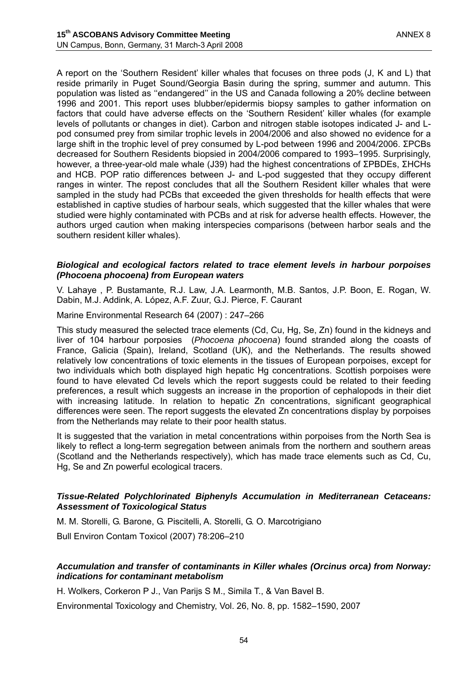A report on the 'Southern Resident' killer whales that focuses on three pods (J, K and L) that reside primarily in Puget Sound/Georgia Basin during the spring, summer and autumn. This population was listed as ''endangered'' in the US and Canada following a 20% decline between 1996 and 2001. This report uses blubber/epidermis biopsy samples to gather information on factors that could have adverse effects on the 'Southern Resident' killer whales (for example levels of pollutants or changes in diet). Carbon and nitrogen stable isotopes indicated J- and Lpod consumed prey from similar trophic levels in 2004/2006 and also showed no evidence for a large shift in the trophic level of prey consumed by L-pod between 1996 and 2004/2006. ΣPCBs decreased for Southern Residents biopsied in 2004/2006 compared to 1993–1995. Surprisingly, however, a three-year-old male whale (J39) had the highest concentrations of ΣPBDEs, ΣHCHs and HCB. POP ratio differences between J- and L-pod suggested that they occupy different ranges in winter. The repost concludes that all the Southern Resident killer whales that were sampled in the study had PCBs that exceeded the given thresholds for health effects that were established in captive studies of harbour seals, which suggested that the killer whales that were studied were highly contaminated with PCBs and at risk for adverse health effects. However, the authors urged caution when making interspecies comparisons (between harbor seals and the southern resident killer whales).

#### *Biological and ecological factors related to trace element levels in harbour porpoises (Phocoena phocoena) from European waters*

V. Lahaye , P. Bustamante, R.J. Law, J.A. Learmonth, M.B. Santos, J.P. Boon, E. Rogan, W. Dabin, M.J. Addink, A. López, A.F. Zuur, G.J. Pierce, F. Caurant

#### Marine Environmental Research 64 (2007) : 247–266

This study measured the selected trace elements (Cd, Cu, Hg, Se, Zn) found in the kidneys and liver of 104 harbour porposies (*Phocoena phocoena*) found stranded along the coasts of France, Galicia (Spain), Ireland, Scotland (UK), and the Netherlands. The results showed relatively low concentrations of toxic elements in the tissues of European porpoises, except for two individuals which both displayed high hepatic Hg concentrations. Scottish porpoises were found to have elevated Cd levels which the report suggests could be related to their feeding preferences, a result which suggests an increase in the proportion of cephalopods in their diet with increasing latitude. In relation to hepatic Zn concentrations, significant geographical differences were seen. The report suggests the elevated Zn concentrations display by porpoises from the Netherlands may relate to their poor health status.

It is suggested that the variation in metal concentrations within porpoises from the North Sea is likely to reflect a long-term segregation between animals from the northern and southern areas (Scotland and the Netherlands respectively), which has made trace elements such as Cd, Cu, Hg, Se and Zn powerful ecological tracers.

#### *Tissue-Related Polychlorinated Biphenyls Accumulation in Mediterranean Cetaceans: Assessment of Toxicological Status*

M. M. Storelli, G. Barone, G. Piscitelli, A. Storelli, G. O. Marcotrigiano

Bull Environ Contam Toxicol (2007) 78:206–210

#### *Accumulation and transfer of contaminants in Killer whales (Orcinus orca) from Norway: indications for contaminant metabolism*

H. Wolkers, Corkeron P J., Van Parijs S M., Simila T., & Van Bavel B.

Environmental Toxicology and Chemistry, Vol. 26, No. 8, pp. 1582–1590, 2007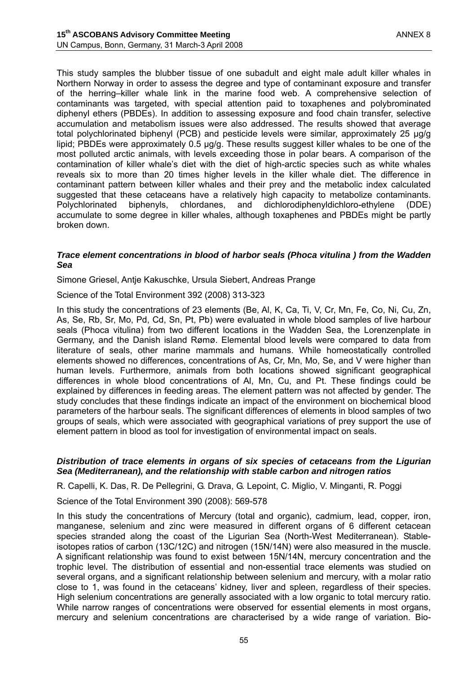This study samples the blubber tissue of one subadult and eight male adult killer whales in Northern Norway in order to assess the degree and type of contaminant exposure and transfer of the herring–killer whale link in the marine food web. A comprehensive selection of contaminants was targeted, with special attention paid to toxaphenes and polybrominated diphenyl ethers (PBDEs). In addition to assessing exposure and food chain transfer, selective accumulation and metabolism issues were also addressed. The results showed that average total polychlorinated biphenyl (PCB) and pesticide levels were similar, approximately 25 µg/g lipid; PBDEs were approximately 0.5 µg/g. These results suggest killer whales to be one of the most polluted arctic animals, with levels exceeding those in polar bears. A comparison of the contamination of killer whale's diet with the diet of high-arctic species such as white whales reveals six to more than 20 times higher levels in the killer whale diet. The difference in contaminant pattern between killer whales and their prey and the metabolic index calculated suggested that these cetaceans have a relatively high capacity to metabolize contaminants. Polychlorinated biphenyls, chlordanes, and dichlorodiphenyldichloro-ethylene (DDE) accumulate to some degree in killer whales, although toxaphenes and PBDEs might be partly broken down.

#### *Trace element concentrations in blood of harbor seals (Phoca vitulina ) from the Wadden Sea*

Simone Griesel, Antje Kakuschke, Ursula Siebert, Andreas Prange

Science of the Total Environment 392 (2008) 313-323

In this study the concentrations of 23 elements (Be, Al, K, Ca, Ti, V, Cr, Mn, Fe, Co, Ni, Cu, Zn, As, Se, Rb, Sr, Mo, Pd, Cd, Sn, Pt, Pb) were evaluated in whole blood samples of live harbour seals (Phoca vitulina) from two different locations in the Wadden Sea, the Lorenzenplate in Germany, and the Danish island Rømø. Elemental blood levels were compared to data from literature of seals, other marine mammals and humans. While homeostatically controlled elements showed no differences, concentrations of As, Cr, Mn, Mo, Se, and V were higher than human levels. Furthermore, animals from both locations showed significant geographical differences in whole blood concentrations of Al, Mn, Cu, and Pt. These findings could be explained by differences in feeding areas. The element pattern was not affected by gender. The study concludes that these findings indicate an impact of the environment on biochemical blood parameters of the harbour seals. The significant differences of elements in blood samples of two groups of seals, which were associated with geographical variations of prey support the use of element pattern in blood as tool for investigation of environmental impact on seals.

#### *Distribution of trace elements in organs of six species of cetaceans from the Ligurian Sea (Mediterranean), and the relationship with stable carbon and nitrogen ratios*

R. Capelli, K. Das, R. De Pellegrini, G. Drava, G. Lepoint, C. Miglio, V. Minganti, R. Poggi

Science of the Total Environment 390 (2008): 569-578

In this study the concentrations of Mercury (total and organic), cadmium, lead, copper, iron, manganese, selenium and zinc were measured in different organs of 6 different cetacean species stranded along the coast of the Ligurian Sea (North-West Mediterranean). Stableisotopes ratios of carbon (13C/12C) and nitrogen (15N/14N) were also measured in the muscle. A significant relationship was found to exist between 15N/14N, mercury concentration and the trophic level. The distribution of essential and non-essential trace elements was studied on several organs, and a significant relationship between selenium and mercury, with a molar ratio close to 1, was found in the cetaceans' kidney, liver and spleen, regardless of their species. High selenium concentrations are generally associated with a low organic to total mercury ratio. While narrow ranges of concentrations were observed for essential elements in most organs, mercury and selenium concentrations are characterised by a wide range of variation. Bio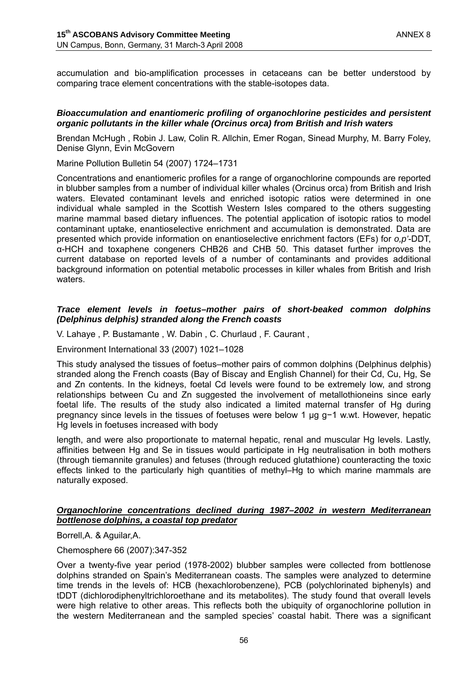accumulation and bio-amplification processes in cetaceans can be better understood by comparing trace element concentrations with the stable-isotopes data.

#### *Bioaccumulation and enantiomeric profiling of organochlorine pesticides and persistent organic pollutants in the killer whale (Orcinus orca) from British and Irish waters*

Brendan McHugh , Robin J. Law, Colin R. Allchin, Emer Rogan, Sinead Murphy, M. Barry Foley, Denise Glynn, Evin McGovern

Marine Pollution Bulletin 54 (2007) 1724–1731

Concentrations and enantiomeric profiles for a range of organochlorine compounds are reported in blubber samples from a number of individual killer whales (Orcinus orca) from British and Irish waters. Elevated contaminant levels and enriched isotopic ratios were determined in one individual whale sampled in the Scottish Western Isles compared to the others suggesting marine mammal based dietary influences. The potential application of isotopic ratios to model contaminant uptake, enantioselective enrichment and accumulation is demonstrated. Data are presented which provide information on enantioselective enrichment factors (EFs) for *o,p'*-DDT, α-HCH and toxaphene congeners CHB26 and CHB 50. This dataset further improves the current database on reported levels of a number of contaminants and provides additional background information on potential metabolic processes in killer whales from British and Irish waters.

#### *Trace element levels in foetus–mother pairs of short-beaked common dolphins (Delphinus delphis) stranded along the French coasts*

V. Lahaye , P. Bustamante , W. Dabin , C. Churlaud , F. Caurant ,

Environment International 33 (2007) 1021–1028

This study analysed the tissues of foetus–mother pairs of common dolphins (Delphinus delphis) stranded along the French coasts (Bay of Biscay and English Channel) for their Cd, Cu, Hg, Se and Zn contents. In the kidneys, foetal Cd levels were found to be extremely low, and strong relationships between Cu and Zn suggested the involvement of metallothioneins since early foetal life. The results of the study also indicated a limited maternal transfer of Hg during pregnancy since levels in the tissues of foetuses were below 1 µg g−1 w.wt. However, hepatic Hg levels in foetuses increased with body

length, and were also proportionate to maternal hepatic, renal and muscular Hg levels. Lastly, affinities between Hg and Se in tissues would participate in Hg neutralisation in both mothers (through tiemannite granules) and fetuses (through reduced glutathione) counteracting the toxic effects linked to the particularly high quantities of methyl–Hg to which marine mammals are naturally exposed.

#### *Organochlorine concentrations declined during 1987–2002 in western Mediterranean bottlenose dolphins, a coastal top predator*

Borrell,A. & Aguilar,A.

Chemosphere 66 (2007):347-352

Over a twenty-five year period (1978-2002) blubber samples were collected from bottlenose dolphins stranded on Spain's Mediterranean coasts. The samples were analyzed to determine time trends in the levels of: HCB (hexachlorobenzene), PCB (polychlorinated biphenyls) and tDDT (dichlorodiphenyltrichloroethane and its metabolites). The study found that overall levels were high relative to other areas. This reflects both the ubiquity of organochlorine pollution in the western Mediterranean and the sampled species' coastal habit. There was a significant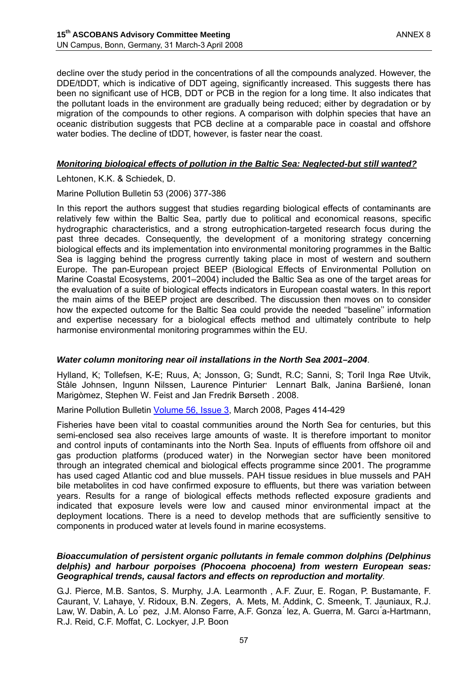decline over the study period in the concentrations of all the compounds analyzed. However, the DDE/tDDT, which is indicative of DDT ageing, significantly increased. This suggests there has been no significant use of HCB, DDT or PCB in the region for a long time. It also indicates that the pollutant loads in the environment are gradually being reduced; either by degradation or by migration of the compounds to other regions. A comparison with dolphin species that have an oceanic distribution suggests that PCB decline at a comparable pace in coastal and offshore water bodies. The decline of tDDT, however, is faster near the coast.

#### *Monitoring biological effects of pollution in the Baltic Sea: Neglected-but still wanted?*

Lehtonen, K.K. & Schiedek, D.

Marine Pollution Bulletin 53 (2006) 377-386

In this report the authors suggest that studies regarding biological effects of contaminants are relatively few within the Baltic Sea, partly due to political and economical reasons, specific hydrographic characteristics, and a strong eutrophication-targeted research focus during the past three decades. Consequently, the development of a monitoring strategy concerning biological effects and its implementation into environmental monitoring programmes in the Baltic Sea is lagging behind the progress currently taking place in most of western and southern Europe. The pan-European project BEEP (Biological Effects of Environmental Pollution on Marine Coastal Ecosystems, 2001–2004) included the Baltic Sea as one of the target areas for the evaluation of a suite of biological effects indicators in European coastal waters. In this report the main aims of the BEEP project are described. The discussion then moves on to consider how the expected outcome for the Baltic Sea could provide the needed ''baseline'' information and expertise necessary for a biological effects method and ultimately contribute to help harmonise environmental monitoring programmes within the EU.

#### *Water column monitoring near oil installations in the North Sea 2001–2004*.

Hylland, K; Tollefsen, K-E; Ruus, A; Jonsson, G; Sundt, R.C; Sanni, S; Toril Inga Røe Utvik, Ståle Johnsen, Ingunn Nilssen, Laurence Pinturier**,** Lennart Balk, Janina Baršienė, Ionan Marigòmez, Stephen W. Feist and Jan Fredrik Børseth . 2008.

Marine Pollution Bulletin Volume 56, Issue 3, March 2008, Pages 414-429

Fisheries have been vital to coastal communities around the North Sea for centuries, but this semi-enclosed sea also receives large amounts of waste. It is therefore important to monitor and control inputs of contaminants into the North Sea. Inputs of effluents from offshore oil and gas production platforms (produced water) in the Norwegian sector have been monitored through an integrated chemical and biological effects programme since 2001. The programme has used caged Atlantic cod and blue mussels. PAH tissue residues in blue mussels and PAH bile metabolites in cod have confirmed exposure to effluents, but there was variation between years. Results for a range of biological effects methods reflected exposure gradients and indicated that exposure levels were low and caused minor environmental impact at the deployment locations. There is a need to develop methods that are sufficiently sensitive to components in produced water at levels found in marine ecosystems.

#### *Bioaccumulation of persistent organic pollutants in female common dolphins (Delphinus delphis) and harbour porpoises (Phocoena phocoena) from western European seas: Geographical trends, causal factors and effects on reproduction and mortality.*

G.J. Pierce, M.B. Santos, S. Murphy, J.A. Learmonth , A.F. Zuur, E. Rogan, P. Bustamante, F. Caurant, V. Lahaye, V. Ridoux, B.N. Zegers, A. Mets, M. Addink, C. Smeenk, T. Jauniaux, R.J. Law, W. Dabin, A. Lo ́ pez, J.M. Alonso Farre, A.F. Gonza ́ lez, A. Guerra, M. Garcı ́a-Hartmann, R.J. Reid, C.F. Moffat, C. Lockyer, J.P. Boon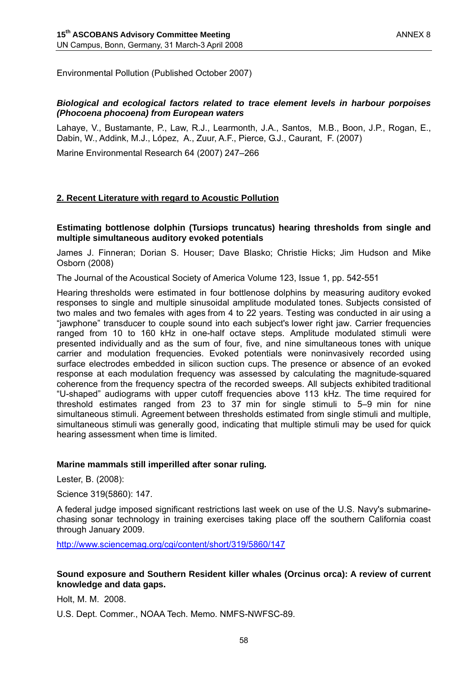Environmental Pollution (Published October 2007)

#### *Biological and ecological factors related to trace element levels in harbour porpoises (Phocoena phocoena) from European waters*

Lahaye, V., Bustamante, P., Law, R.J., Learmonth, J.A., Santos, M.B., Boon, J.P., Rogan, E., Dabin, W., Addink, M.J., López, A., Zuur, A.F., Pierce, G.J., Caurant, F. (2007)

Marine Environmental Research 64 (2007) 247–266

#### **2. Recent Literature with regard to Acoustic Pollution**

#### **Estimating bottlenose dolphin (Tursiops truncatus) hearing thresholds from single and multiple simultaneous auditory evoked potentials**

James J. Finneran; Dorian S. Houser; Dave Blasko; Christie Hicks; Jim Hudson and Mike Osborn (2008)

The Journal of the Acoustical Society of America Volume 123, Issue 1, pp. 542-551

Hearing thresholds were estimated in four bottlenose dolphins by measuring auditory evoked responses to single and multiple sinusoidal amplitude modulated tones. Subjects consisted of two males and two females with ages from 4 to 22 years. Testing was conducted in air using a "jawphone" transducer to couple sound into each subject's lower right jaw. Carrier frequencies ranged from 10 to 160 kHz in one-half octave steps. Amplitude modulated stimuli were presented individually and as the sum of four, five, and nine simultaneous tones with unique carrier and modulation frequencies. Evoked potentials were noninvasively recorded using surface electrodes embedded in silicon suction cups. The presence or absence of an evoked response at each modulation frequency was assessed by calculating the magnitude-squared coherence from the frequency spectra of the recorded sweeps. All subjects exhibited traditional "U-shaped" audiograms with upper cutoff frequencies above 113 kHz. The time required for threshold estimates ranged from 23 to 37 min for single stimuli to 5–9 min for nine simultaneous stimuli. Agreement between thresholds estimated from single stimuli and multiple, simultaneous stimuli was generally good, indicating that multiple stimuli may be used for quick hearing assessment when time is limited.

#### **Marine mammals still imperilled after sonar ruling***.*

Lester, B. (2008):

Science 319(5860): 147.

A federal judge imposed significant restrictions last week on use of the U.S. Navy's submarinechasing sonar technology in training exercises taking place off the southern California coast through January 2009.

http://www.sciencemag.org/cgi/content/short/319/5860/147

#### **Sound exposure and Southern Resident killer whales (Orcinus orca): A review of current knowledge and data gaps.**

Holt, M. M. 2008.

U.S. Dept. Commer., NOAA Tech. Memo. NMFS-NWFSC-89.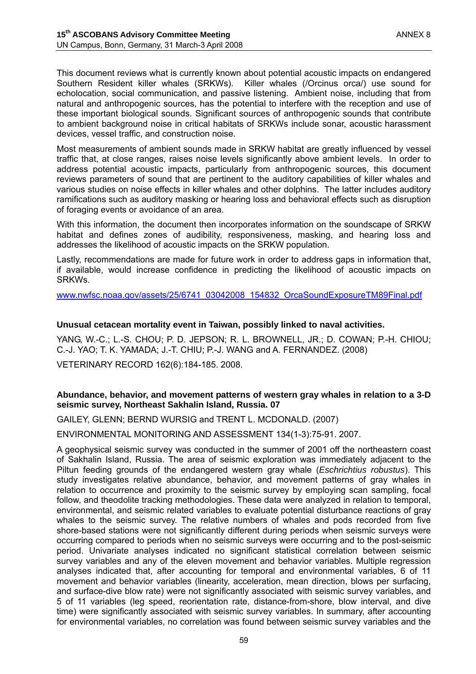This document reviews what is currently known about potential acoustic impacts on endangered Southern Resident killer whales (SRKWs). Killer whales (/Orcinus orca/) use sound for echolocation, social communication, and passive listening. Ambient noise, including that from natural and anthropogenic sources, has the potential to interfere with the reception and use of these important biological sounds. Significant sources of anthropogenic sounds that contribute to ambient background noise in critical habitats of SRKWs include sonar, acoustic harassment devices, vessel traffic, and construction noise.

Most measurements of ambient sounds made in SRKW habitat are greatly influenced by vessel traffic that, at close ranges, raises noise levels significantly above ambient levels. In order to address potential acoustic impacts, particularly from anthropogenic sources, this document reviews parameters of sound that are pertinent to the auditory capabilities of killer whales and various studies on noise effects in killer whales and other dolphins. The latter includes auditory ramifications such as auditory masking or hearing loss and behavioral effects such as disruption of foraging events or avoidance of an area.

With this information, the document then incorporates information on the soundscape of SRKW habitat and defines zones of audibility, responsiveness, masking, and hearing loss and addresses the likelihood of acoustic impacts on the SRKW population.

Lastly, recommendations are made for future work in order to address gaps in information that, if available, would increase confidence in predicting the likelihood of acoustic impacts on SRKWs.

www.nwfsc.noaa.gov/assets/25/6741\_03042008\_154832\_OrcaSoundExposureTM89Final.pdf

#### **Unusual cetacean mortality event in Taiwan, possibly linked to naval activities.**

YANG, W.-C.; L.-S. CHOU; P. D. JEPSON; R. L. BROWNELL, JR.; D. COWAN; P.-H. CHIOU; C.-J. YAO; T. K. YAMADA; J.-T. CHIU; P.-J. WANG and A. FERNANDEZ. (2008)

VETERINARY RECORD 162(6):184-185. 2008.

#### **Abundance, behavior, and movement patterns of western gray whales in relation to a 3-D seismic survey, Northeast Sakhalin Island, Russia. 07**

GAILEY, GLENN; BERND WURSIG and TRENT L. MCDONALD. (2007)

ENVIRONMENTAL MONITORING AND ASSESSMENT 134(1-3):75-91. 2007.

A geophysical seismic survey was conducted in the summer of 2001 off the northeastern coast of Sakhalin Island, Russia. The area of seismic exploration was immediately adjacent to the Piltun feeding grounds of the endangered western gray whale (*Eschrichtius robustus*). This study investigates relative abundance, behavior, and movement patterns of gray whales in relation to occurrence and proximity to the seismic survey by employing scan sampling, focal follow, and theodolite tracking methodologies. These data were analyzed in relation to temporal, environmental, and seismic related variables to evaluate potential disturbance reactions of gray whales to the seismic survey. The relative numbers of whales and pods recorded from five shore-based stations were not significantly different during periods when seismic surveys were occurring compared to periods when no seismic surveys were occurring and to the post-seismic period. Univariate analyses indicated no significant statistical correlation between seismic survey variables and any of the eleven movement and behavior variables. Multiple regression analyses indicated that, after accounting for temporal and environmental variables, 6 of 11 movement and behavior variables (linearity, acceleration, mean direction, blows per surfacing, and surface-dive blow rate) were not significantly associated with seismic survey variables, and 5 of 11 variables (leg speed, reorientation rate, distance-from-shore, blow interval, and dive time) were significantly associated with seismic survey variables. In summary, after accounting for environmental variables, no correlation was found between seismic survey variables and the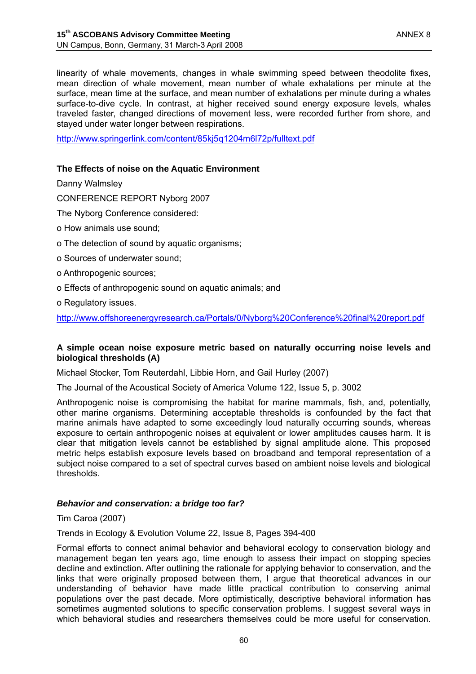linearity of whale movements, changes in whale swimming speed between theodolite fixes, mean direction of whale movement, mean number of whale exhalations per minute at the surface, mean time at the surface, and mean number of exhalations per minute during a whales surface-to-dive cycle. In contrast, at higher received sound energy exposure levels, whales traveled faster, changed directions of movement less, were recorded further from shore, and stayed under water longer between respirations.

http://www.springerlink.com/content/85kj5q1204m6l72p/fulltext.pdf

### **The Effects of noise on the Aquatic Environment**

Danny Walmsley

CONFERENCE REPORT Nyborg 2007

- The Nyborg Conference considered:
- o How animals use sound;
- o The detection of sound by aquatic organisms;
- o Sources of underwater sound;
- o Anthropogenic sources;
- o Effects of anthropogenic sound on aquatic animals; and
- o Regulatory issues.

http://www.offshoreenergyresearch.ca/Portals/0/Nyborg%20Conference%20final%20report.pdf

#### **A simple ocean noise exposure metric based on naturally occurring noise levels and biological thresholds (A)**

Michael Stocker, Tom Reuterdahl, Libbie Horn, and Gail Hurley (2007)

The Journal of the Acoustical Society of America Volume 122, Issue 5, p. 3002

Anthropogenic noise is compromising the habitat for marine mammals, fish, and, potentially, other marine organisms. Determining acceptable thresholds is confounded by the fact that marine animals have adapted to some exceedingly loud naturally occurring sounds, whereas exposure to certain anthropogenic noises at equivalent or lower amplitudes causes harm. It is clear that mitigation levels cannot be established by signal amplitude alone. This proposed metric helps establish exposure levels based on broadband and temporal representation of a subject noise compared to a set of spectral curves based on ambient noise levels and biological thresholds.

#### *Behavior and conservation: a bridge too far?*

#### Tim Caroa (2007)

Trends in Ecology & Evolution Volume 22, Issue 8, Pages 394-400

Formal efforts to connect animal behavior and behavioral ecology to conservation biology and management began ten years ago, time enough to assess their impact on stopping species decline and extinction. After outlining the rationale for applying behavior to conservation, and the links that were originally proposed between them, I argue that theoretical advances in our understanding of behavior have made little practical contribution to conserving animal populations over the past decade. More optimistically, descriptive behavioral information has sometimes augmented solutions to specific conservation problems. I suggest several ways in which behavioral studies and researchers themselves could be more useful for conservation.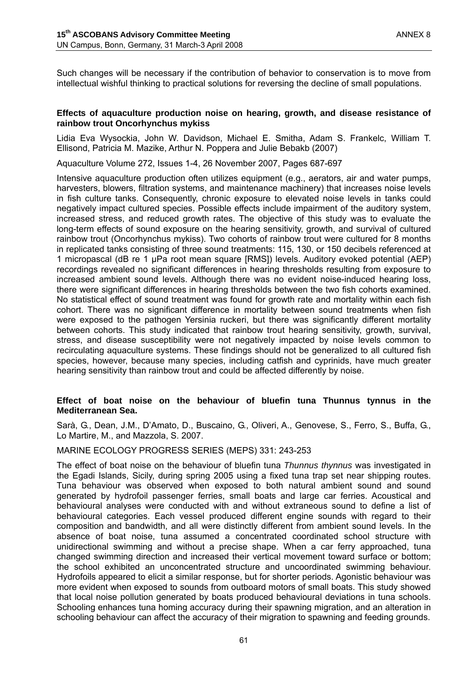Such changes will be necessary if the contribution of behavior to conservation is to move from intellectual wishful thinking to practical solutions for reversing the decline of small populations.

#### **Effects of aquaculture production noise on hearing, growth, and disease resistance of rainbow trout Oncorhynchus mykiss**

Lidia Eva Wysockia, John W. Davidson, Michael E. Smitha, Adam S. Frankelc, William T. Ellisond, Patricia M. Mazike, Arthur N. Poppera and Julie Bebakb (2007)

Aquaculture Volume 272, Issues 1-4, 26 November 2007, Pages 687-697

Intensive aquaculture production often utilizes equipment (e.g., aerators, air and water pumps, harvesters, blowers, filtration systems, and maintenance machinery) that increases noise levels in fish culture tanks. Consequently, chronic exposure to elevated noise levels in tanks could negatively impact cultured species. Possible effects include impairment of the auditory system, increased stress, and reduced growth rates. The objective of this study was to evaluate the long-term effects of sound exposure on the hearing sensitivity, growth, and survival of cultured rainbow trout (Oncorhynchus mykiss). Two cohorts of rainbow trout were cultured for 8 months in replicated tanks consisting of three sound treatments: 115, 130, or 150 decibels referenced at 1 micropascal (dB re 1 µPa root mean square [RMS]) levels. Auditory evoked potential (AEP) recordings revealed no significant differences in hearing thresholds resulting from exposure to increased ambient sound levels. Although there was no evident noise-induced hearing loss, there were significant differences in hearing thresholds between the two fish cohorts examined. No statistical effect of sound treatment was found for growth rate and mortality within each fish cohort. There was no significant difference in mortality between sound treatments when fish were exposed to the pathogen Yersinia ruckeri, but there was significantly different mortality between cohorts. This study indicated that rainbow trout hearing sensitivity, growth, survival, stress, and disease susceptibility were not negatively impacted by noise levels common to recirculating aquaculture systems. These findings should not be generalized to all cultured fish species, however, because many species, including catfish and cyprinids, have much greater hearing sensitivity than rainbow trout and could be affected differently by noise.

#### **Effect of boat noise on the behaviour of bluefin tuna Thunnus tynnus in the Mediterranean Sea.**

Sarà, G., Dean, J.M., D'Amato, D., Buscaino, G., Oliveri, A., Genovese, S., Ferro, S., Buffa, G., Lo Martire, M., and Mazzola, S. 2007.

#### MARINE ECOLOGY PROGRESS SERIES (MEPS) 331: 243-253

The effect of boat noise on the behaviour of bluefin tuna *Thunnus thynnus* was investigated in the Egadi Islands, Sicily, during spring 2005 using a fixed tuna trap set near shipping routes. Tuna behaviour was observed when exposed to both natural ambient sound and sound generated by hydrofoil passenger ferries, small boats and large car ferries. Acoustical and behavioural analyses were conducted with and without extraneous sound to define a list of behavioural categories. Each vessel produced different engine sounds with regard to their composition and bandwidth, and all were distinctly different from ambient sound levels. In the absence of boat noise, tuna assumed a concentrated coordinated school structure with unidirectional swimming and without a precise shape. When a car ferry approached, tuna changed swimming direction and increased their vertical movement toward surface or bottom; the school exhibited an unconcentrated structure and uncoordinated swimming behaviour. Hydrofoils appeared to elicit a similar response, but for shorter periods. Agonistic behaviour was more evident when exposed to sounds from outboard motors of small boats. This study showed that local noise pollution generated by boats produced behavioural deviations in tuna schools. Schooling enhances tuna homing accuracy during their spawning migration, and an alteration in schooling behaviour can affect the accuracy of their migration to spawning and feeding grounds.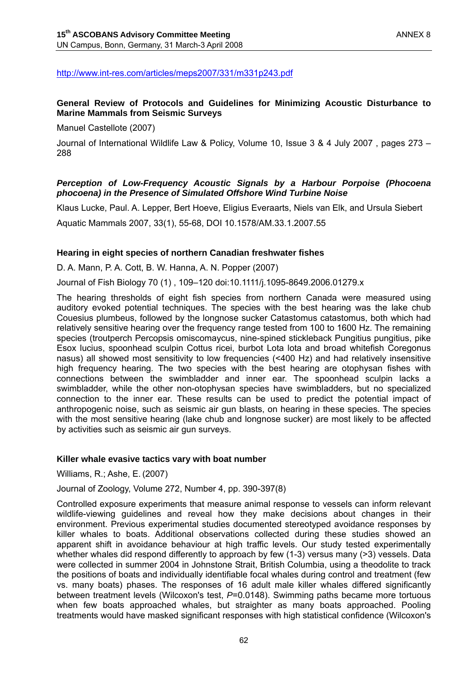### http://www.int-res.com/articles/meps2007/331/m331p243.pdf

## **General Review of Protocols and Guidelines for Minimizing Acoustic Disturbance to Marine Mammals from Seismic Surveys**

Manuel Castellote (2007)

Journal of International Wildlife Law & Policy, Volume 10, Issue 3 & 4 July 2007 , pages 273 – 288

### *Perception of Low-Frequency Acoustic Signals by a Harbour Porpoise (Phocoena phocoena) in the Presence of Simulated Offshore Wind Turbine Noise*

Klaus Lucke, Paul. A. Lepper, Bert Hoeve, Eligius Everaarts, Niels van Elk, and Ursula Siebert

Aquatic Mammals 2007, 33(1), 55-68, DOI 10.1578/AM.33.1.2007.55

#### **Hearing in eight species of northern Canadian freshwater fishes**

D. A. Mann, P. A. Cott, B. W. Hanna, A. N. Popper (2007)

Journal of Fish Biology 70 (1) , 109–120 doi:10.1111/j.1095-8649.2006.01279.x

The hearing thresholds of eight fish species from northern Canada were measured using auditory evoked potential techniques. The species with the best hearing was the lake chub Couesius plumbeus, followed by the longnose sucker Catastomus catastomus, both which had relatively sensitive hearing over the frequency range tested from 100 to 1600 Hz. The remaining species (troutperch Percopsis omiscomaycus, nine-spined stickleback Pungitius pungitius, pike Esox lucius, spoonhead sculpin Cottus ricei, burbot Lota lota and broad whitefish Coregonus nasus) all showed most sensitivity to low frequencies (<400 Hz) and had relatively insensitive high frequency hearing. The two species with the best hearing are otophysan fishes with connections between the swimbladder and inner ear. The spoonhead sculpin lacks a swimbladder, while the other non-otophysan species have swimbladders, but no specialized connection to the inner ear. These results can be used to predict the potential impact of anthropogenic noise, such as seismic air gun blasts, on hearing in these species. The species with the most sensitive hearing (lake chub and longnose sucker) are most likely to be affected by activities such as seismic air gun surveys.

#### **Killer whale evasive tactics vary with boat number**

Williams, R.; Ashe, E. (2007)

Journal of Zoology, Volume 272, Number 4, pp. 390-397(8)

Controlled exposure experiments that measure animal response to vessels can inform relevant wildlife-viewing guidelines and reveal how they make decisions about changes in their environment. Previous experimental studies documented stereotyped avoidance responses by killer whales to boats. Additional observations collected during these studies showed an apparent shift in avoidance behaviour at high traffic levels. Our study tested experimentally whether whales did respond differently to approach by few (1-3) versus many (>3) vessels. Data were collected in summer 2004 in Johnstone Strait, British Columbia, using a theodolite to track the positions of boats and individually identifiable focal whales during control and treatment (few vs. many boats) phases. The responses of 16 adult male killer whales differed significantly between treatment levels (Wilcoxon's test, *P*=0.0148). Swimming paths became more tortuous when few boats approached whales, but straighter as many boats approached. Pooling treatments would have masked significant responses with high statistical confidence (Wilcoxon's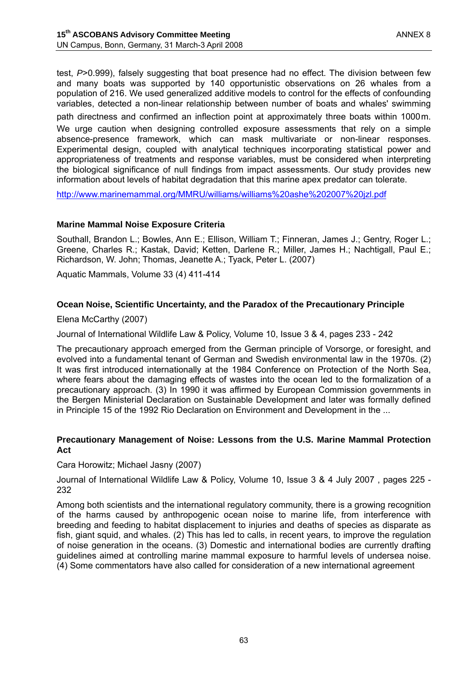test, *P*>0.999), falsely suggesting that boat presence had no effect. The division between few and many boats was supported by 140 opportunistic observations on 26 whales from a population of 216. We used generalized additive models to control for the effects of confounding variables, detected a non-linear relationship between number of boats and whales' swimming path directness and confirmed an inflection point at approximately three boats within 1000m.

We urge caution when designing controlled exposure assessments that rely on a simple absence-presence framework, which can mask multivariate or non-linear responses. Experimental design, coupled with analytical techniques incorporating statistical power and appropriateness of treatments and response variables, must be considered when interpreting the biological significance of null findings from impact assessments. Our study provides new information about levels of habitat degradation that this marine apex predator can tolerate.

http://www.marinemammal.org/MMRU/williams/williams%20ashe%202007%20jzl.pdf

#### **Marine Mammal Noise Exposure Criteria**

Southall, Brandon L.; Bowles, Ann E.; Ellison, William T.; Finneran, James J.; Gentry, Roger L.; Greene, Charles R.; Kastak, David; Ketten, Darlene R.; Miller, James H.; Nachtigall, Paul E.; Richardson, W. John; Thomas, Jeanette A.; Tyack, Peter L. (2007)

Aquatic Mammals, Volume 33 (4) 411-414

## **Ocean Noise, Scientific Uncertainty, and the Paradox of the Precautionary Principle**

Elena McCarthy (2007)

Journal of International Wildlife Law & Policy, Volume 10, Issue 3 & 4, pages 233 - 242

The precautionary approach emerged from the German principle of Vorsorge, or foresight, and evolved into a fundamental tenant of German and Swedish environmental law in the 1970s. (2) It was first introduced internationally at the 1984 Conference on Protection of the North Sea, where fears about the damaging effects of wastes into the ocean led to the formalization of a precautionary approach. (3) In 1990 it was affirmed by European Commission governments in the Bergen Ministerial Declaration on Sustainable Development and later was formally defined in Principle 15 of the 1992 Rio Declaration on Environment and Development in the ...

#### **Precautionary Management of Noise: Lessons from the U.S. Marine Mammal Protection Act**

Cara Horowitz; Michael Jasny (2007)

Journal of International Wildlife Law & Policy, Volume 10, Issue 3 & 4 July 2007 , pages 225 - 232

Among both scientists and the international regulatory community, there is a growing recognition of the harms caused by anthropogenic ocean noise to marine life, from interference with breeding and feeding to habitat displacement to injuries and deaths of species as disparate as fish, giant squid, and whales. (2) This has led to calls, in recent years, to improve the regulation of noise generation in the oceans. (3) Domestic and international bodies are currently drafting guidelines aimed at controlling marine mammal exposure to harmful levels of undersea noise. (4) Some commentators have also called for consideration of a new international agreement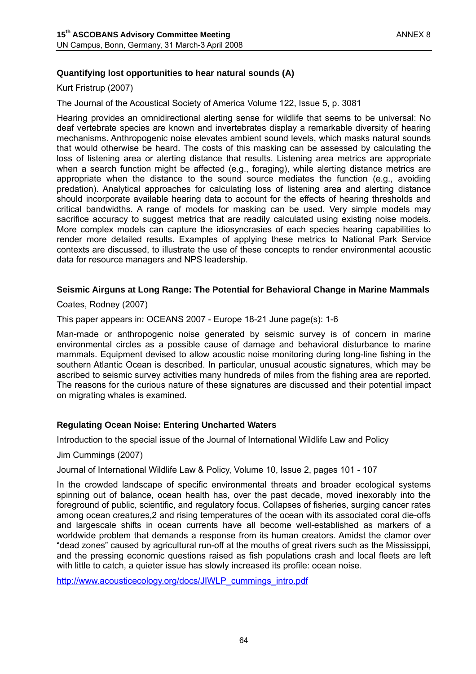## **Quantifying lost opportunities to hear natural sounds (A)**

Kurt Fristrup (2007)

The Journal of the Acoustical Society of America Volume 122, Issue 5, p. 3081

Hearing provides an omnidirectional alerting sense for wildlife that seems to be universal: No deaf vertebrate species are known and invertebrates display a remarkable diversity of hearing mechanisms. Anthropogenic noise elevates ambient sound levels, which masks natural sounds that would otherwise be heard. The costs of this masking can be assessed by calculating the loss of listening area or alerting distance that results. Listening area metrics are appropriate when a search function might be affected (e.g., foraging), while alerting distance metrics are appropriate when the distance to the sound source mediates the function (e.g., avoiding predation). Analytical approaches for calculating loss of listening area and alerting distance should incorporate available hearing data to account for the effects of hearing thresholds and critical bandwidths. A range of models for masking can be used. Very simple models may sacrifice accuracy to suggest metrics that are readily calculated using existing noise models. More complex models can capture the idiosyncrasies of each species hearing capabilities to render more detailed results. Examples of applying these metrics to National Park Service contexts are discussed, to illustrate the use of these concepts to render environmental acoustic data for resource managers and NPS leadership.

#### **Seismic Airguns at Long Range: The Potential for Behavioral Change in Marine Mammals**

Coates, Rodney (2007)

This paper appears in: OCEANS 2007 - Europe 18-21 June page(s): 1-6

Man-made or anthropogenic noise generated by seismic survey is of concern in marine environmental circles as a possible cause of damage and behavioral disturbance to marine mammals. Equipment devised to allow acoustic noise monitoring during long-line fishing in the southern Atlantic Ocean is described. In particular, unusual acoustic signatures, which may be ascribed to seismic survey activities many hundreds of miles from the fishing area are reported. The reasons for the curious nature of these signatures are discussed and their potential impact on migrating whales is examined.

#### **Regulating Ocean Noise: Entering Uncharted Waters**

Introduction to the special issue of the Journal of International Wildlife Law and Policy

Jim Cummings (2007)

Journal of International Wildlife Law & Policy, Volume 10, Issue 2, pages 101 - 107

In the crowded landscape of specific environmental threats and broader ecological systems spinning out of balance, ocean health has, over the past decade, moved inexorably into the foreground of public, scientific, and regulatory focus. Collapses of fisheries, surging cancer rates among ocean creatures,2 and rising temperatures of the ocean with its associated coral die-offs and largescale shifts in ocean currents have all become well-established as markers of a worldwide problem that demands a response from its human creators. Amidst the clamor over "dead zones" caused by agricultural run-off at the mouths of great rivers such as the Mississippi, and the pressing economic questions raised as fish populations crash and local fleets are left with little to catch, a quieter issue has slowly increased its profile: ocean noise.

http://www.acousticecology.org/docs/JIWLP\_cummings\_intro.pdf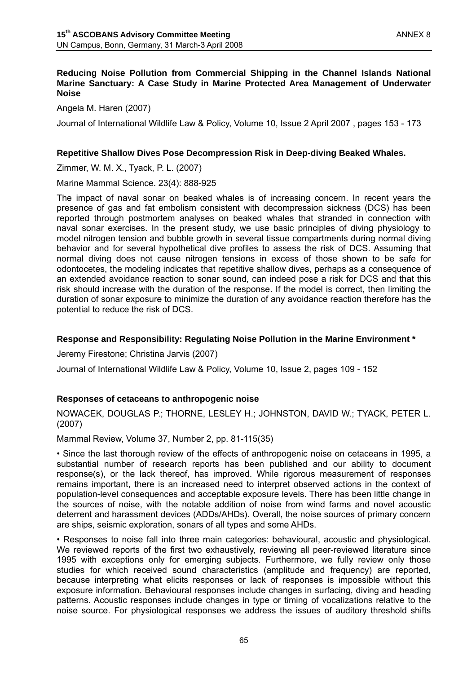#### **Reducing Noise Pollution from Commercial Shipping in the Channel Islands National Marine Sanctuary: A Case Study in Marine Protected Area Management of Underwater Noise**

Angela M. Haren (2007)

Journal of International Wildlife Law & Policy, Volume 10, Issue 2 April 2007 , pages 153 - 173

### **Repetitive Shallow Dives Pose Decompression Risk in Deep-diving Beaked Whales.**

Zimmer, W. M. X., Tyack, P. L. (2007)

Marine Mammal Science. 23(4): 888-925

The impact of naval sonar on beaked whales is of increasing concern. In recent years the presence of gas and fat embolism consistent with decompression sickness (DCS) has been reported through postmortem analyses on beaked whales that stranded in connection with naval sonar exercises. In the present study, we use basic principles of diving physiology to model nitrogen tension and bubble growth in several tissue compartments during normal diving behavior and for several hypothetical dive profiles to assess the risk of DCS. Assuming that normal diving does not cause nitrogen tensions in excess of those shown to be safe for odontocetes, the modeling indicates that repetitive shallow dives, perhaps as a consequence of an extended avoidance reaction to sonar sound, can indeed pose a risk for DCS and that this risk should increase with the duration of the response. If the model is correct, then limiting the duration of sonar exposure to minimize the duration of any avoidance reaction therefore has the potential to reduce the risk of DCS.

### **Response and Responsibility: Regulating Noise Pollution in the Marine Environment \***

Jeremy Firestone; Christina Jarvis (2007)

Journal of International Wildlife Law & Policy, Volume 10, Issue 2, pages 109 - 152

## **Responses of cetaceans to anthropogenic noise**

NOWACEK, DOUGLAS P.; THORNE, LESLEY H.; JOHNSTON, DAVID W.; TYACK, PETER L. (2007)

Mammal Review, Volume 37, Number 2, pp. 81-115(35)

• Since the last thorough review of the effects of anthropogenic noise on cetaceans in 1995, a substantial number of research reports has been published and our ability to document response(s), or the lack thereof, has improved. While rigorous measurement of responses remains important, there is an increased need to interpret observed actions in the context of population-level consequences and acceptable exposure levels. There has been little change in the sources of noise, with the notable addition of noise from wind farms and novel acoustic deterrent and harassment devices (ADDs/AHDs). Overall, the noise sources of primary concern are ships, seismic exploration, sonars of all types and some AHDs.

• Responses to noise fall into three main categories: behavioural, acoustic and physiological. We reviewed reports of the first two exhaustively, reviewing all peer-reviewed literature since 1995 with exceptions only for emerging subjects. Furthermore, we fully review only those studies for which received sound characteristics (amplitude and frequency) are reported, because interpreting what elicits responses or lack of responses is impossible without this exposure information. Behavioural responses include changes in surfacing, diving and heading patterns. Acoustic responses include changes in type or timing of vocalizations relative to the noise source. For physiological responses we address the issues of auditory threshold shifts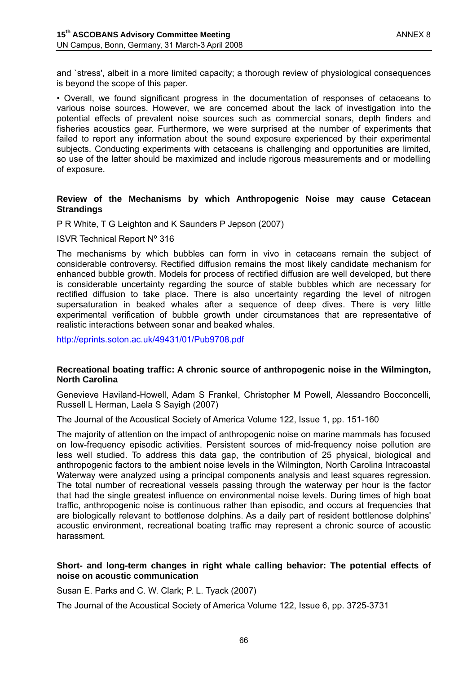and `stress', albeit in a more limited capacity; a thorough review of physiological consequences is beyond the scope of this paper.

• Overall, we found significant progress in the documentation of responses of cetaceans to various noise sources. However, we are concerned about the lack of investigation into the potential effects of prevalent noise sources such as commercial sonars, depth finders and fisheries acoustics gear. Furthermore, we were surprised at the number of experiments that failed to report any information about the sound exposure experienced by their experimental subjects. Conducting experiments with cetaceans is challenging and opportunities are limited, so use of the latter should be maximized and include rigorous measurements and or modelling of exposure.

#### **Review of the Mechanisms by which Anthropogenic Noise may cause Cetacean Strandings**

P R White, T G Leighton and K Saunders P Jepson (2007)

#### ISVR Technical Report Nº 316

The mechanisms by which bubbles can form in vivo in cetaceans remain the subject of considerable controversy. Rectified diffusion remains the most likely candidate mechanism for enhanced bubble growth. Models for process of rectified diffusion are well developed, but there is considerable uncertainty regarding the source of stable bubbles which are necessary for rectified diffusion to take place. There is also uncertainty regarding the level of nitrogen supersaturation in beaked whales after a sequence of deep dives. There is very little experimental verification of bubble growth under circumstances that are representative of realistic interactions between sonar and beaked whales.

http://eprints.soton.ac.uk/49431/01/Pub9708.pdf

#### **Recreational boating traffic: A chronic source of anthropogenic noise in the Wilmington, North Carolina**

Genevieve Haviland-Howell, Adam S Frankel, Christopher M Powell, Alessandro Bocconcelli, Russell L Herman, Laela S Sayigh (2007)

The Journal of the Acoustical Society of America Volume 122, Issue 1, pp. 151-160

The majority of attention on the impact of anthropogenic noise on marine mammals has focused on low-frequency episodic activities. Persistent sources of mid-frequency noise pollution are less well studied. To address this data gap, the contribution of 25 physical, biological and anthropogenic factors to the ambient noise levels in the Wilmington, North Carolina Intracoastal Waterway were analyzed using a principal components analysis and least squares regression. The total number of recreational vessels passing through the waterway per hour is the factor that had the single greatest influence on environmental noise levels. During times of high boat traffic, anthropogenic noise is continuous rather than episodic, and occurs at frequencies that are biologically relevant to bottlenose dolphins. As a daily part of resident bottlenose dolphins' acoustic environment, recreational boating traffic may represent a chronic source of acoustic harassment.

#### **Short- and long-term changes in right whale calling behavior: The potential effects of noise on acoustic communication**

Susan E. Parks and C. W. Clark; P. L. Tyack (2007)

The Journal of the Acoustical Society of America Volume 122, Issue 6, pp. 3725-3731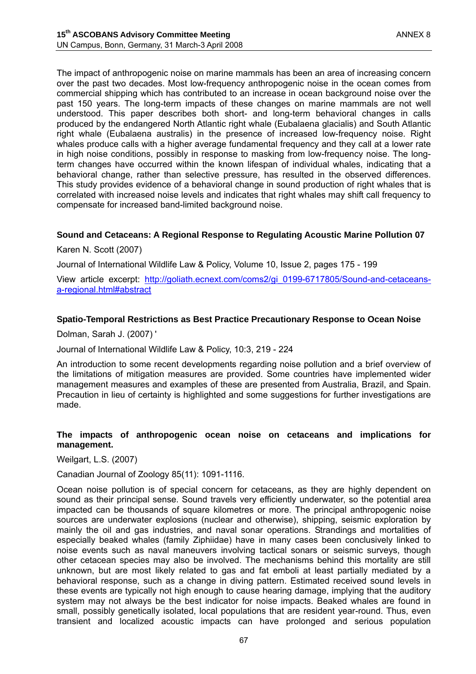The impact of anthropogenic noise on marine mammals has been an area of increasing concern over the past two decades. Most low-frequency anthropogenic noise in the ocean comes from commercial shipping which has contributed to an increase in ocean background noise over the past 150 years. The long-term impacts of these changes on marine mammals are not well understood. This paper describes both short- and long-term behavioral changes in calls produced by the endangered North Atlantic right whale (Eubalaena glacialis) and South Atlantic right whale (Eubalaena australis) in the presence of increased low-frequency noise. Right whales produce calls with a higher average fundamental frequency and they call at a lower rate in high noise conditions, possibly in response to masking from low-frequency noise. The longterm changes have occurred within the known lifespan of individual whales, indicating that a behavioral change, rather than selective pressure, has resulted in the observed differences. This study provides evidence of a behavioral change in sound production of right whales that is correlated with increased noise levels and indicates that right whales may shift call frequency to compensate for increased band-limited background noise.

#### **Sound and Cetaceans: A Regional Response to Regulating Acoustic Marine Pollution 07**

Karen N. Scott (2007)

Journal of International Wildlife Law & Policy, Volume 10, Issue 2, pages 175 - 199

View article excerpt: http://goliath.ecnext.com/coms2/gi\_0199-6717805/Sound-and-cetaceansa-regional.html#abstract

#### **Spatio-Temporal Restrictions as Best Practice Precautionary Response to Ocean Noise**

Dolman, Sarah J. (2007) '

Journal of International Wildlife Law & Policy, 10:3, 219 - 224

An introduction to some recent developments regarding noise pollution and a brief overview of the limitations of mitigation measures are provided. Some countries have implemented wider management measures and examples of these are presented from Australia, Brazil, and Spain. Precaution in lieu of certainty is highlighted and some suggestions for further investigations are made.

#### **The impacts of anthropogenic ocean noise on cetaceans and implications for management.**

Weilgart, L.S. (2007)

Canadian Journal of Zoology 85(11): 1091-1116.

Ocean noise pollution is of special concern for cetaceans, as they are highly dependent on sound as their principal sense. Sound travels very efficiently underwater, so the potential area impacted can be thousands of square kilometres or more. The principal anthropogenic noise sources are underwater explosions (nuclear and otherwise), shipping, seismic exploration by mainly the oil and gas industries, and naval sonar operations. Strandings and mortalities of especially beaked whales (family Ziphiidae) have in many cases been conclusively linked to noise events such as naval maneuvers involving tactical sonars or seismic surveys, though other cetacean species may also be involved. The mechanisms behind this mortality are still unknown, but are most likely related to gas and fat emboli at least partially mediated by a behavioral response, such as a change in diving pattern. Estimated received sound levels in these events are typically not high enough to cause hearing damage, implying that the auditory system may not always be the best indicator for noise impacts. Beaked whales are found in small, possibly genetically isolated, local populations that are resident year-round. Thus, even transient and localized acoustic impacts can have prolonged and serious population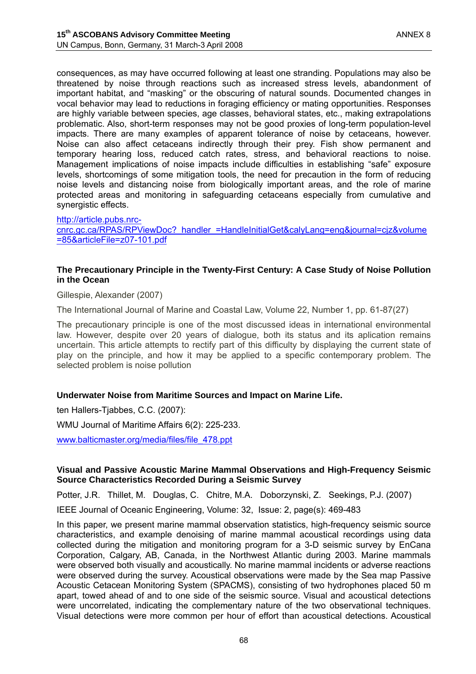consequences, as may have occurred following at least one stranding. Populations may also be threatened by noise through reactions such as increased stress levels, abandonment of important habitat, and "masking" or the obscuring of natural sounds. Documented changes in vocal behavior may lead to reductions in foraging efficiency or mating opportunities. Responses are highly variable between species, age classes, behavioral states, etc., making extrapolations problematic. Also, short-term responses may not be good proxies of long-term population-level impacts. There are many examples of apparent tolerance of noise by cetaceans, however. Noise can also affect cetaceans indirectly through their prey. Fish show permanent and temporary hearing loss, reduced catch rates, stress, and behavioral reactions to noise. Management implications of noise impacts include difficulties in establishing "safe" exposure levels, shortcomings of some mitigation tools, the need for precaution in the form of reducing noise levels and distancing noise from biologically important areas, and the role of marine protected areas and monitoring in safeguarding cetaceans especially from cumulative and synergistic effects.

#### http://article.pubs.nrc-

cnrc.gc.ca/RPAS/RPViewDoc? handler =HandleInitialGet&calyLang=eng&journal=cjz&volume =85&articleFile=z07-101.pdf

#### **The Precautionary Principle in the Twenty-First Century: A Case Study of Noise Pollution in the Ocean**

Gillespie, Alexander (2007)

The International Journal of Marine and Coastal Law, Volume 22, Number 1, pp. 61-87(27)

The precautionary principle is one of the most discussed ideas in international environmental law. However, despite over 20 years of dialogue, both its status and its aplication remains uncertain. This article attempts to rectify part of this difficulty by displaying the current state of play on the principle, and how it may be applied to a specific contemporary problem. The selected problem is noise pollution

#### **Underwater Noise from Maritime Sources and Impact on Marine Life.**

ten Hallers-Tjabbes, C.C. (2007):

WMU Journal of Maritime Affairs 6(2): 225-233.

www.balticmaster.org/media/files/file\_478.ppt

#### **Visual and Passive Acoustic Marine Mammal Observations and High-Frequency Seismic Source Characteristics Recorded During a Seismic Survey**

Potter, J.R. Thillet, M. Douglas, C. Chitre, M.A. Doborzynski, Z. Seekings, P.J. (2007)

IEEE Journal of Oceanic Engineering, Volume: 32, Issue: 2, page(s): 469-483

In this paper, we present marine mammal observation statistics, high-frequency seismic source characteristics, and example denoising of marine mammal acoustical recordings using data collected during the mitigation and monitoring program for a 3-D seismic survey by EnCana Corporation, Calgary, AB, Canada, in the Northwest Atlantic during 2003. Marine mammals were observed both visually and acoustically. No marine mammal incidents or adverse reactions were observed during the survey. Acoustical observations were made by the Sea map Passive Acoustic Cetacean Monitoring System (SPACMS), consisting of two hydrophones placed 50 m apart, towed ahead of and to one side of the seismic source. Visual and acoustical detections were uncorrelated, indicating the complementary nature of the two observational techniques. Visual detections were more common per hour of effort than acoustical detections. Acoustical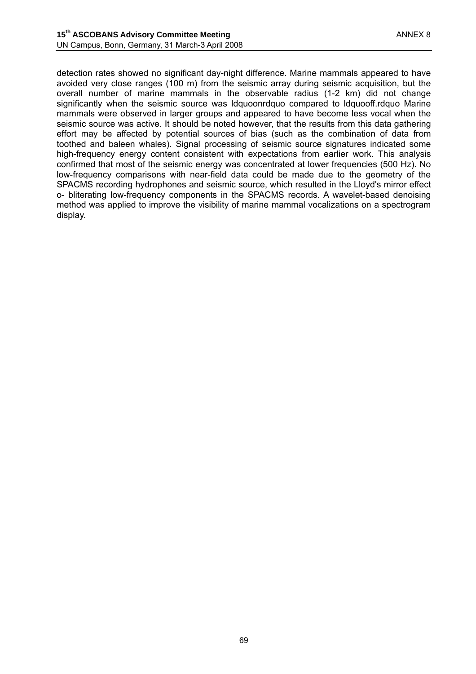detection rates showed no significant day-night difference. Marine mammals appeared to have avoided very close ranges (100 m) from the seismic array during seismic acquisition, but the overall number of marine mammals in the observable radius (1-2 km) did not change significantly when the seismic source was ldquoonrdquo compared to ldquooff.rdquo Marine mammals were observed in larger groups and appeared to have become less vocal when the seismic source was active. It should be noted however, that the results from this data gathering effort may be affected by potential sources of bias (such as the combination of data from toothed and baleen whales). Signal processing of seismic source signatures indicated some high-frequency energy content consistent with expectations from earlier work. This analysis confirmed that most of the seismic energy was concentrated at lower frequencies (500 Hz). No low-frequency comparisons with near-field data could be made due to the geometry of the SPACMS recording hydrophones and seismic source, which resulted in the Lloyd's mirror effect o- bliterating low-frequency components in the SPACMS records. A wavelet-based denoising method was applied to improve the visibility of marine mammal vocalizations on a spectrogram display.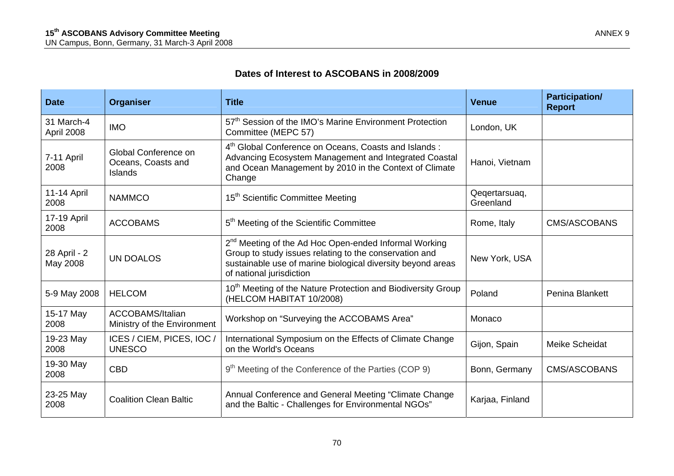## **Dates of Interest to ASCOBANS in 2008/2009**

| <b>Date</b>                                                                                                                                                                                                                                                                  | <b>Organiser</b>                                                                                                                                                                                                                           | <b>Title</b>                                                                                                 | <b>Venue</b>               | <b>Participation/</b><br><b>Report</b> |
|------------------------------------------------------------------------------------------------------------------------------------------------------------------------------------------------------------------------------------------------------------------------------|--------------------------------------------------------------------------------------------------------------------------------------------------------------------------------------------------------------------------------------------|--------------------------------------------------------------------------------------------------------------|----------------------------|----------------------------------------|
| 31 March-4<br>April 2008                                                                                                                                                                                                                                                     | 57 <sup>th</sup> Session of the IMO's Marine Environment Protection<br><b>IMO</b><br>Committee (MEPC 57)                                                                                                                                   |                                                                                                              | London, UK                 |                                        |
| 4 <sup>th</sup> Global Conference on Oceans, Coasts and Islands:<br>Global Conference on<br>Advancing Ecosystem Management and Integrated Coastal<br>7-11 April<br>Oceans, Coasts and<br>and Ocean Management by 2010 in the Context of Climate<br>2008<br>Islands<br>Change |                                                                                                                                                                                                                                            | Hanoi, Vietnam                                                                                               |                            |                                        |
| 11-14 April<br>2008                                                                                                                                                                                                                                                          | <b>NAMMCO</b>                                                                                                                                                                                                                              | 15 <sup>th</sup> Scientific Committee Meeting                                                                | Qeqertarsuaq,<br>Greenland |                                        |
| 17-19 April<br>2008                                                                                                                                                                                                                                                          | <b>ACCOBAMS</b>                                                                                                                                                                                                                            | 5 <sup>th</sup> Meeting of the Scientific Committee                                                          | Rome, Italy                | <b>CMS/ASCOBANS</b>                    |
| 28 April - 2<br>May 2008                                                                                                                                                                                                                                                     | 2 <sup>nd</sup> Meeting of the Ad Hoc Open-ended Informal Working<br>Group to study issues relating to the conservation and<br><b>UN DOALOS</b><br>sustainable use of marine biological diversity beyond areas<br>of national jurisdiction |                                                                                                              | New York, USA              |                                        |
| 5-9 May 2008                                                                                                                                                                                                                                                                 | 10 <sup>th</sup> Meeting of the Nature Protection and Biodiversity Group<br><b>HELCOM</b><br>(HELCOM HABITAT 10/2008)                                                                                                                      |                                                                                                              | Poland                     | <b>Penina Blankett</b>                 |
| 15-17 May<br>2008                                                                                                                                                                                                                                                            | ACCOBAMS/Italian<br>Ministry of the Environment                                                                                                                                                                                            | Workshop on "Surveying the ACCOBAMS Area"                                                                    | Monaco                     |                                        |
| 19-23 May<br>2008                                                                                                                                                                                                                                                            | ICES / CIEM, PICES, IOC /<br><b>UNESCO</b>                                                                                                                                                                                                 | International Symposium on the Effects of Climate Change<br>on the World's Oceans                            | Gijon, Spain               | Meike Scheidat                         |
| 19-30 May<br>2008                                                                                                                                                                                                                                                            | 9 <sup>th</sup> Meeting of the Conference of the Parties (COP 9)<br><b>CBD</b>                                                                                                                                                             |                                                                                                              | Bonn, Germany              | <b>CMS/ASCOBANS</b>                    |
| 23-25 May<br>2008                                                                                                                                                                                                                                                            | <b>Coalition Clean Baltic</b>                                                                                                                                                                                                              | Annual Conference and General Meeting "Climate Change<br>and the Baltic - Challenges for Environmental NGOs" | Karjaa, Finland            |                                        |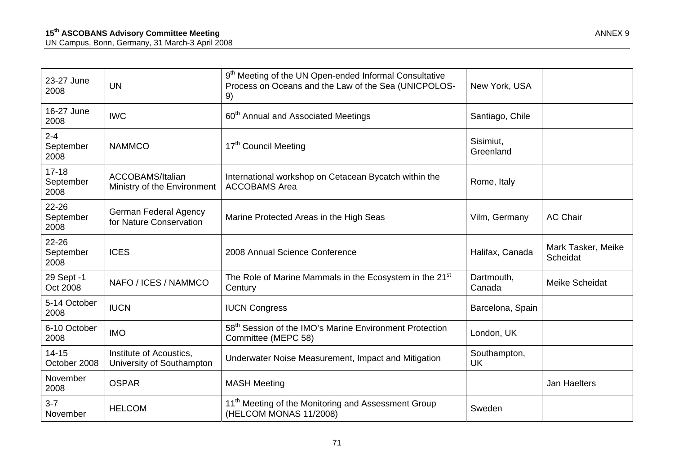| 23-27 June<br>2008             | UN                                                      | 9 <sup>th</sup> Meeting of the UN Open-ended Informal Consultative<br>Process on Oceans and the Law of the Sea (UNICPOLOS-<br>New York, USA<br>9) |                           |                                |
|--------------------------------|---------------------------------------------------------|---------------------------------------------------------------------------------------------------------------------------------------------------|---------------------------|--------------------------------|
| 16-27 June<br>2008             | <b>IWC</b>                                              | 60 <sup>th</sup> Annual and Associated Meetings                                                                                                   | Santiago, Chile           |                                |
| $2 - 4$<br>September<br>2008   | <b>NAMMCO</b>                                           | 17th Council Meeting                                                                                                                              | Sisimiut,<br>Greenland    |                                |
| $17 - 18$<br>September<br>2008 | <b>ACCOBAMS/Italian</b><br>Ministry of the Environment  | International workshop on Cetacean Bycatch within the<br><b>ACCOBAMS Area</b>                                                                     | Rome, Italy               |                                |
| 22-26<br>September<br>2008     | <b>German Federal Agency</b><br>for Nature Conservation | Marine Protected Areas in the High Seas                                                                                                           | Vilm, Germany             | <b>AC Chair</b>                |
| 22-26<br>September<br>2008     | <b>ICES</b>                                             | 2008 Annual Science Conference                                                                                                                    | Halifax, Canada           | Mark Tasker, Meike<br>Scheidat |
| 29 Sept -1<br>Oct 2008         | NAFO / ICES / NAMMCO                                    | The Role of Marine Mammals in the Ecosystem in the 21 <sup>st</sup><br>Century                                                                    |                           | <b>Meike Scheidat</b>          |
| 5-14 October<br>2008           | <b>IUCN</b>                                             | <b>IUCN Congress</b>                                                                                                                              | Barcelona, Spain          |                                |
| 6-10 October<br>2008           | <b>IMO</b>                                              | 58 <sup>th</sup> Session of the IMO's Marine Environment Protection<br>Committee (MEPC 58)                                                        | London, UK                |                                |
| $14 - 15$<br>October 2008      | Institute of Acoustics,<br>University of Southampton    | Underwater Noise Measurement, Impact and Mitigation                                                                                               | Southampton,<br><b>UK</b> |                                |
| November<br>2008               | <b>OSPAR</b>                                            | <b>MASH Meeting</b>                                                                                                                               |                           | <b>Jan Haelters</b>            |
| $3 - 7$<br>November            | <b>HELCOM</b>                                           | 11 <sup>th</sup> Meeting of the Monitoring and Assessment Group<br>(HELCOM MONAS 11/2008)                                                         | Sweden                    |                                |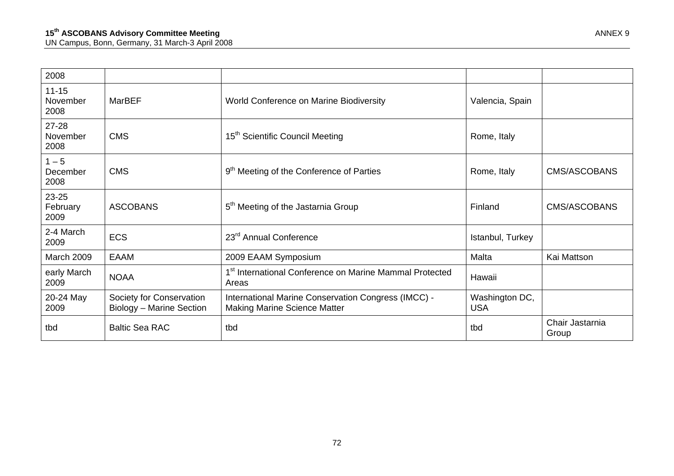| 2008                          |                                                      |                                                                                            |                              |                          |
|-------------------------------|------------------------------------------------------|--------------------------------------------------------------------------------------------|------------------------------|--------------------------|
| $11 - 15$<br>November<br>2008 | <b>MarBEF</b>                                        | World Conference on Marine Biodiversity                                                    | Valencia, Spain              |                          |
| 27-28<br>November<br>2008     | <b>CMS</b>                                           | 15 <sup>th</sup> Scientific Council Meeting                                                | Rome, Italy                  |                          |
| $1 - 5$<br>December<br>2008   | <b>CMS</b>                                           | 9 <sup>th</sup> Meeting of the Conference of Parties                                       | Rome, Italy                  | CMS/ASCOBANS             |
| 23-25<br>February<br>2009     | <b>ASCOBANS</b>                                      | 5 <sup>th</sup> Meeting of the Jastarnia Group                                             | Finland                      | CMS/ASCOBANS             |
| 2-4 March<br>2009             | <b>ECS</b>                                           | 23 <sup>rd</sup> Annual Conference                                                         | Istanbul, Turkey             |                          |
| March 2009                    | <b>EAAM</b>                                          | 2009 EAAM Symposium                                                                        | Malta                        | Kai Mattson              |
| early March<br>2009           | <b>NOAA</b>                                          | 1 <sup>st</sup> International Conference on Marine Mammal Protected<br>Areas               | Hawaii                       |                          |
| 20-24 May<br>2009             | Society for Conservation<br>Biology - Marine Section | International Marine Conservation Congress (IMCC) -<br><b>Making Marine Science Matter</b> | Washington DC,<br><b>USA</b> |                          |
| tbd                           | <b>Baltic Sea RAC</b>                                | tbd                                                                                        | tbd                          | Chair Jastarnia<br>Group |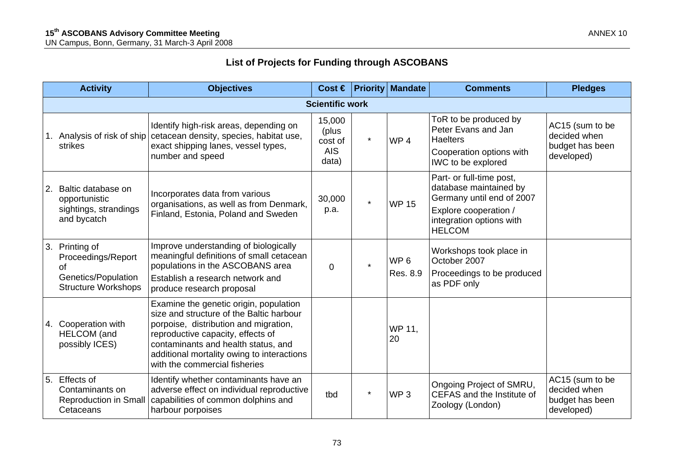## **List of Projects for Funding through ASCOBANS**

|                        | <b>Activity</b>                                                                              | <b>Objectives</b>                                                                                                                                                                                                                                                                      |                                                   |          | Cost $\in$ Priority Mandate | <b>Comments</b>                                                                                                                                       | <b>Pledges</b>                                                   |
|------------------------|----------------------------------------------------------------------------------------------|----------------------------------------------------------------------------------------------------------------------------------------------------------------------------------------------------------------------------------------------------------------------------------------|---------------------------------------------------|----------|-----------------------------|-------------------------------------------------------------------------------------------------------------------------------------------------------|------------------------------------------------------------------|
| <b>Scientific work</b> |                                                                                              |                                                                                                                                                                                                                                                                                        |                                                   |          |                             |                                                                                                                                                       |                                                                  |
|                        | Analysis of risk of ship<br>strikes                                                          | Identify high-risk areas, depending on<br>cetacean density, species, habitat use,<br>exact shipping lanes, vessel types,<br>number and speed                                                                                                                                           | 15,000<br>(plus<br>cost of<br><b>AIS</b><br>data) | $\star$  | WP <sub>4</sub>             | ToR to be produced by<br>Peter Evans and Jan<br><b>Haelters</b><br>Cooperation options with<br>IWC to be explored                                     | AC15 (sum to be<br>decided when<br>budget has been<br>developed) |
|                        | Baltic database on<br>opportunistic<br>sightings, strandings<br>and bycatch                  | Incorporates data from various<br>organisations, as well as from Denmark,<br>Finland, Estonia, Poland and Sweden                                                                                                                                                                       | 30,000<br>p.a.                                    | $\star$  | <b>WP 15</b>                | Part- or full-time post,<br>database maintained by<br>Germany until end of 2007<br>Explore cooperation /<br>integration options with<br><b>HELCOM</b> |                                                                  |
| 3.                     | Printing of<br>Proceedings/Report<br>οf<br>Genetics/Population<br><b>Structure Workshops</b> | Improve understanding of biologically<br>meaningful definitions of small cetacean<br>populations in the ASCOBANS area<br>Establish a research network and<br>produce research proposal                                                                                                 | $\Omega$                                          | $\star$  | WP <sub>6</sub><br>Res. 8.9 | Workshops took place in<br>October 2007<br>Proceedings to be produced<br>as PDF only                                                                  |                                                                  |
| 4.                     | Cooperation with<br><b>HELCOM</b> (and<br>possibly ICES)                                     | Examine the genetic origin, population<br>size and structure of the Baltic harbour<br>porpoise, distribution and migration,<br>reproductive capacity, effects of<br>contaminants and health status, and<br>additional mortality owing to interactions<br>with the commercial fisheries |                                                   |          | WP 11,<br>20                |                                                                                                                                                       |                                                                  |
| 5.                     | <b>Effects of</b><br>Contaminants on<br><b>Reproduction in Small</b><br>Cetaceans            | Identify whether contaminants have an<br>adverse effect on individual reproductive<br>capabilities of common dolphins and<br>harbour porpoises                                                                                                                                         | tbd                                               | $^\star$ | WP <sub>3</sub>             | Ongoing Project of SMRU,<br>CEFAS and the Institute of<br>Zoology (London)                                                                            | AC15 (sum to be<br>decided when<br>budget has been<br>developed) |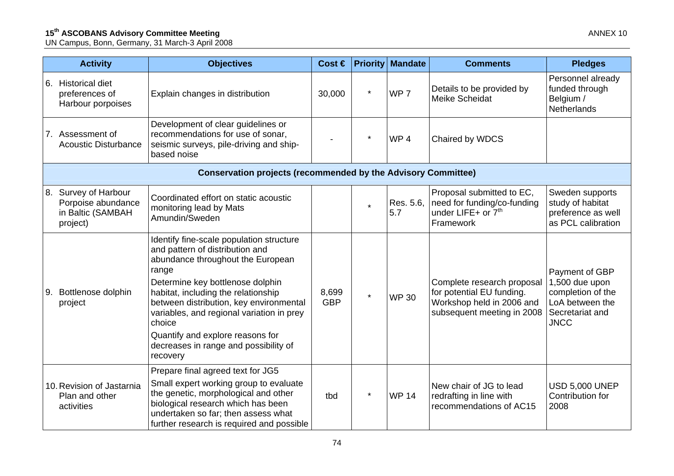## **15<sup>th</sup> ASCOBANS Advisory Committee Meeting Annual Annual Annual Annual Annual Annual Annual Annual Annual Annual Annual Annual Annual Annual Annual Annual Annual Annual Annual Annual Annual Annual Annual Annual Annual Ann**

UN Campus, Bonn, Germany, 31 March-3 April 2008

| <b>Activity</b>                                                             | <b>Objectives</b>                                                                                                                                                                                                                                                                                                                                                                               | Cost $\in$          |         | <b>Priority Mandate</b> | <b>Comments</b>                                                                                                    | <b>Pledges</b>                                                                                             |
|-----------------------------------------------------------------------------|-------------------------------------------------------------------------------------------------------------------------------------------------------------------------------------------------------------------------------------------------------------------------------------------------------------------------------------------------------------------------------------------------|---------------------|---------|-------------------------|--------------------------------------------------------------------------------------------------------------------|------------------------------------------------------------------------------------------------------------|
| 6. Historical diet<br>preferences of<br>Harbour porpoises                   | Explain changes in distribution                                                                                                                                                                                                                                                                                                                                                                 | 30,000              | $\star$ | WP <sub>7</sub>         | Details to be provided by<br>Meike Scheidat                                                                        | Personnel already<br>funded through<br>Belgium /<br>Netherlands                                            |
| 7. Assessment of<br><b>Acoustic Disturbance</b>                             | Development of clear guidelines or<br>recommendations for use of sonar,<br>seismic surveys, pile-driving and ship-<br>based noise                                                                                                                                                                                                                                                               |                     | *       | WP <sub>4</sub>         | Chaired by WDCS                                                                                                    |                                                                                                            |
|                                                                             | <b>Conservation projects (recommended by the Advisory Committee)</b>                                                                                                                                                                                                                                                                                                                            |                     |         |                         |                                                                                                                    |                                                                                                            |
| 8. Survey of Harbour<br>Porpoise abundance<br>in Baltic (SAMBAH<br>project) | Coordinated effort on static acoustic<br>monitoring lead by Mats<br>Amundin/Sweden                                                                                                                                                                                                                                                                                                              |                     | $\star$ | Res. 5.6,<br>5.7        | Proposal submitted to EC,<br>need for funding/co-funding<br>under LIFE+ or 7 <sup>th</sup><br>Framework            | Sweden supports<br>study of habitat<br>preference as well<br>as PCL calibration                            |
| 9. Bottlenose dolphin<br>project                                            | Identify fine-scale population structure<br>and pattern of distribution and<br>abundance throughout the European<br>range<br>Determine key bottlenose dolphin<br>habitat, including the relationship<br>between distribution, key environmental<br>variables, and regional variation in prey<br>choice<br>Quantify and explore reasons for<br>decreases in range and possibility of<br>recovery | 8,699<br><b>GBP</b> | $\star$ | <b>WP 30</b>            | Complete research proposal<br>for potential EU funding.<br>Workshop held in 2006 and<br>subsequent meeting in 2008 | Payment of GBP<br>1,500 due upon<br>completion of the<br>LoA between the<br>Secretariat and<br><b>JNCC</b> |
| 10. Revision of Jastarnia<br>Plan and other<br>activities                   | Prepare final agreed text for JG5<br>Small expert working group to evaluate<br>the genetic, morphological and other<br>biological research which has been<br>undertaken so far; then assess what<br>further research is required and possible                                                                                                                                                   | tbd                 |         | <b>WP 14</b>            | New chair of JG to lead<br>redrafting in line with<br>recommendations of AC15                                      | <b>USD 5,000 UNEP</b><br>Contribution for<br>2008                                                          |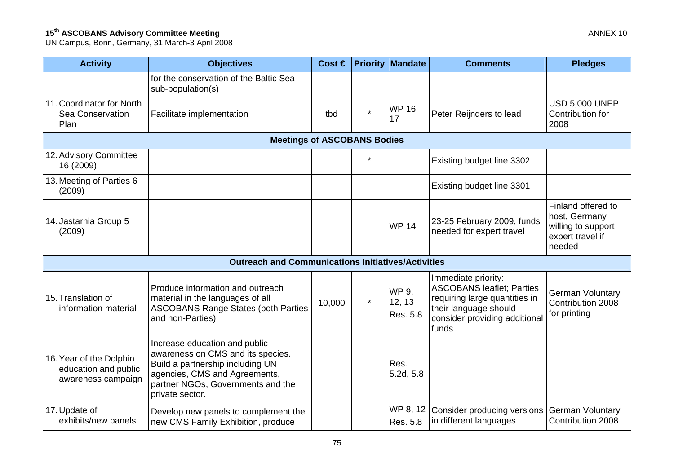## **15<sup>th</sup> ASCOBANS Advisory Committee Meeting Annual Annual Annual Annual Annual Annual Annual Annual Annual Annual Annual Annual Annual Annual Annual Annual Annual Annual Annual Annual Annual Annual Annual Annual Annual Ann**

UN Campus, Bonn, Germany, 31 March-3 April 2008

| <b>Activity</b>                                                       | <b>Objectives</b>                                                                                                                                                                               | Cost $\in$ |         | <b>Priority Mandate</b>     | <b>Comments</b>                                                                                                                                             | <b>Pledges</b>                                                                          |  |  |
|-----------------------------------------------------------------------|-------------------------------------------------------------------------------------------------------------------------------------------------------------------------------------------------|------------|---------|-----------------------------|-------------------------------------------------------------------------------------------------------------------------------------------------------------|-----------------------------------------------------------------------------------------|--|--|
|                                                                       | for the conservation of the Baltic Sea<br>sub-population(s)                                                                                                                                     |            |         |                             |                                                                                                                                                             |                                                                                         |  |  |
| 11. Coordinator for North<br>Sea Conservation<br>Plan                 | Facilitate implementation                                                                                                                                                                       | tbd        | $\star$ | WP 16,<br>17                | Peter Reijnders to lead                                                                                                                                     | <b>USD 5,000 UNEP</b><br>Contribution for<br>2008                                       |  |  |
|                                                                       | <b>Meetings of ASCOBANS Bodies</b>                                                                                                                                                              |            |         |                             |                                                                                                                                                             |                                                                                         |  |  |
| 12. Advisory Committee<br>16 (2009)                                   |                                                                                                                                                                                                 |            | $\star$ |                             | Existing budget line 3302                                                                                                                                   |                                                                                         |  |  |
| 13. Meeting of Parties 6<br>(2009)                                    |                                                                                                                                                                                                 |            |         |                             | Existing budget line 3301                                                                                                                                   |                                                                                         |  |  |
| 14. Jastarnia Group 5<br>(2009)                                       |                                                                                                                                                                                                 |            |         | <b>WP 14</b>                | 23-25 February 2009, funds<br>needed for expert travel                                                                                                      | Finland offered to<br>host, Germany<br>willing to support<br>expert travel if<br>needed |  |  |
|                                                                       | <b>Outreach and Communications Initiatives/Activities</b>                                                                                                                                       |            |         |                             |                                                                                                                                                             |                                                                                         |  |  |
| 15. Translation of<br>information material                            | Produce information and outreach<br>material in the languages of all<br><b>ASCOBANS Range States (both Parties</b><br>and non-Parties)                                                          | 10,000     | $\star$ | WP 9.<br>12, 13<br>Res. 5.8 | Immediate priority:<br><b>ASCOBANS leaflet; Parties</b><br>requiring large quantities in<br>their language should<br>consider providing additional<br>funds | <b>German Voluntary</b><br>Contribution 2008<br>for printing                            |  |  |
| 16. Year of the Dolphin<br>education and public<br>awareness campaign | Increase education and public<br>awareness on CMS and its species.<br>Build a partnership including UN<br>agencies, CMS and Agreements,<br>partner NGOs, Governments and the<br>private sector. |            |         | Res.<br>5.2d, 5.8           |                                                                                                                                                             |                                                                                         |  |  |
| 17. Update of<br>exhibits/new panels                                  | Develop new panels to complement the<br>new CMS Family Exhibition, produce                                                                                                                      |            |         | WP 8, 12<br>Res. 5.8        | Consider producing versions<br>in different languages                                                                                                       | <b>German Voluntary</b><br>Contribution 2008                                            |  |  |